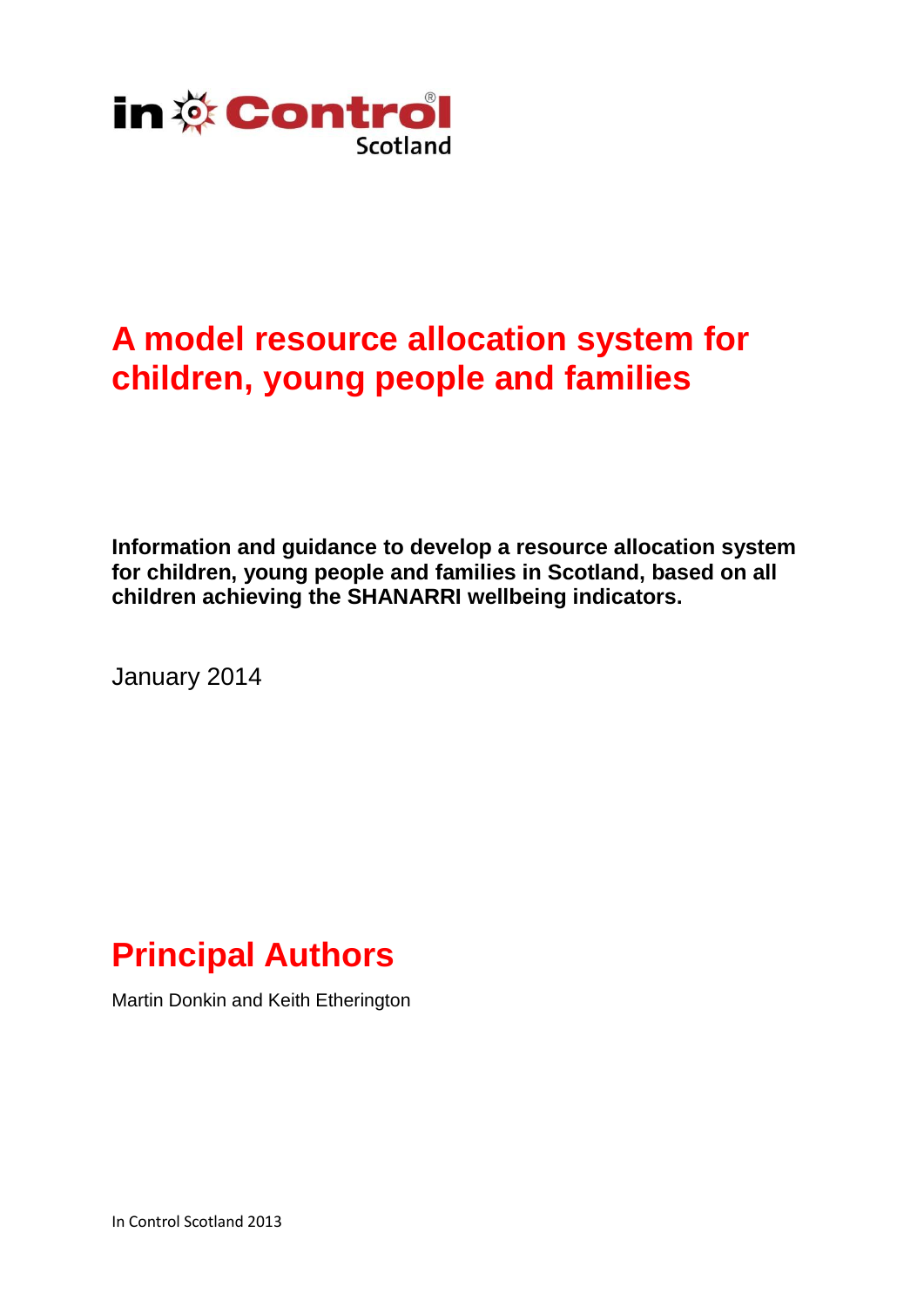

# **A model resource allocation system for children, young people and families**

**Information and guidance to develop a resource allocation system for children, young people and families in Scotland, based on all children achieving the SHANARRI wellbeing indicators.**

January 2014

# **Principal Authors**

Martin Donkin and Keith Etherington

In Control Scotland 2013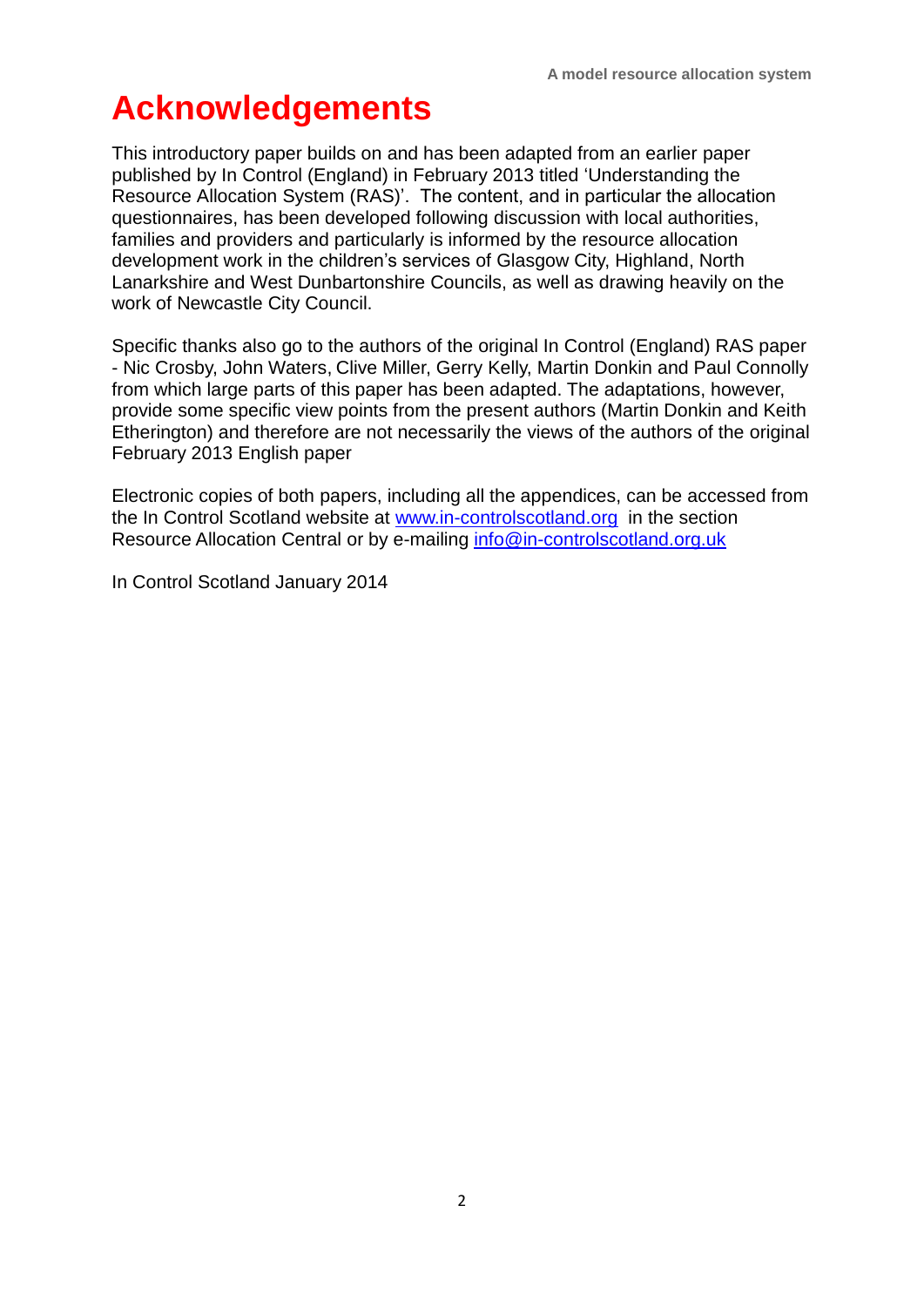# **Acknowledgements**

This introductory paper builds on and has been adapted from an earlier paper published by In Control (England) in February 2013 titled 'Understanding the Resource Allocation System (RAS)'. The content, and in particular the allocation questionnaires, has been developed following discussion with local authorities, families and providers and particularly is informed by the resource allocation development work in the children's services of Glasgow City, Highland, North Lanarkshire and West Dunbartonshire Councils, as well as drawing heavily on the work of Newcastle City Council.

Specific thanks also go to the authors of the original In Control (England) RAS paper - Nic Crosby, John Waters, Clive Miller, Gerry Kelly, Martin Donkin and Paul Connolly from which large parts of this paper has been adapted. The adaptations, however, provide some specific view points from the present authors (Martin Donkin and Keith Etherington) and therefore are not necessarily the views of the authors of the original February 2013 English paper

Electronic copies of both papers, including all the appendices, can be accessed from the In Control Scotland website at [www.in-controlscotland.org](http://www.in-controlscotland.org/) in the section Resource Allocation Central or by e-mailing [info@in-controlscotland.org.uk](mailto:info@in-controlscotland.org.uk)

In Control Scotland January 2014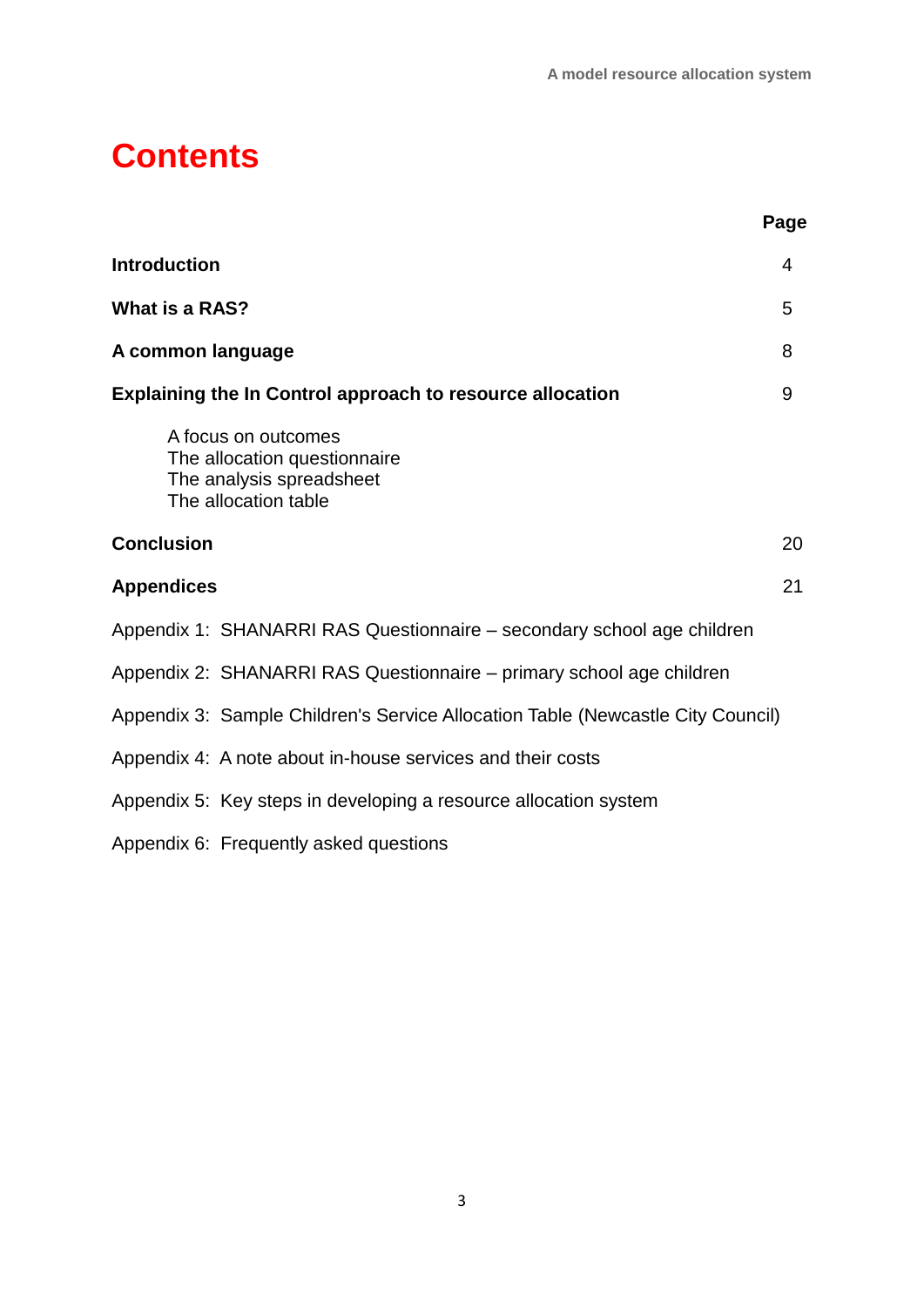# **Contents**

|                                                                                                         | Page |
|---------------------------------------------------------------------------------------------------------|------|
| <b>Introduction</b>                                                                                     | 4    |
| What is a RAS?                                                                                          | 5    |
| A common language                                                                                       | 8    |
| <b>Explaining the In Control approach to resource allocation</b>                                        | 9    |
| A focus on outcomes<br>The allocation questionnaire<br>The analysis spreadsheet<br>The allocation table |      |
| <b>Conclusion</b>                                                                                       | 20   |
| <b>Appendices</b>                                                                                       | 21   |
| Appendix 1: SHANARRI RAS Questionnaire - secondary school age children                                  |      |
| Appendix 2: SHANARRI RAS Questionnaire - primary school age children                                    |      |
| Appendix 3: Sample Children's Service Allocation Table (Newcastle City Council)                         |      |
| Appendix 4: A note about in-house services and their costs                                              |      |
| Appendix 5: Key steps in developing a resource allocation system                                        |      |
| Appendix 6: Frequently asked questions                                                                  |      |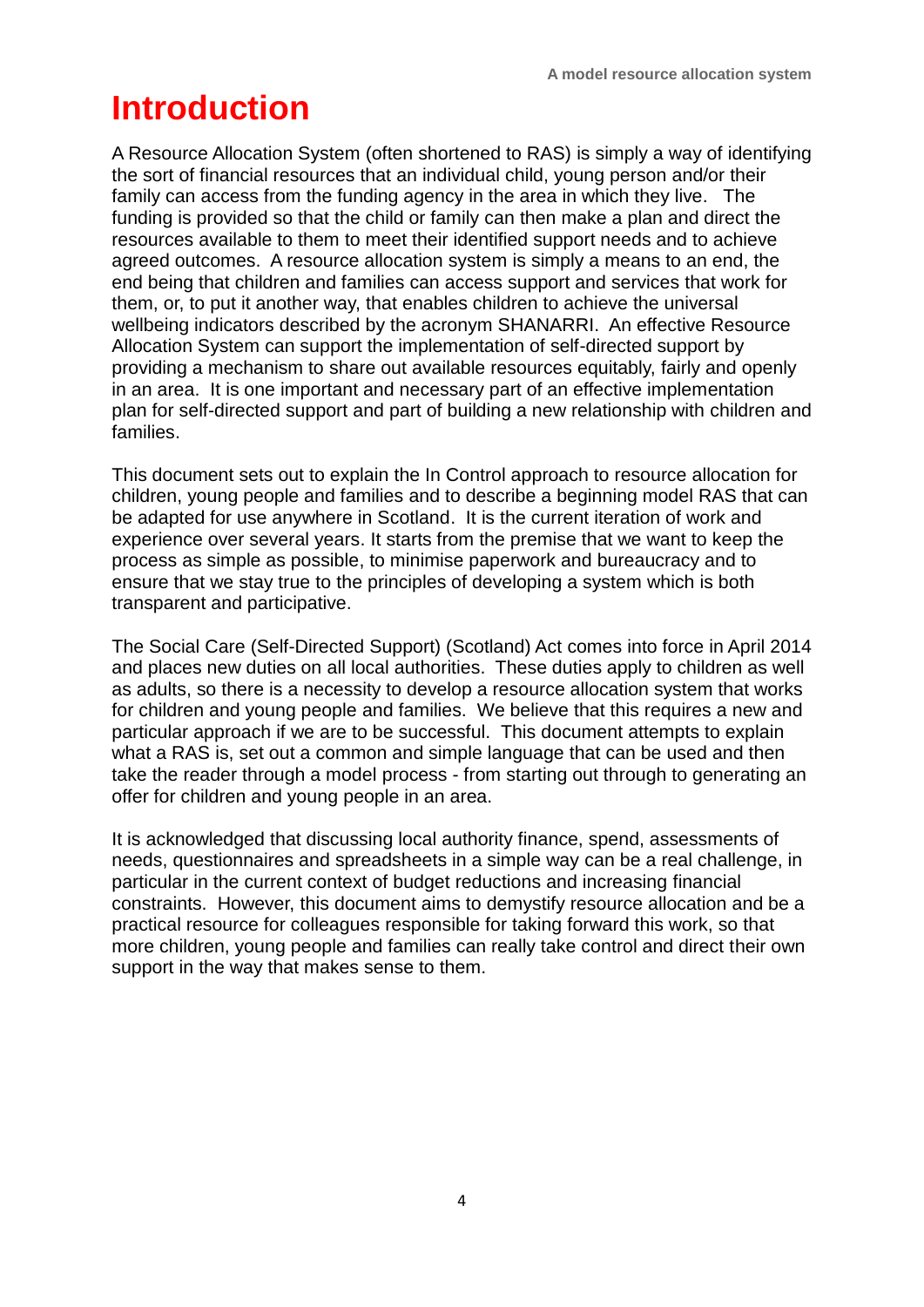# **Introduction**

A Resource Allocation System (often shortened to RAS) is simply a way of identifying the sort of financial resources that an individual child, young person and/or their family can access from the funding agency in the area in which they live. The funding is provided so that the child or family can then make a plan and direct the resources available to them to meet their identified support needs and to achieve agreed outcomes. A resource allocation system is simply a means to an end, the end being that children and families can access support and services that work for them, or, to put it another way, that enables children to achieve the universal wellbeing indicators described by the acronym SHANARRI. An effective Resource Allocation System can support the implementation of self-directed support by providing a mechanism to share out available resources equitably, fairly and openly in an area. It is one important and necessary part of an effective implementation plan for self-directed support and part of building a new relationship with children and families.

This document sets out to explain the In Control approach to resource allocation for children, young people and families and to describe a beginning model RAS that can be adapted for use anywhere in Scotland. It is the current iteration of work and experience over several years. It starts from the premise that we want to keep the process as simple as possible, to minimise paperwork and bureaucracy and to ensure that we stay true to the principles of developing a system which is both transparent and participative.

The Social Care (Self-Directed Support) (Scotland) Act comes into force in April 2014 and places new duties on all local authorities. These duties apply to children as well as adults, so there is a necessity to develop a resource allocation system that works for children and young people and families. We believe that this requires a new and particular approach if we are to be successful. This document attempts to explain what a RAS is, set out a common and simple language that can be used and then take the reader through a model process - from starting out through to generating an offer for children and young people in an area.

It is acknowledged that discussing local authority finance, spend, assessments of needs, questionnaires and spreadsheets in a simple way can be a real challenge, in particular in the current context of budget reductions and increasing financial constraints. However, this document aims to demystify resource allocation and be a practical resource for colleagues responsible for taking forward this work, so that more children, young people and families can really take control and direct their own support in the way that makes sense to them.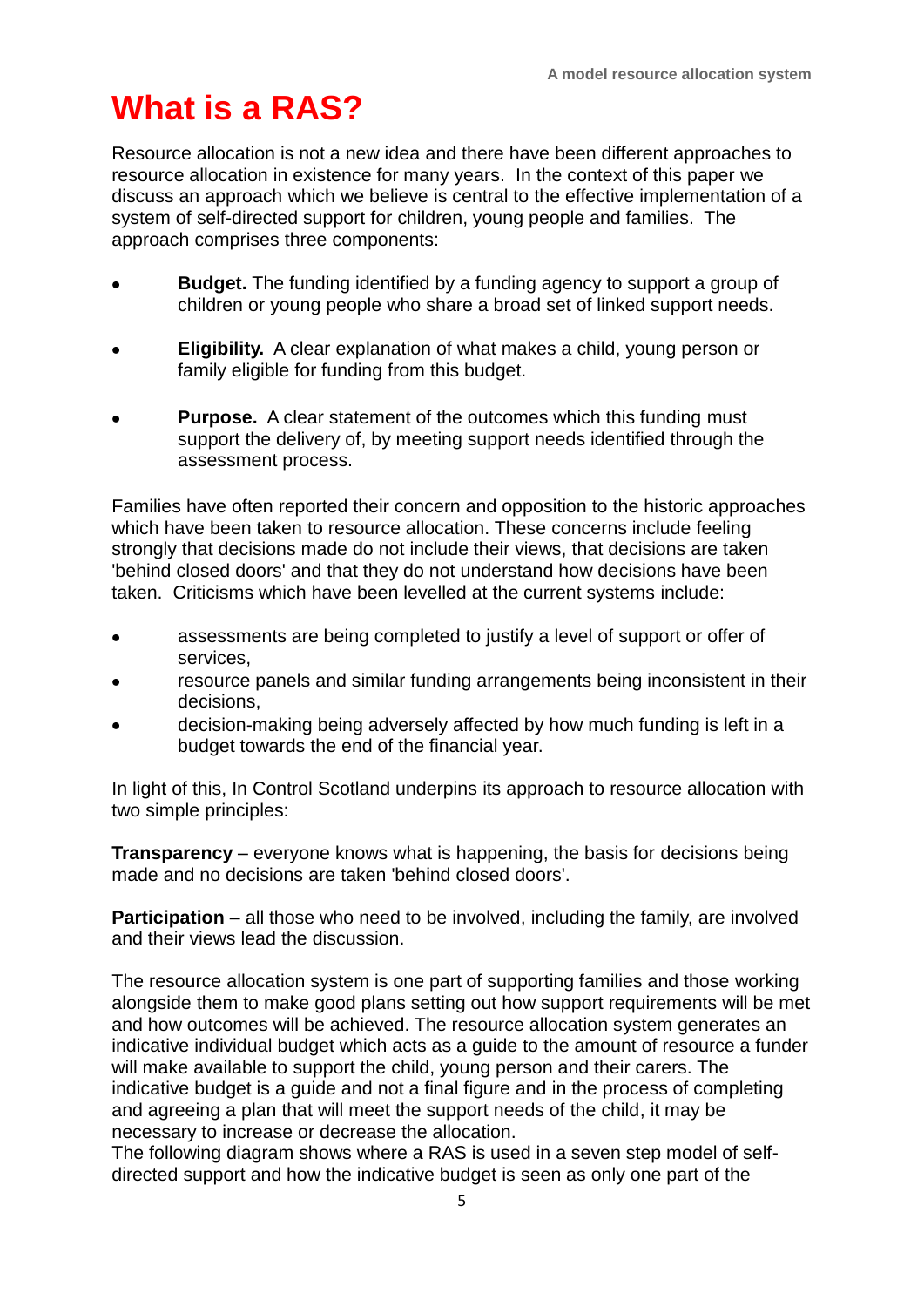# **What is a RAS?**

Resource allocation is not a new idea and there have been different approaches to resource allocation in existence for many years. In the context of this paper we discuss an approach which we believe is central to the effective implementation of a system of self-directed support for children, young people and families. The approach comprises three components:

- **Budget.** The funding identified by a funding agency to support a group of children or young people who share a broad set of linked support needs.
- **Eligibility.** A clear explanation of what makes a child, young person or family eligible for funding from this budget.
- **Purpose.** A clear statement of the outcomes which this funding must support the delivery of, by meeting support needs identified through the assessment process.

Families have often reported their concern and opposition to the historic approaches which have been taken to resource allocation. These concerns include feeling strongly that decisions made do not include their views, that decisions are taken 'behind closed doors' and that they do not understand how decisions have been taken. Criticisms which have been levelled at the current systems include:

- assessments are being completed to justify a level of support or offer of  $\bullet$ services,
- resource panels and similar funding arrangements being inconsistent in their decisions,
- decision-making being adversely affected by how much funding is left in a budget towards the end of the financial year.

In light of this, In Control Scotland underpins its approach to resource allocation with two simple principles:

**Transparency** – everyone knows what is happening, the basis for decisions being made and no decisions are taken 'behind closed doors'.

**Participation** – all those who need to be involved, including the family, are involved and their views lead the discussion.

The resource allocation system is one part of supporting families and those working alongside them to make good plans setting out how support requirements will be met and how outcomes will be achieved. The resource allocation system generates an indicative individual budget which acts as a guide to the amount of resource a funder will make available to support the child, young person and their carers. The indicative budget is a guide and not a final figure and in the process of completing and agreeing a plan that will meet the support needs of the child, it may be necessary to increase or decrease the allocation.

The following diagram shows where a RAS is used in a seven step model of selfdirected support and how the indicative budget is seen as only one part of the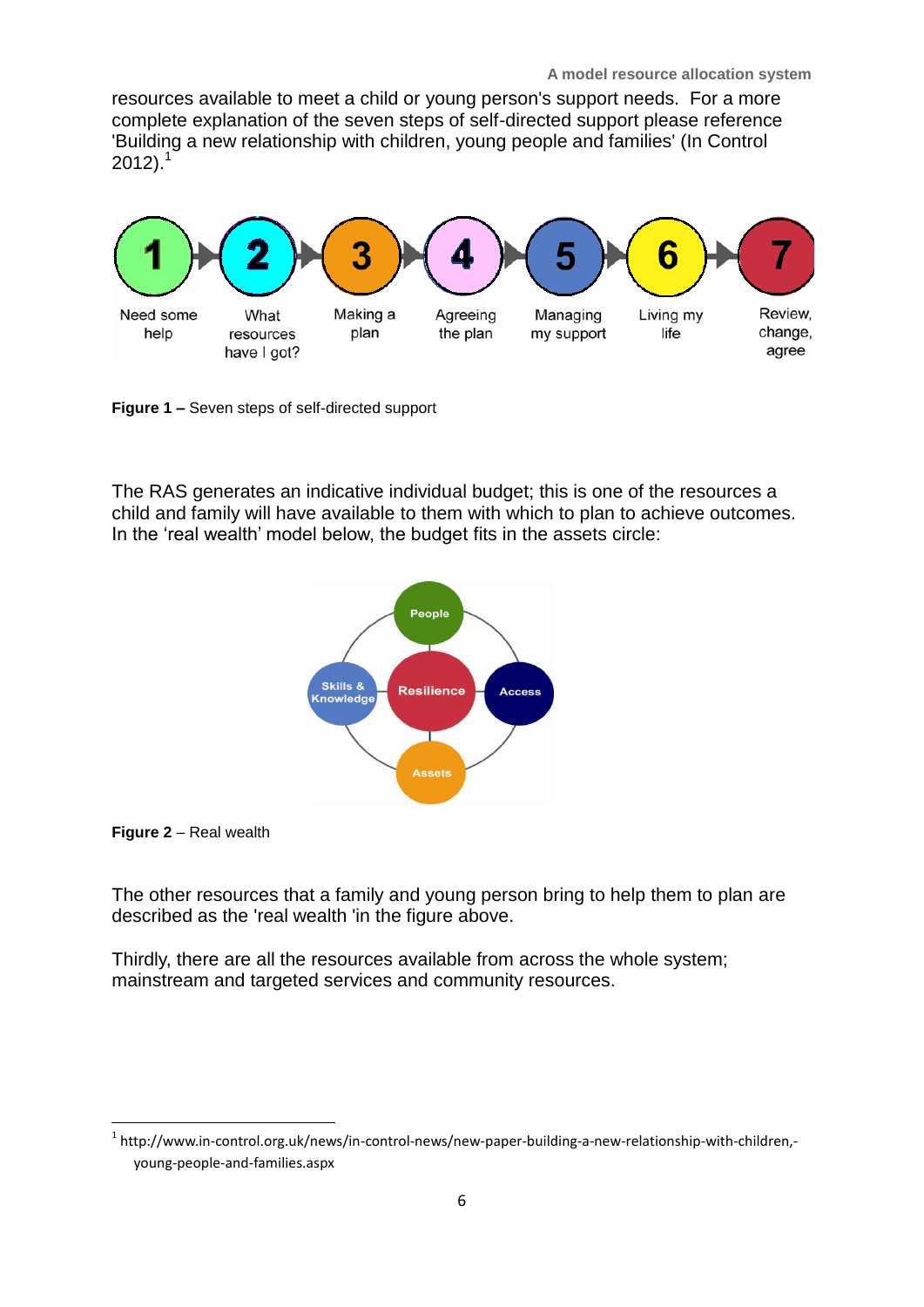**A model resource allocation system**

resources available to meet a child or young person's support needs. For a more complete explanation of the seven steps of self-directed support please reference 'Building a new relationship with children, young people and families' (In Control  $2012$ ).<sup>1</sup>



**Figure 1 –** Seven steps of self-directed support

The RAS generates an indicative individual budget; this is one of the resources a child and family will have available to them with which to plan to achieve outcomes. In the 'real wealth' model below, the budget fits in the assets circle:



**Figure 2** – Real wealth

**.** 

The other resources that a family and young person bring to help them to plan are described as the 'real wealth 'in the figure above.

Thirdly, there are all the resources available from across the whole system; mainstream and targeted services and community resources.

<sup>&</sup>lt;sup>1</sup> http://www.in-control.org.uk/news/in-control-news/new-paper-building-a-new-relationship-with-children,young-people-and-families.aspx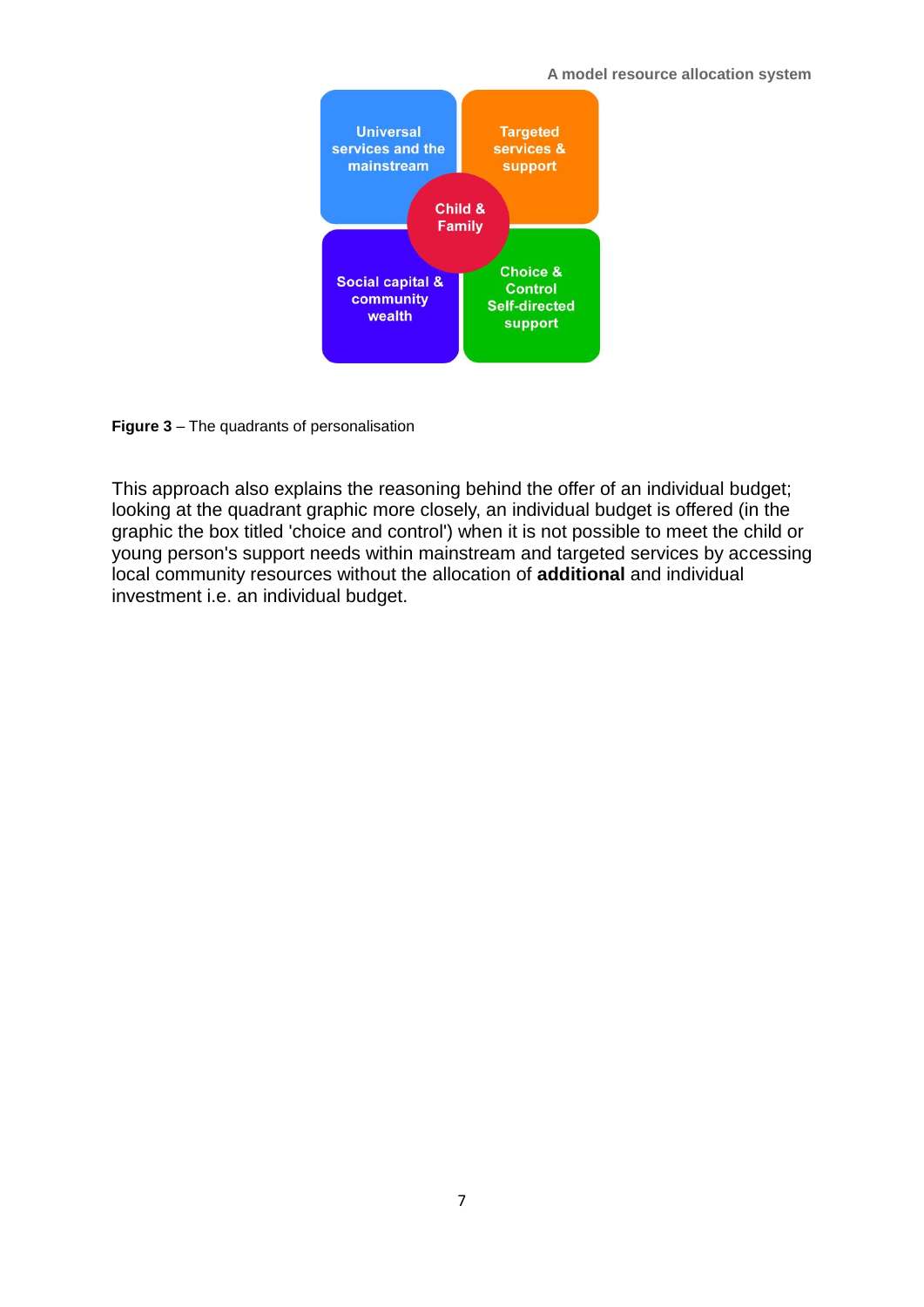#### **A model resource allocation system**



**Figure 3** – The quadrants of personalisation

This approach also explains the reasoning behind the offer of an individual budget; looking at the quadrant graphic more closely, an individual budget is offered (in the graphic the box titled 'choice and control') when it is not possible to meet the child or young person's support needs within mainstream and targeted services by accessing local community resources without the allocation of **additional** and individual investment i.e. an individual budget.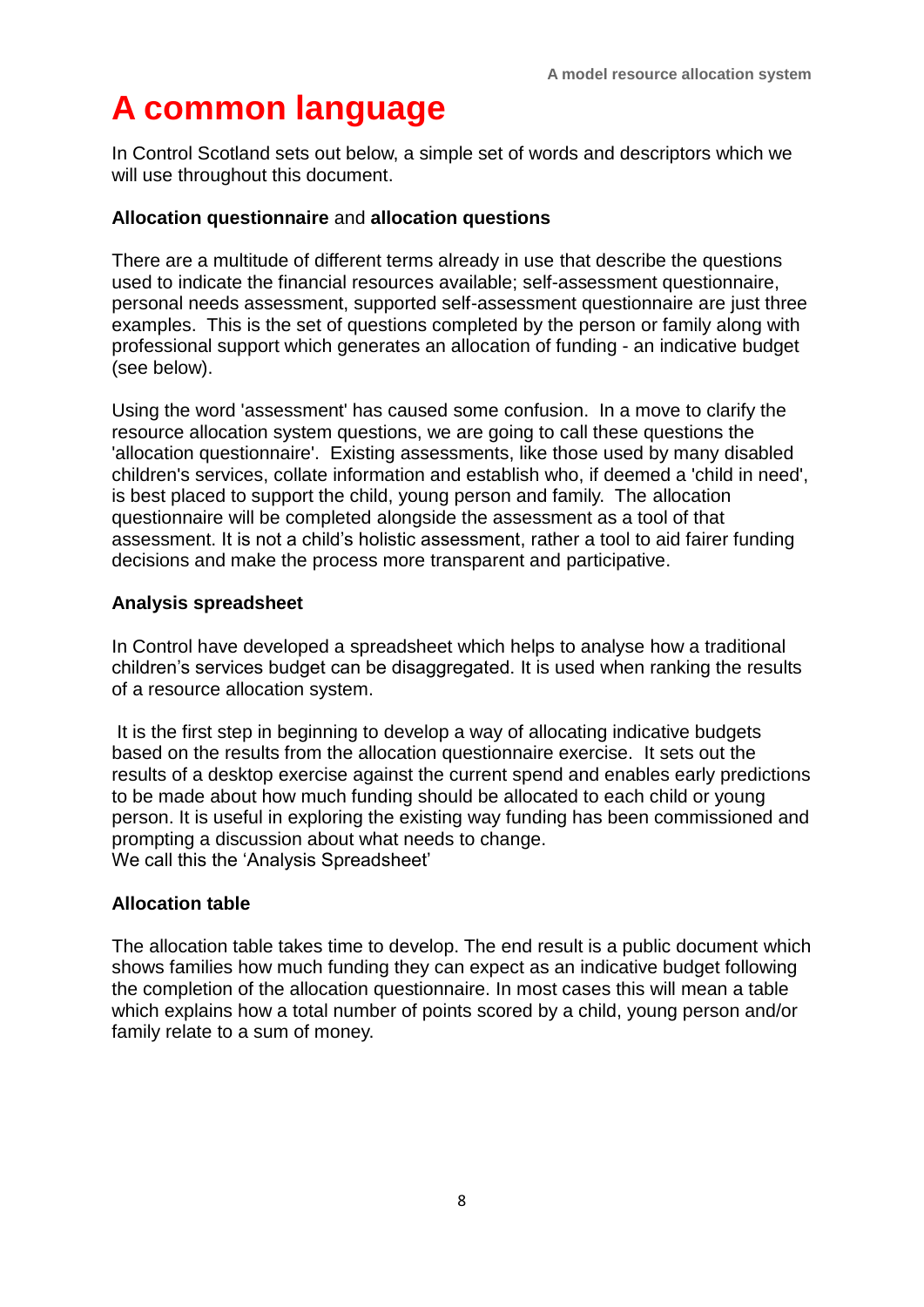# **A common language**

In Control Scotland sets out below, a simple set of words and descriptors which we will use throughout this document.

#### **Allocation questionnaire** and **allocation questions**

There are a multitude of different terms already in use that describe the questions used to indicate the financial resources available; self-assessment questionnaire, personal needs assessment, supported self-assessment questionnaire are just three examples. This is the set of questions completed by the person or family along with professional support which generates an allocation of funding - an indicative budget (see below).

Using the word 'assessment' has caused some confusion. In a move to clarify the resource allocation system questions, we are going to call these questions the 'allocation questionnaire'. Existing assessments, like those used by many disabled children's services, collate information and establish who, if deemed a 'child in need', is best placed to support the child, young person and family. The allocation questionnaire will be completed alongside the assessment as a tool of that assessment. It is not a child's holistic assessment, rather a tool to aid fairer funding decisions and make the process more transparent and participative.

#### **Analysis spreadsheet**

In Control have developed a spreadsheet which helps to analyse how a traditional children's services budget can be disaggregated. It is used when ranking the results of a resource allocation system.

It is the first step in beginning to develop a way of allocating indicative budgets based on the results from the allocation questionnaire exercise. It sets out the results of a desktop exercise against the current spend and enables early predictions to be made about how much funding should be allocated to each child or young person. It is useful in exploring the existing way funding has been commissioned and prompting a discussion about what needs to change. We call this the 'Analysis Spreadsheet'

#### **Allocation table**

The allocation table takes time to develop. The end result is a public document which shows families how much funding they can expect as an indicative budget following the completion of the allocation questionnaire. In most cases this will mean a table which explains how a total number of points scored by a child, young person and/or family relate to a sum of money.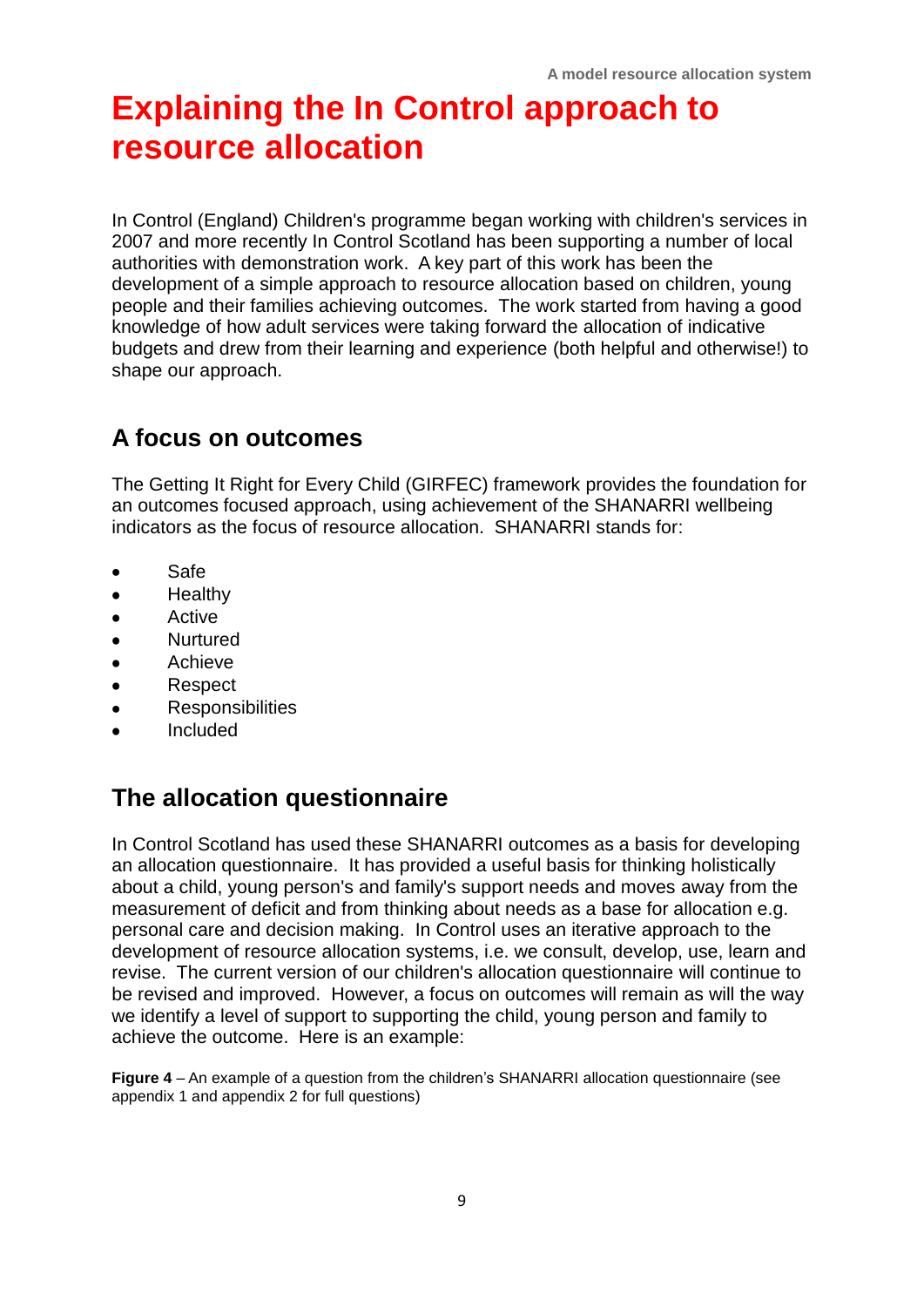# **Explaining the In Control approach to resource allocation**

In Control (England) Children's programme began working with children's services in 2007 and more recently In Control Scotland has been supporting a number of local authorities with demonstration work. A key part of this work has been the development of a simple approach to resource allocation based on children, young people and their families achieving outcomes. The work started from having a good knowledge of how adult services were taking forward the allocation of indicative budgets and drew from their learning and experience (both helpful and otherwise!) to shape our approach.

## **A focus on outcomes**

The Getting It Right for Every Child (GIRFEC) framework provides the foundation for an outcomes focused approach, using achievement of the SHANARRI wellbeing indicators as the focus of resource allocation. SHANARRI stands for:

- Safe  $\bullet$
- **Healthy**
- $\bullet$ Active
- **Nurtured**  $\bullet$
- Achieve
- Respect
- **Responsibilities**  $\bullet$
- Included

## **The allocation questionnaire**

In Control Scotland has used these SHANARRI outcomes as a basis for developing an allocation questionnaire. It has provided a useful basis for thinking holistically about a child, young person's and family's support needs and moves away from the measurement of deficit and from thinking about needs as a base for allocation e.g. personal care and decision making. In Control uses an iterative approach to the development of resource allocation systems, i.e. we consult, develop, use, learn and revise. The current version of our children's allocation questionnaire will continue to be revised and improved. However, a focus on outcomes will remain as will the way we identify a level of support to supporting the child, young person and family to achieve the outcome. Here is an example:

**Figure 4** – An example of a question from the children's SHANARRI allocation questionnaire (see appendix 1 and appendix 2 for full questions)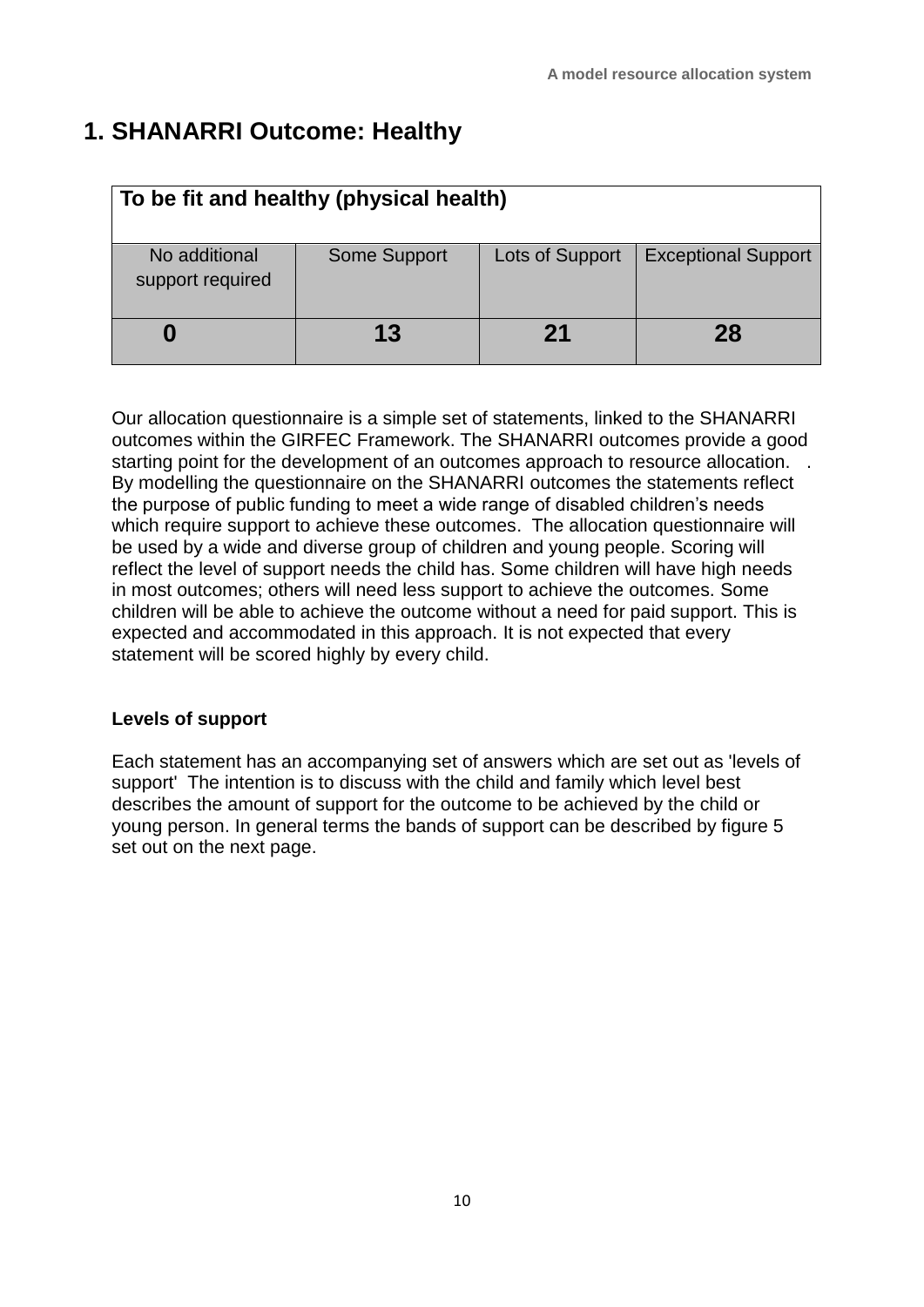## **1. SHANARRI Outcome: Healthy**

| To be fit and healthy (physical health) |              |                 |                            |
|-----------------------------------------|--------------|-----------------|----------------------------|
| No additional<br>support required       | Some Support | Lots of Support | <b>Exceptional Support</b> |
|                                         | 13           | 21              | 28                         |

Our allocation questionnaire is a simple set of statements, linked to the SHANARRI outcomes within the GIRFEC Framework. The SHANARRI outcomes provide a good starting point for the development of an outcomes approach to resource allocation. . By modelling the questionnaire on the SHANARRI outcomes the statements reflect the purpose of public funding to meet a wide range of disabled children's needs which require support to achieve these outcomes. The allocation questionnaire will be used by a wide and diverse group of children and young people. Scoring will reflect the level of support needs the child has. Some children will have high needs in most outcomes; others will need less support to achieve the outcomes. Some children will be able to achieve the outcome without a need for paid support. This is expected and accommodated in this approach. It is not expected that every statement will be scored highly by every child.

#### **Levels of support**

Each statement has an accompanying set of answers which are set out as 'levels of support' The intention is to discuss with the child and family which level best describes the amount of support for the outcome to be achieved by the child or young person. In general terms the bands of support can be described by figure 5 set out on the next page.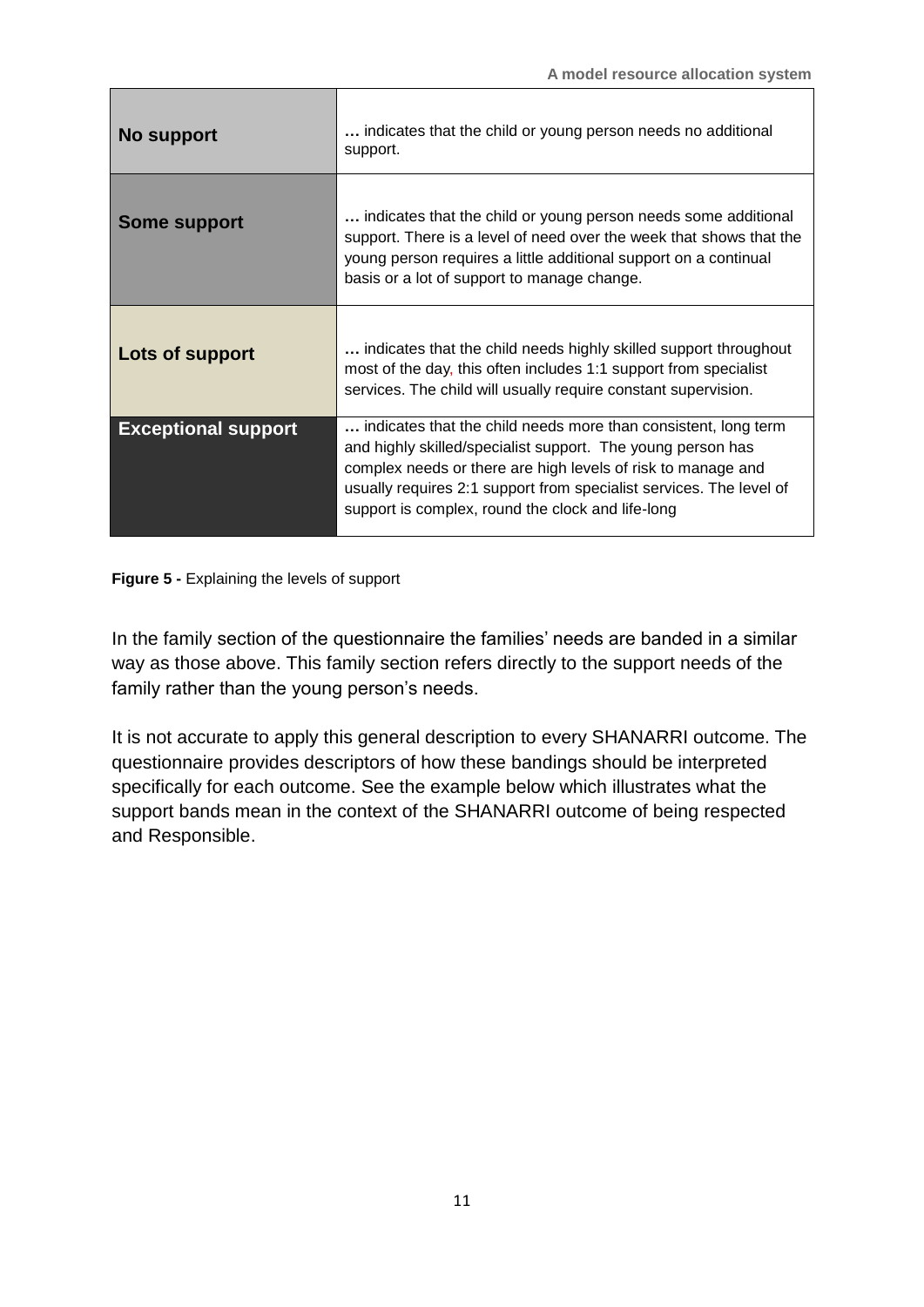| No support                 | indicates that the child or young person needs no additional<br>support.                                                                                                                                                                                                                                                  |
|----------------------------|---------------------------------------------------------------------------------------------------------------------------------------------------------------------------------------------------------------------------------------------------------------------------------------------------------------------------|
| <b>Some support</b>        | indicates that the child or young person needs some additional<br>support. There is a level of need over the week that shows that the<br>young person requires a little additional support on a continual<br>basis or a lot of support to manage change.                                                                  |
| Lots of support            | indicates that the child needs highly skilled support throughout<br>most of the day, this often includes 1:1 support from specialist<br>services. The child will usually require constant supervision.                                                                                                                    |
| <b>Exceptional support</b> | indicates that the child needs more than consistent, long term<br>and highly skilled/specialist support. The young person has<br>complex needs or there are high levels of risk to manage and<br>usually requires 2:1 support from specialist services. The level of<br>support is complex, round the clock and life-long |

**Figure 5 -** Explaining the levels of support

In the family section of the questionnaire the families' needs are banded in a similar way as those above. This family section refers directly to the support needs of the family rather than the young person's needs.

It is not accurate to apply this general description to every SHANARRI outcome. The questionnaire provides descriptors of how these bandings should be interpreted specifically for each outcome. See the example below which illustrates what the support bands mean in the context of the SHANARRI outcome of being respected and Responsible.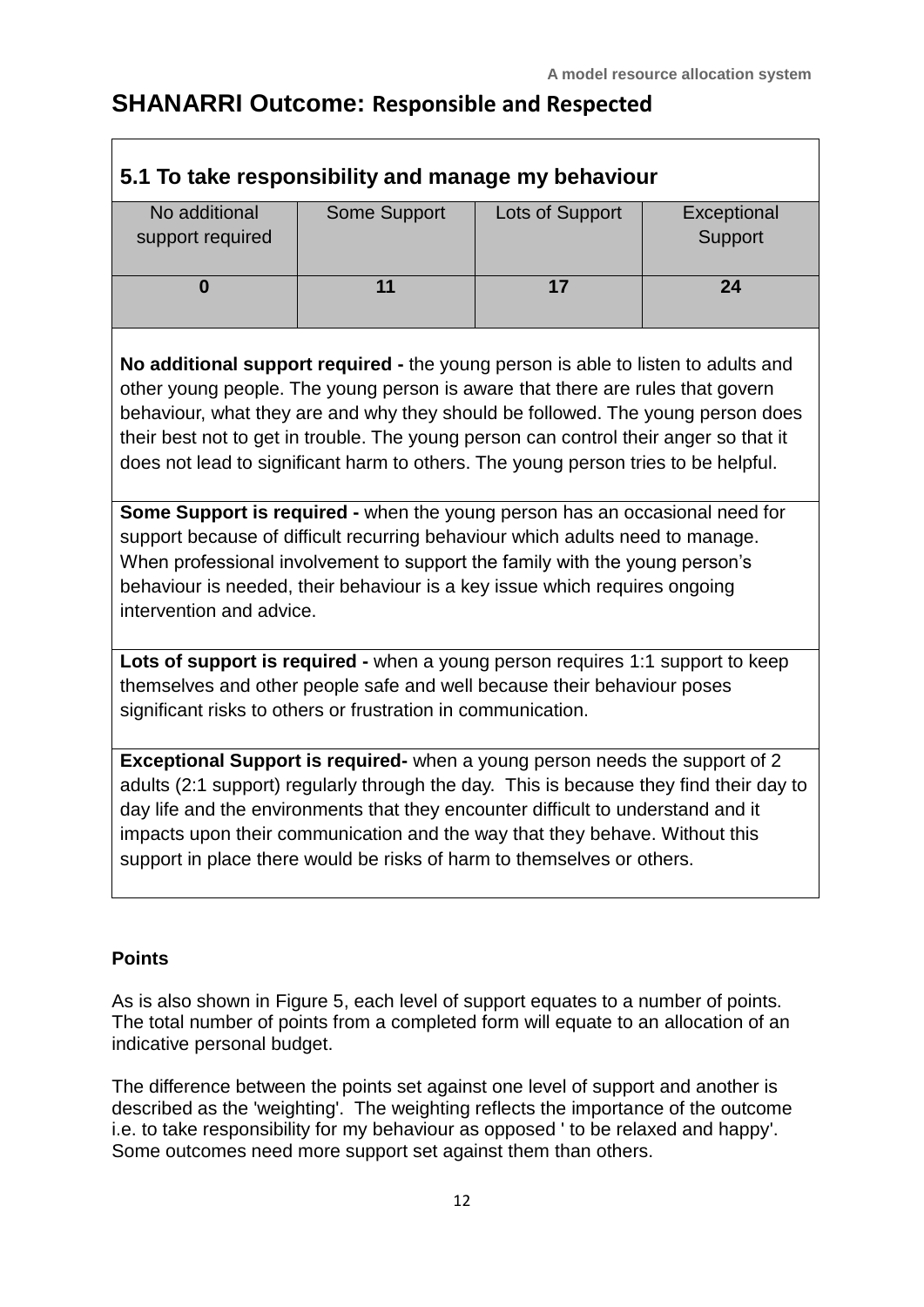### **SHANARRI Outcome: Responsible and Respected**

| 5.1 To take responsibility and manage my behaviour                                                                                                                                                                                                                                                                                                                                                                                    |                     |                 |             |  |
|---------------------------------------------------------------------------------------------------------------------------------------------------------------------------------------------------------------------------------------------------------------------------------------------------------------------------------------------------------------------------------------------------------------------------------------|---------------------|-----------------|-------------|--|
| No additional                                                                                                                                                                                                                                                                                                                                                                                                                         | <b>Some Support</b> | Lots of Support | Exceptional |  |
| support required                                                                                                                                                                                                                                                                                                                                                                                                                      |                     |                 | Support     |  |
|                                                                                                                                                                                                                                                                                                                                                                                                                                       |                     |                 |             |  |
| $\bf{0}$                                                                                                                                                                                                                                                                                                                                                                                                                              | 11                  | 17              | 24          |  |
|                                                                                                                                                                                                                                                                                                                                                                                                                                       |                     |                 |             |  |
| No additional support required - the young person is able to listen to adults and<br>other young people. The young person is aware that there are rules that govern<br>behaviour, what they are and why they should be followed. The young person does<br>their best not to get in trouble. The young person can control their anger so that it<br>does not lead to significant harm to others. The young person tries to be helpful. |                     |                 |             |  |
| Some Support is required - when the young person has an occasional need for<br>support because of difficult recurring behaviour which adults need to manage.<br>When professional involvement to support the family with the young person's<br>behaviour is needed, their behaviour is a key issue which requires ongoing<br>intervention and advice.                                                                                 |                     |                 |             |  |
| Lots of support is required - when a young person requires 1:1 support to keep<br>themselves and other people safe and well because their behaviour poses<br>significant risks to others or frustration in communication.                                                                                                                                                                                                             |                     |                 |             |  |
| Exceptional Support is required- when a young person needs the support of 2<br>adults (2:1 support) regularly through the day. This is because they find their day to<br>day life and the environments that they encounter difficult to understand and it                                                                                                                                                                             |                     |                 |             |  |

#### **Points**

 $\mathsf{r}$ 

As is also shown in Figure 5, each level of support equates to a number of points. The total number of points from a completed form will equate to an allocation of an indicative personal budget.

impacts upon their communication and the way that they behave. Without this

support in place there would be risks of harm to themselves or others.

The difference between the points set against one level of support and another is described as the 'weighting'. The weighting reflects the importance of the outcome i.e. to take responsibility for my behaviour as opposed ' to be relaxed and happy'. Some outcomes need more support set against them than others.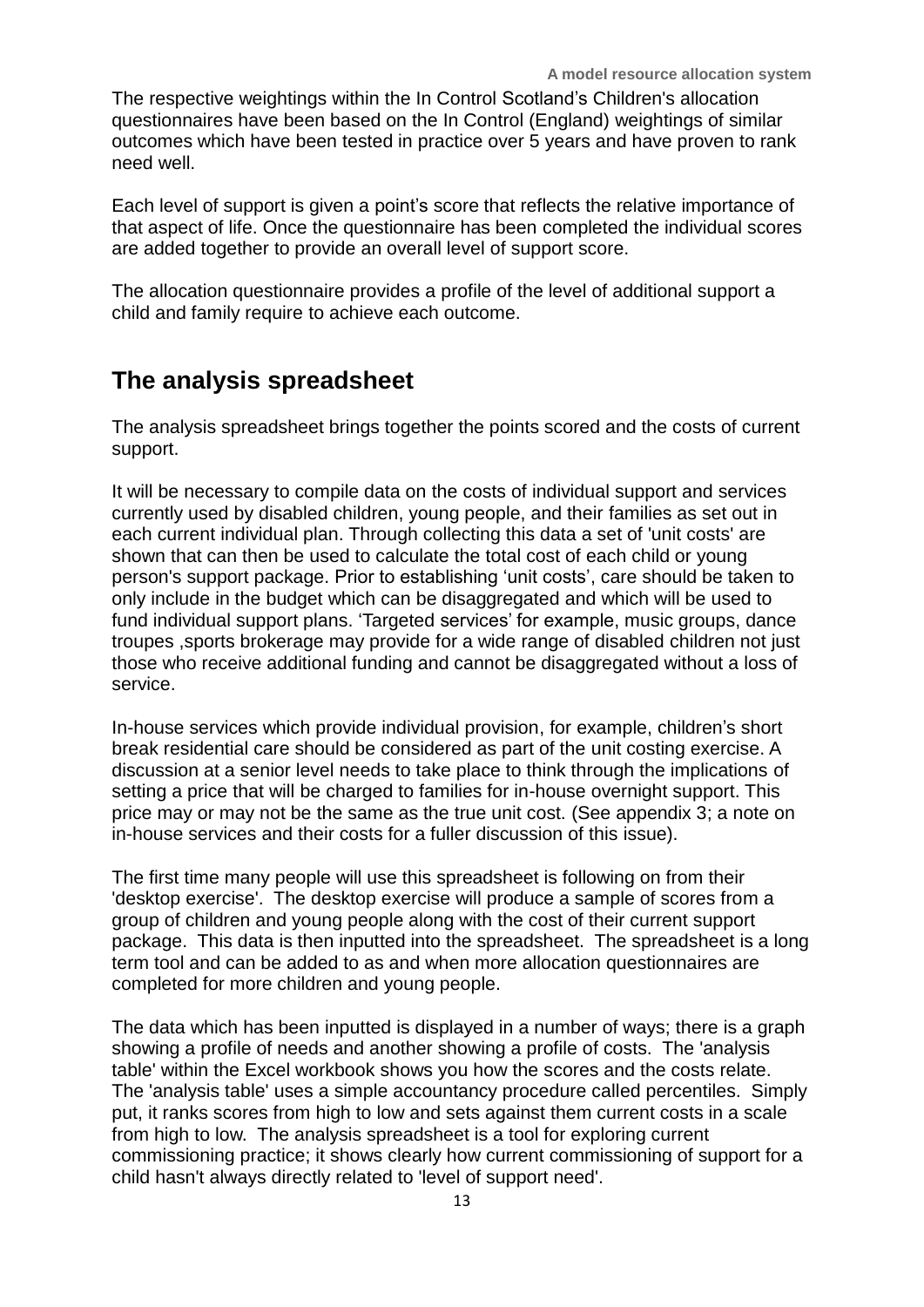The respective weightings within the In Control Scotland's Children's allocation questionnaires have been based on the In Control (England) weightings of similar outcomes which have been tested in practice over 5 years and have proven to rank need well.

Each level of support is given a point's score that reflects the relative importance of that aspect of life. Once the questionnaire has been completed the individual scores are added together to provide an overall level of support score.

The allocation questionnaire provides a profile of the level of additional support a child and family require to achieve each outcome.

#### **The analysis spreadsheet**

The analysis spreadsheet brings together the points scored and the costs of current support.

It will be necessary to compile data on the costs of individual support and services currently used by disabled children, young people, and their families as set out in each current individual plan. Through collecting this data a set of 'unit costs' are shown that can then be used to calculate the total cost of each child or young person's support package. Prior to establishing 'unit costs', care should be taken to only include in the budget which can be disaggregated and which will be used to fund individual support plans. 'Targeted services' for example, music groups, dance troupes ,sports brokerage may provide for a wide range of disabled children not just those who receive additional funding and cannot be disaggregated without a loss of service.

In-house services which provide individual provision, for example, children's short break residential care should be considered as part of the unit costing exercise. A discussion at a senior level needs to take place to think through the implications of setting a price that will be charged to families for in-house overnight support. This price may or may not be the same as the true unit cost. (See appendix 3; a note on in-house services and their costs for a fuller discussion of this issue).

The first time many people will use this spreadsheet is following on from their 'desktop exercise'. The desktop exercise will produce a sample of scores from a group of children and young people along with the cost of their current support package. This data is then inputted into the spreadsheet. The spreadsheet is a long term tool and can be added to as and when more allocation questionnaires are completed for more children and young people.

The data which has been inputted is displayed in a number of ways; there is a graph showing a profile of needs and another showing a profile of costs. The 'analysis table' within the Excel workbook shows you how the scores and the costs relate. The 'analysis table' uses a simple accountancy procedure called percentiles. Simply put, it ranks scores from high to low and sets against them current costs in a scale from high to low. The analysis spreadsheet is a tool for exploring current commissioning practice; it shows clearly how current commissioning of support for a child hasn't always directly related to 'level of support need'.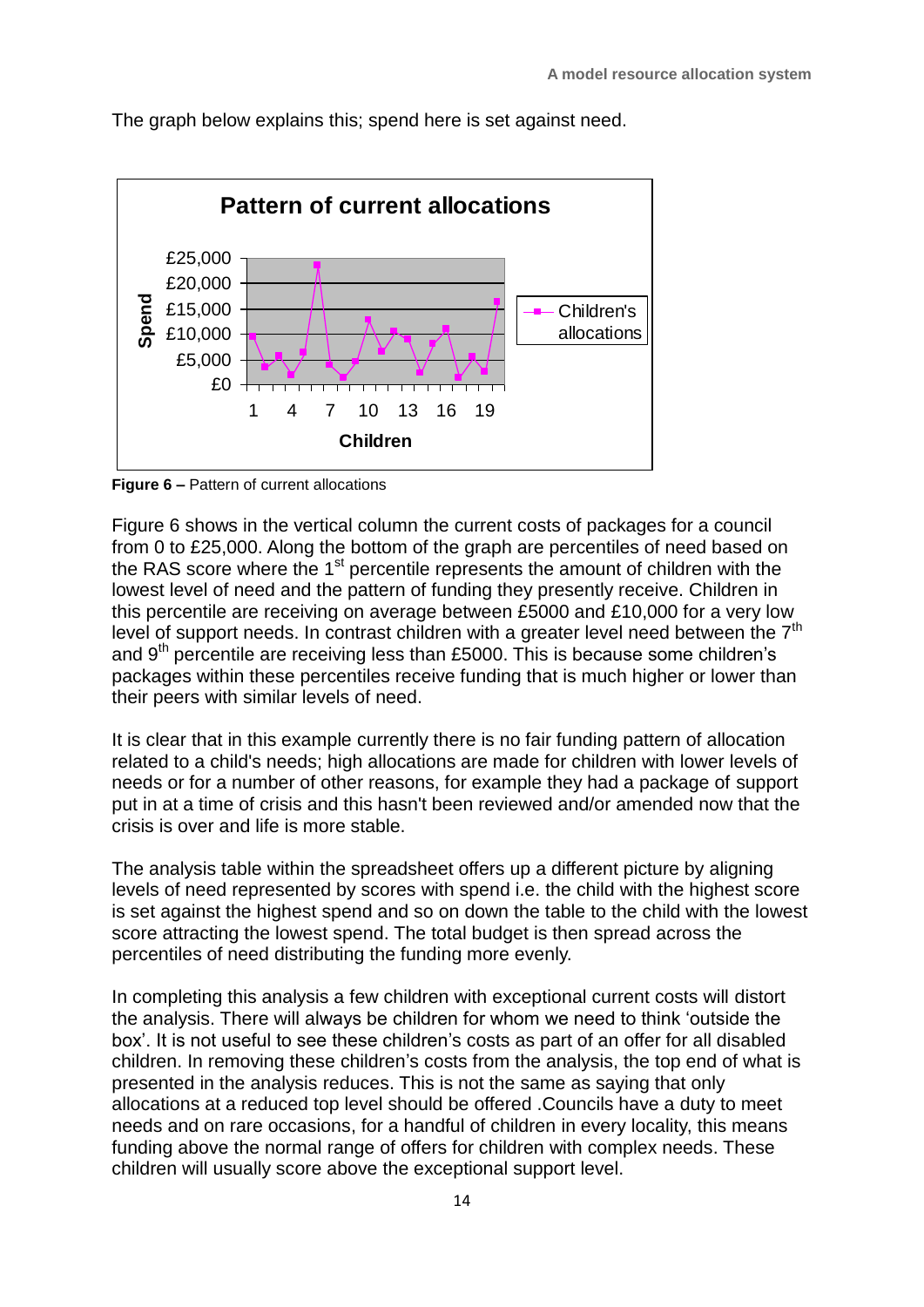The graph below explains this; spend here is set against need.



**Figure 6 –** Pattern of current allocations

Figure 6 shows in the vertical column the current costs of packages for a council from 0 to £25,000. Along the bottom of the graph are percentiles of need based on the RAS score where the 1<sup>st</sup> percentile represents the amount of children with the lowest level of need and the pattern of funding they presently receive. Children in this percentile are receiving on average between £5000 and £10,000 for a very low level of support needs. In contrast children with a greater level need between the  $7<sup>th</sup>$ and  $9<sup>th</sup>$  percentile are receiving less than £5000. This is because some children's packages within these percentiles receive funding that is much higher or lower than their peers with similar levels of need.

It is clear that in this example currently there is no fair funding pattern of allocation related to a child's needs; high allocations are made for children with lower levels of needs or for a number of other reasons, for example they had a package of support put in at a time of crisis and this hasn't been reviewed and/or amended now that the crisis is over and life is more stable.

The analysis table within the spreadsheet offers up a different picture by aligning levels of need represented by scores with spend i.e. the child with the highest score is set against the highest spend and so on down the table to the child with the lowest score attracting the lowest spend. The total budget is then spread across the percentiles of need distributing the funding more evenly.

In completing this analysis a few children with exceptional current costs will distort the analysis. There will always be children for whom we need to think 'outside the box'. It is not useful to see these children's costs as part of an offer for all disabled children. In removing these children's costs from the analysis, the top end of what is presented in the analysis reduces. This is not the same as saying that only allocations at a reduced top level should be offered .Councils have a duty to meet needs and on rare occasions, for a handful of children in every locality, this means funding above the normal range of offers for children with complex needs. These children will usually score above the exceptional support level.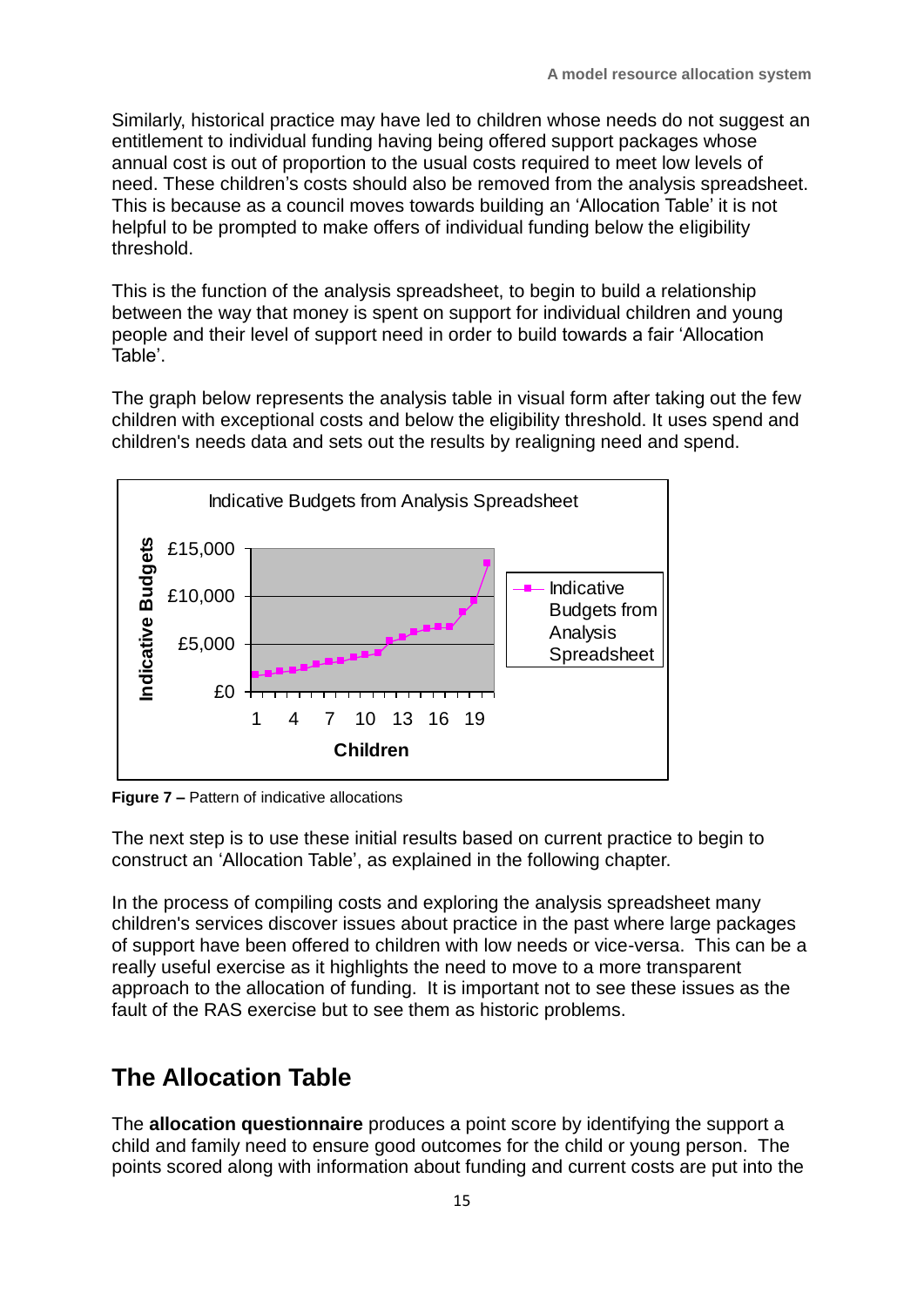Similarly, historical practice may have led to children whose needs do not suggest an entitlement to individual funding having being offered support packages whose annual cost is out of proportion to the usual costs required to meet low levels of need. These children's costs should also be removed from the analysis spreadsheet. This is because as a council moves towards building an 'Allocation Table' it is not helpful to be prompted to make offers of individual funding below the eligibility threshold.

This is the function of the analysis spreadsheet, to begin to build a relationship between the way that money is spent on support for individual children and young people and their level of support need in order to build towards a fair 'Allocation Table'.

The graph below represents the analysis table in visual form after taking out the few children with exceptional costs and below the eligibility threshold. It uses spend and children's needs data and sets out the results by realigning need and spend.



**Figure 7 –** Pattern of indicative allocations

The next step is to use these initial results based on current practice to begin to construct an 'Allocation Table', as explained in the following chapter.

In the process of compiling costs and exploring the analysis spreadsheet many children's services discover issues about practice in the past where large packages of support have been offered to children with low needs or vice-versa. This can be a really useful exercise as it highlights the need to move to a more transparent approach to the allocation of funding. It is important not to see these issues as the fault of the RAS exercise but to see them as historic problems.

## **The Allocation Table**

The **allocation questionnaire** produces a point score by identifying the support a child and family need to ensure good outcomes for the child or young person. The points scored along with information about funding and current costs are put into the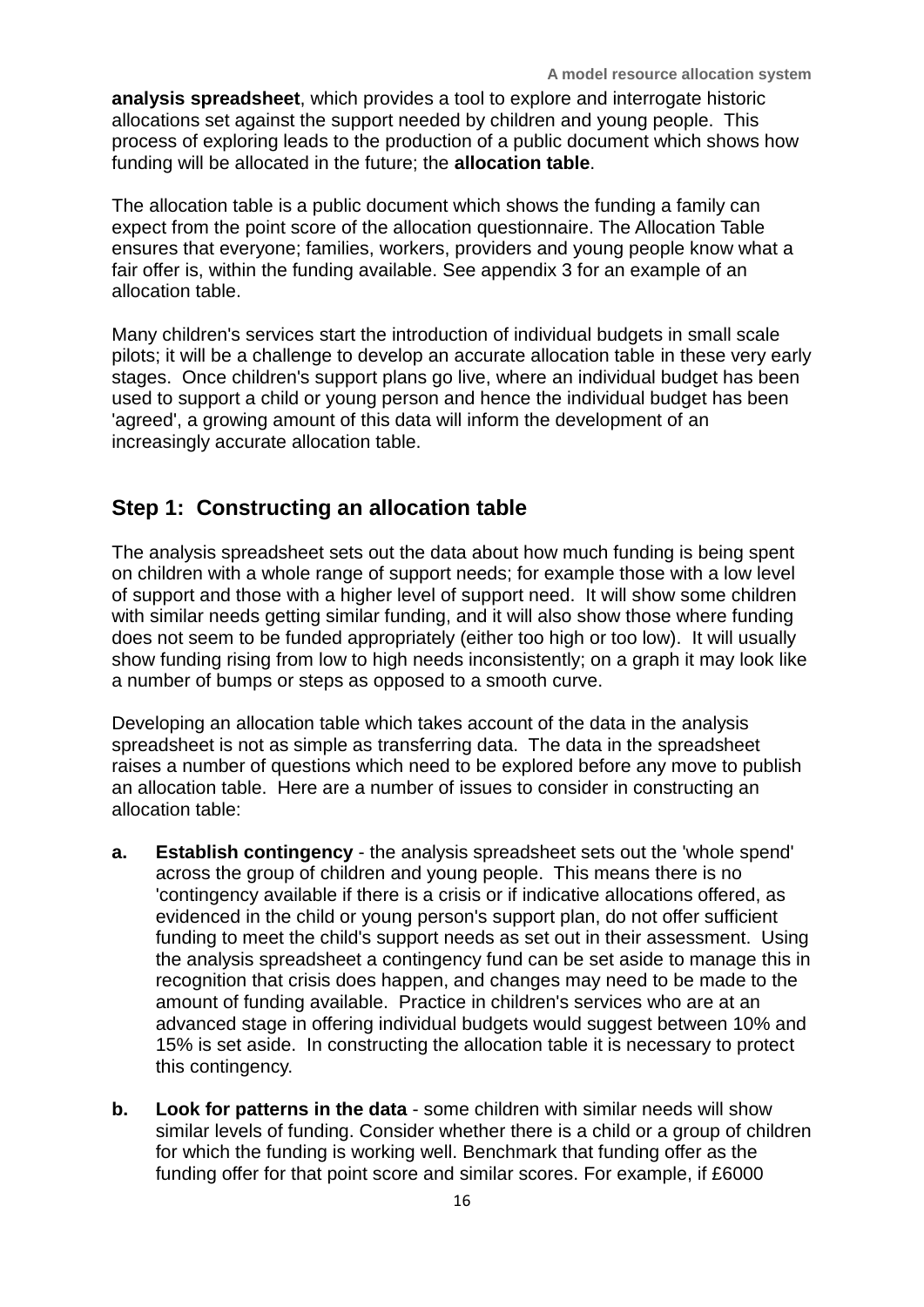**analysis spreadsheet**, which provides a tool to explore and interrogate historic allocations set against the support needed by children and young people. This process of exploring leads to the production of a public document which shows how funding will be allocated in the future; the **allocation table**.

The allocation table is a public document which shows the funding a family can expect from the point score of the allocation questionnaire. The Allocation Table ensures that everyone; families, workers, providers and young people know what a fair offer is, within the funding available. See appendix 3 for an example of an allocation table.

Many children's services start the introduction of individual budgets in small scale pilots; it will be a challenge to develop an accurate allocation table in these very early stages. Once children's support plans go live, where an individual budget has been used to support a child or young person and hence the individual budget has been 'agreed', a growing amount of this data will inform the development of an increasingly accurate allocation table.

#### **Step 1: Constructing an allocation table**

The analysis spreadsheet sets out the data about how much funding is being spent on children with a whole range of support needs; for example those with a low level of support and those with a higher level of support need. It will show some children with similar needs getting similar funding, and it will also show those where funding does not seem to be funded appropriately (either too high or too low). It will usually show funding rising from low to high needs inconsistently; on a graph it may look like a number of bumps or steps as opposed to a smooth curve.

Developing an allocation table which takes account of the data in the analysis spreadsheet is not as simple as transferring data. The data in the spreadsheet raises a number of questions which need to be explored before any move to publish an allocation table. Here are a number of issues to consider in constructing an allocation table:

- **a. Establish contingency** the analysis spreadsheet sets out the 'whole spend' across the group of children and young people. This means there is no 'contingency available if there is a crisis or if indicative allocations offered, as evidenced in the child or young person's support plan, do not offer sufficient funding to meet the child's support needs as set out in their assessment. Using the analysis spreadsheet a contingency fund can be set aside to manage this in recognition that crisis does happen, and changes may need to be made to the amount of funding available. Practice in children's services who are at an advanced stage in offering individual budgets would suggest between 10% and 15% is set aside. In constructing the allocation table it is necessary to protect this contingency.
- **b. Look for patterns in the data**  some children with similar needs will show similar levels of funding. Consider whether there is a child or a group of children for which the funding is working well. Benchmark that funding offer as the funding offer for that point score and similar scores. For example, if £6000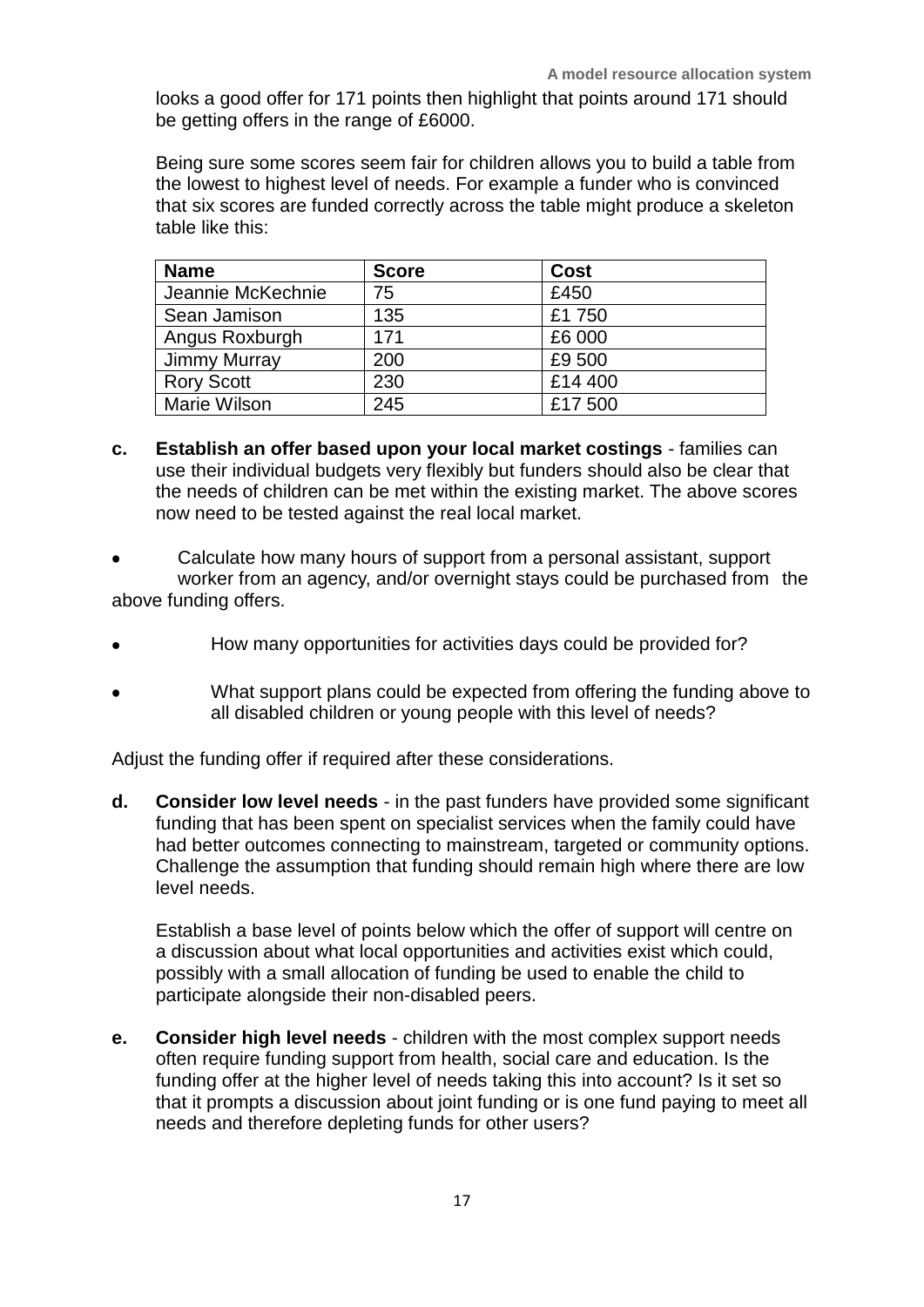looks a good offer for 171 points then highlight that points around 171 should be getting offers in the range of £6000.

Being sure some scores seem fair for children allows you to build a table from the lowest to highest level of needs. For example a funder who is convinced that six scores are funded correctly across the table might produce a skeleton table like this:

| <b>Name</b>         | <b>Score</b> | <b>Cost</b> |
|---------------------|--------------|-------------|
| Jeannie McKechnie   | 75           | £450        |
| Sean Jamison        | 135          | £1750       |
| Angus Roxburgh      | 171          | £6 000      |
| Jimmy Murray        | 200          | £9 500      |
| <b>Rory Scott</b>   | 230          | £14 400     |
| <b>Marie Wilson</b> | 245          | £17 500     |

- **c. Establish an offer based upon your local market costings** families can use their individual budgets very flexibly but funders should also be clear that the needs of children can be met within the existing market. The above scores now need to be tested against the real local market.
- Calculate how many hours of support from a personal assistant, support worker from an agency, and/or overnight stays could be purchased from the above funding offers.
- How many opportunities for activities days could be provided for?
- What support plans could be expected from offering the funding above to all disabled children or young people with this level of needs?

Adjust the funding offer if required after these considerations.

**d. Consider low level needs** - in the past funders have provided some significant funding that has been spent on specialist services when the family could have had better outcomes connecting to mainstream, targeted or community options. Challenge the assumption that funding should remain high where there are low level needs.

Establish a base level of points below which the offer of support will centre on a discussion about what local opportunities and activities exist which could, possibly with a small allocation of funding be used to enable the child to participate alongside their non-disabled peers.

**e. Consider high level needs** - children with the most complex support needs often require funding support from health, social care and education. Is the funding offer at the higher level of needs taking this into account? Is it set so that it prompts a discussion about joint funding or is one fund paying to meet all needs and therefore depleting funds for other users?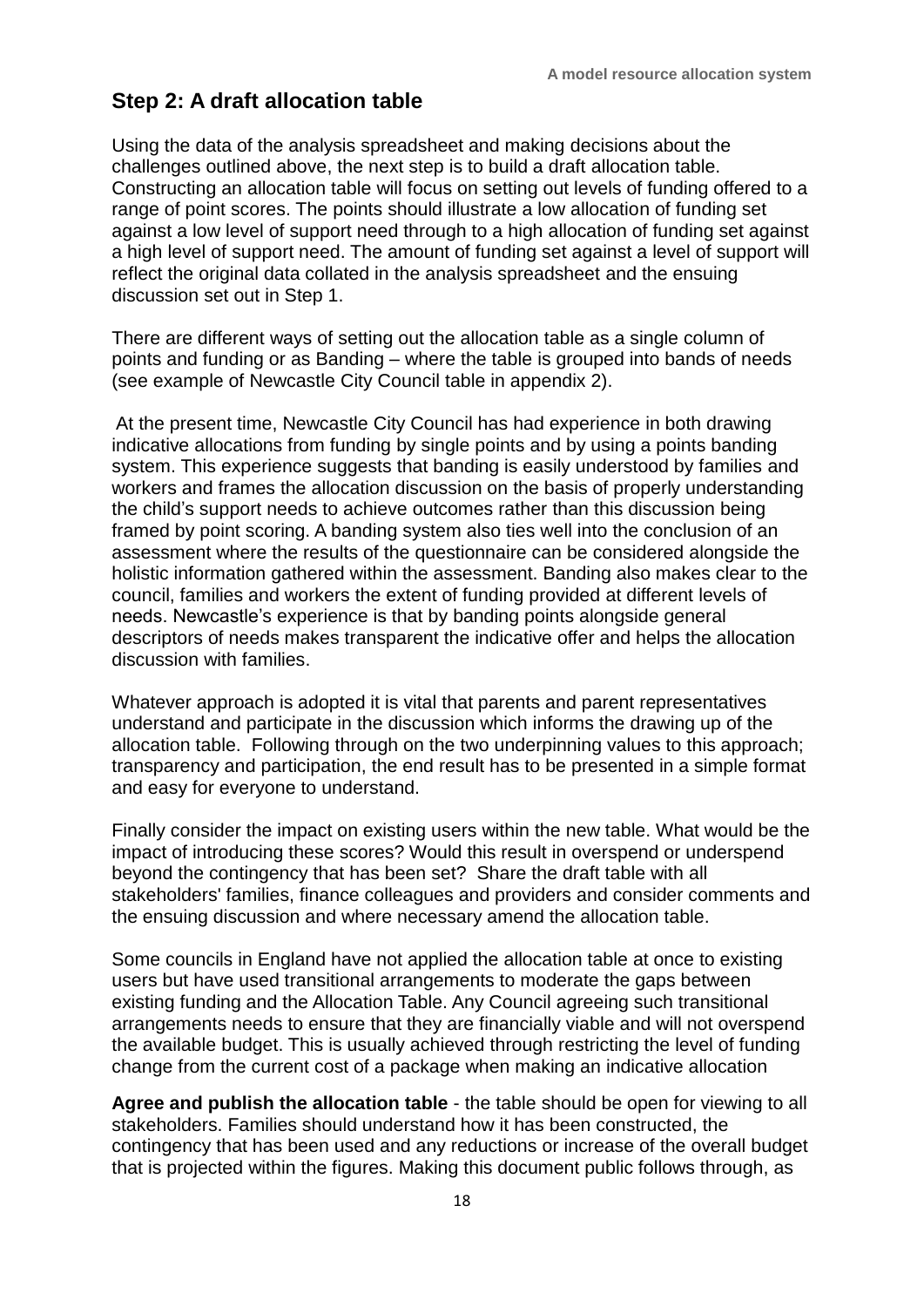#### **Step 2: A draft allocation table**

Using the data of the analysis spreadsheet and making decisions about the challenges outlined above, the next step is to build a draft allocation table. Constructing an allocation table will focus on setting out levels of funding offered to a range of point scores. The points should illustrate a low allocation of funding set against a low level of support need through to a high allocation of funding set against a high level of support need. The amount of funding set against a level of support will reflect the original data collated in the analysis spreadsheet and the ensuing discussion set out in Step 1.

There are different ways of setting out the allocation table as a single column of points and funding or as Banding – where the table is grouped into bands of needs (see example of Newcastle City Council table in appendix 2).

At the present time, Newcastle City Council has had experience in both drawing indicative allocations from funding by single points and by using a points banding system. This experience suggests that banding is easily understood by families and workers and frames the allocation discussion on the basis of properly understanding the child's support needs to achieve outcomes rather than this discussion being framed by point scoring. A banding system also ties well into the conclusion of an assessment where the results of the questionnaire can be considered alongside the holistic information gathered within the assessment. Banding also makes clear to the council, families and workers the extent of funding provided at different levels of needs. Newcastle's experience is that by banding points alongside general descriptors of needs makes transparent the indicative offer and helps the allocation discussion with families.

Whatever approach is adopted it is vital that parents and parent representatives understand and participate in the discussion which informs the drawing up of the allocation table. Following through on the two underpinning values to this approach; transparency and participation, the end result has to be presented in a simple format and easy for everyone to understand.

Finally consider the impact on existing users within the new table. What would be the impact of introducing these scores? Would this result in overspend or underspend beyond the contingency that has been set? Share the draft table with all stakeholders' families, finance colleagues and providers and consider comments and the ensuing discussion and where necessary amend the allocation table.

Some councils in England have not applied the allocation table at once to existing users but have used transitional arrangements to moderate the gaps between existing funding and the Allocation Table. Any Council agreeing such transitional arrangements needs to ensure that they are financially viable and will not overspend the available budget. This is usually achieved through restricting the level of funding change from the current cost of a package when making an indicative allocation

**Agree and publish the allocation table** - the table should be open for viewing to all stakeholders. Families should understand how it has been constructed, the contingency that has been used and any reductions or increase of the overall budget that is projected within the figures. Making this document public follows through, as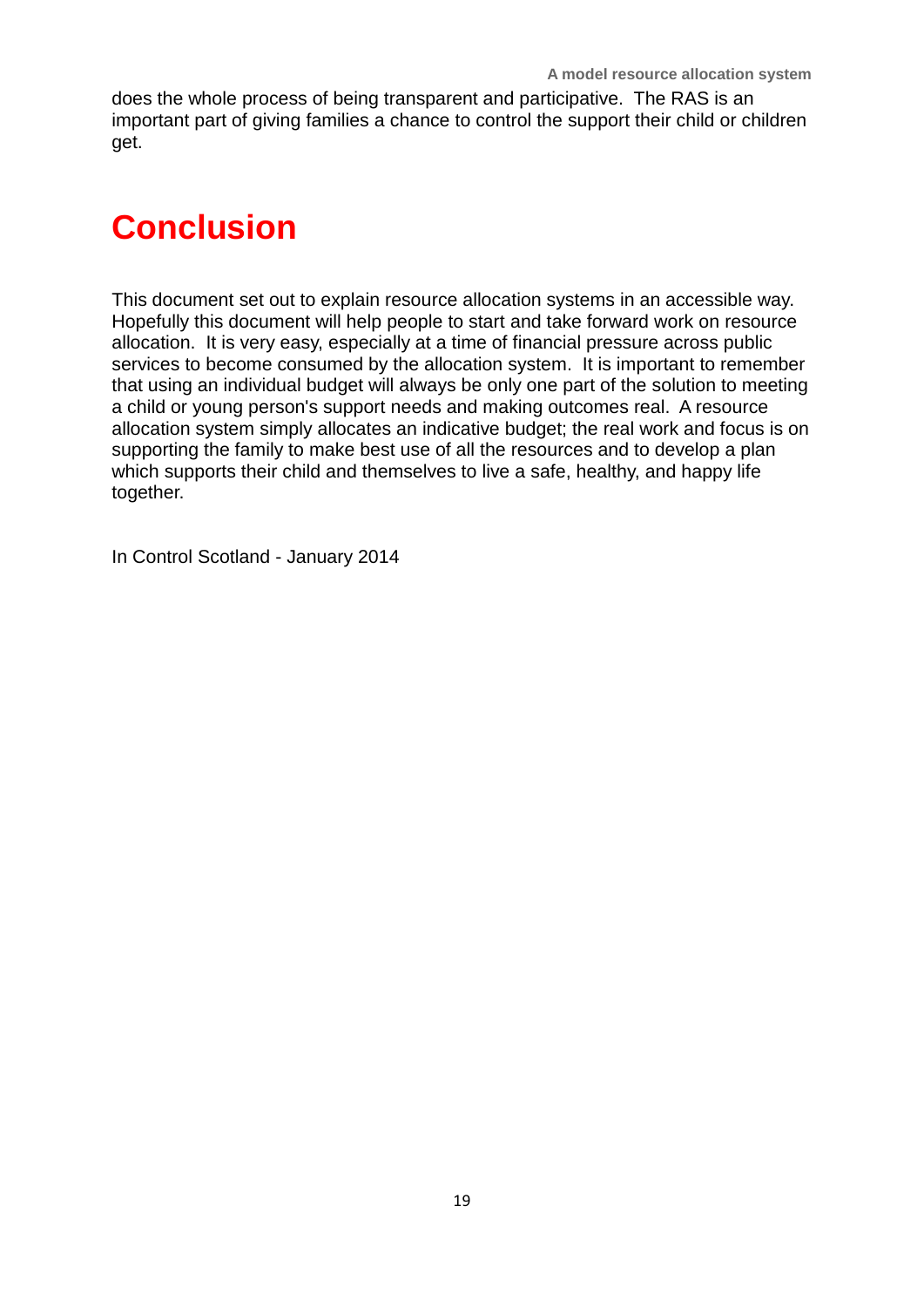does the whole process of being transparent and participative. The RAS is an important part of giving families a chance to control the support their child or children get.

# **Conclusion**

This document set out to explain resource allocation systems in an accessible way. Hopefully this document will help people to start and take forward work on resource allocation. It is very easy, especially at a time of financial pressure across public services to become consumed by the allocation system. It is important to remember that using an individual budget will always be only one part of the solution to meeting a child or young person's support needs and making outcomes real. A resource allocation system simply allocates an indicative budget; the real work and focus is on supporting the family to make best use of all the resources and to develop a plan which supports their child and themselves to live a safe, healthy, and happy life together.

In Control Scotland - January 2014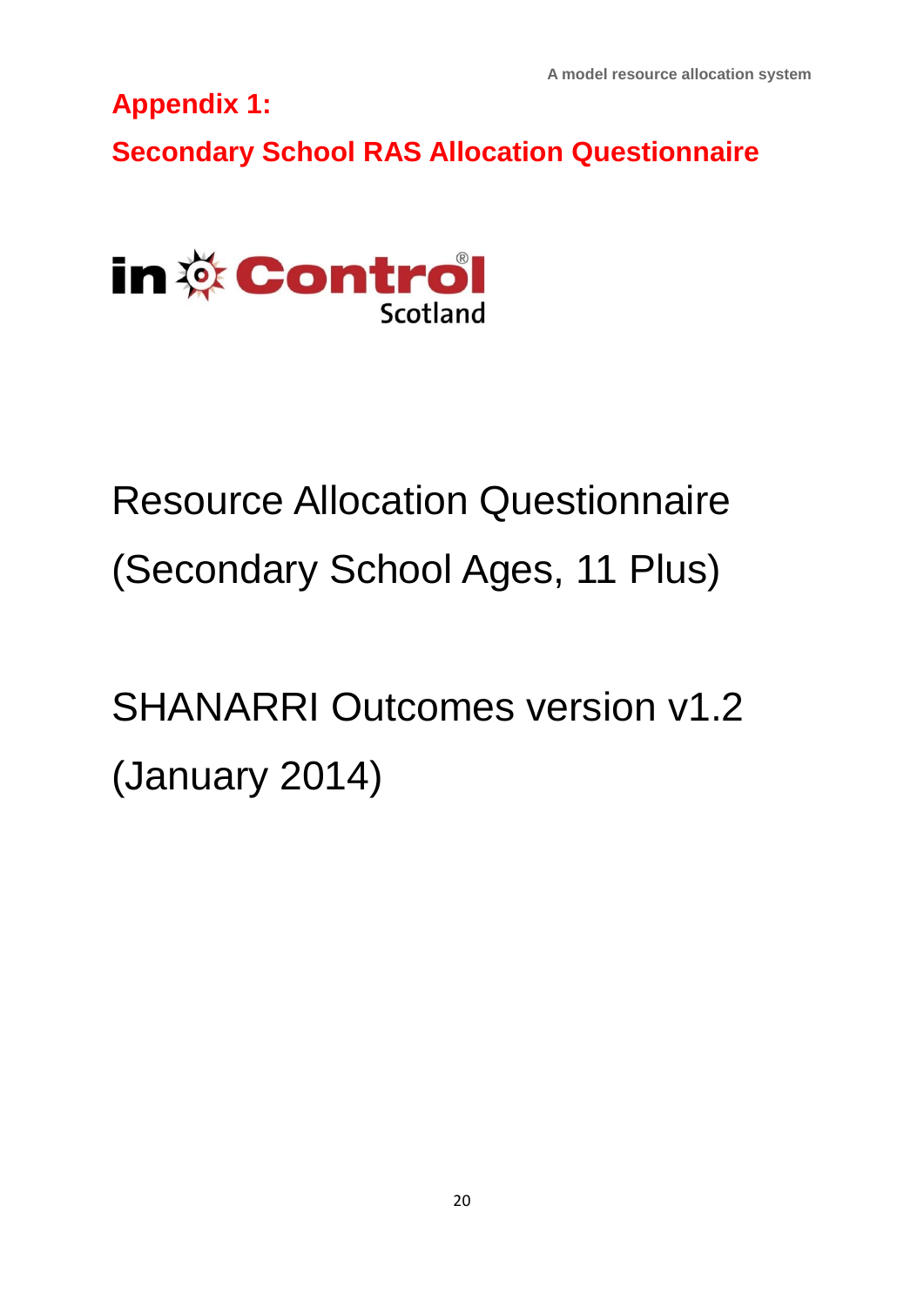**Appendix 1:** 

**Secondary School RAS Allocation Questionnaire**



# Resource Allocation Questionnaire (Secondary School Ages, 11 Plus)

SHANARRI Outcomes version v1.2 (January 2014)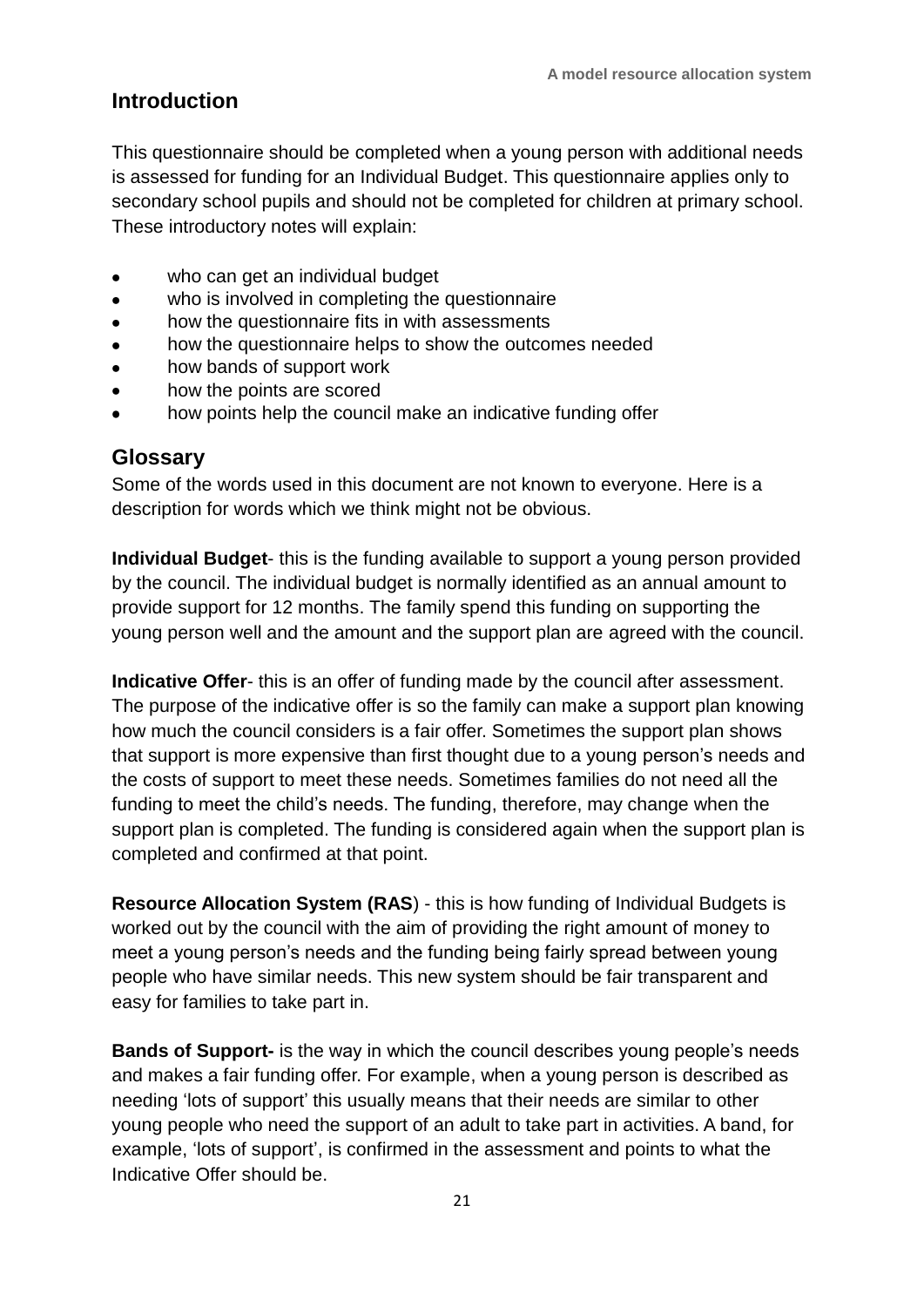#### **Introduction**

This questionnaire should be completed when a young person with additional needs is assessed for funding for an Individual Budget. This questionnaire applies only to secondary school pupils and should not be completed for children at primary school. These introductory notes will explain:

- who can get an individual budget
- who is involved in completing the questionnaire
- how the questionnaire fits in with assessments  $\bullet$
- how the questionnaire helps to show the outcomes needed
- how bands of support work
- how the points are scored
- how points help the council make an indicative funding offer

#### **Glossary**

Some of the words used in this document are not known to everyone. Here is a description for words which we think might not be obvious.

**Individual Budget**- this is the funding available to support a young person provided by the council. The individual budget is normally identified as an annual amount to provide support for 12 months. The family spend this funding on supporting the young person well and the amount and the support plan are agreed with the council.

**Indicative Offer**- this is an offer of funding made by the council after assessment. The purpose of the indicative offer is so the family can make a support plan knowing how much the council considers is a fair offer. Sometimes the support plan shows that support is more expensive than first thought due to a young person's needs and the costs of support to meet these needs. Sometimes families do not need all the funding to meet the child's needs. The funding, therefore, may change when the support plan is completed. The funding is considered again when the support plan is completed and confirmed at that point.

**Resource Allocation System (RAS**) - this is how funding of Individual Budgets is worked out by the council with the aim of providing the right amount of money to meet a young person's needs and the funding being fairly spread between young people who have similar needs. This new system should be fair transparent and easy for families to take part in.

**Bands of Support-** is the way in which the council describes young people's needs and makes a fair funding offer. For example, when a young person is described as needing 'lots of support' this usually means that their needs are similar to other young people who need the support of an adult to take part in activities. A band, for example, 'lots of support', is confirmed in the assessment and points to what the Indicative Offer should be.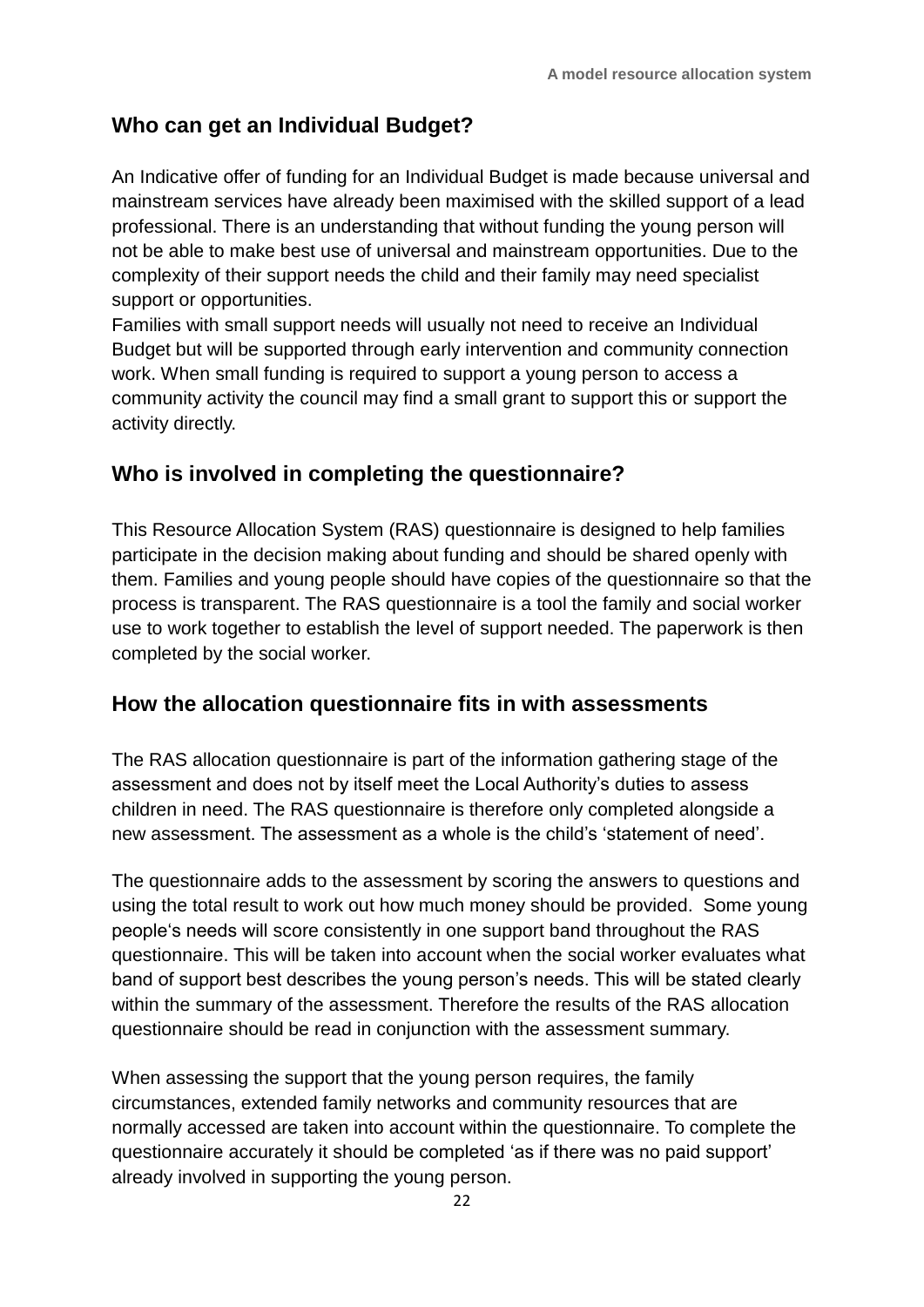#### **Who can get an Individual Budget?**

An Indicative offer of funding for an Individual Budget is made because universal and mainstream services have already been maximised with the skilled support of a lead professional. There is an understanding that without funding the young person will not be able to make best use of universal and mainstream opportunities. Due to the complexity of their support needs the child and their family may need specialist support or opportunities.

Families with small support needs will usually not need to receive an Individual Budget but will be supported through early intervention and community connection work. When small funding is required to support a young person to access a community activity the council may find a small grant to support this or support the activity directly.

#### **Who is involved in completing the questionnaire?**

This Resource Allocation System (RAS) questionnaire is designed to help families participate in the decision making about funding and should be shared openly with them. Families and young people should have copies of the questionnaire so that the process is transparent. The RAS questionnaire is a tool the family and social worker use to work together to establish the level of support needed. The paperwork is then completed by the social worker.

#### **How the allocation questionnaire fits in with assessments**

The RAS allocation questionnaire is part of the information gathering stage of the assessment and does not by itself meet the Local Authority's duties to assess children in need. The RAS questionnaire is therefore only completed alongside a new assessment. The assessment as a whole is the child's 'statement of need'.

The questionnaire adds to the assessment by scoring the answers to questions and using the total result to work out how much money should be provided. Some young people's needs will score consistently in one support band throughout the RAS questionnaire. This will be taken into account when the social worker evaluates what band of support best describes the young person's needs. This will be stated clearly within the summary of the assessment. Therefore the results of the RAS allocation questionnaire should be read in conjunction with the assessment summary.

When assessing the support that the young person requires, the family circumstances, extended family networks and community resources that are normally accessed are taken into account within the questionnaire. To complete the questionnaire accurately it should be completed 'as if there was no paid support' already involved in supporting the young person.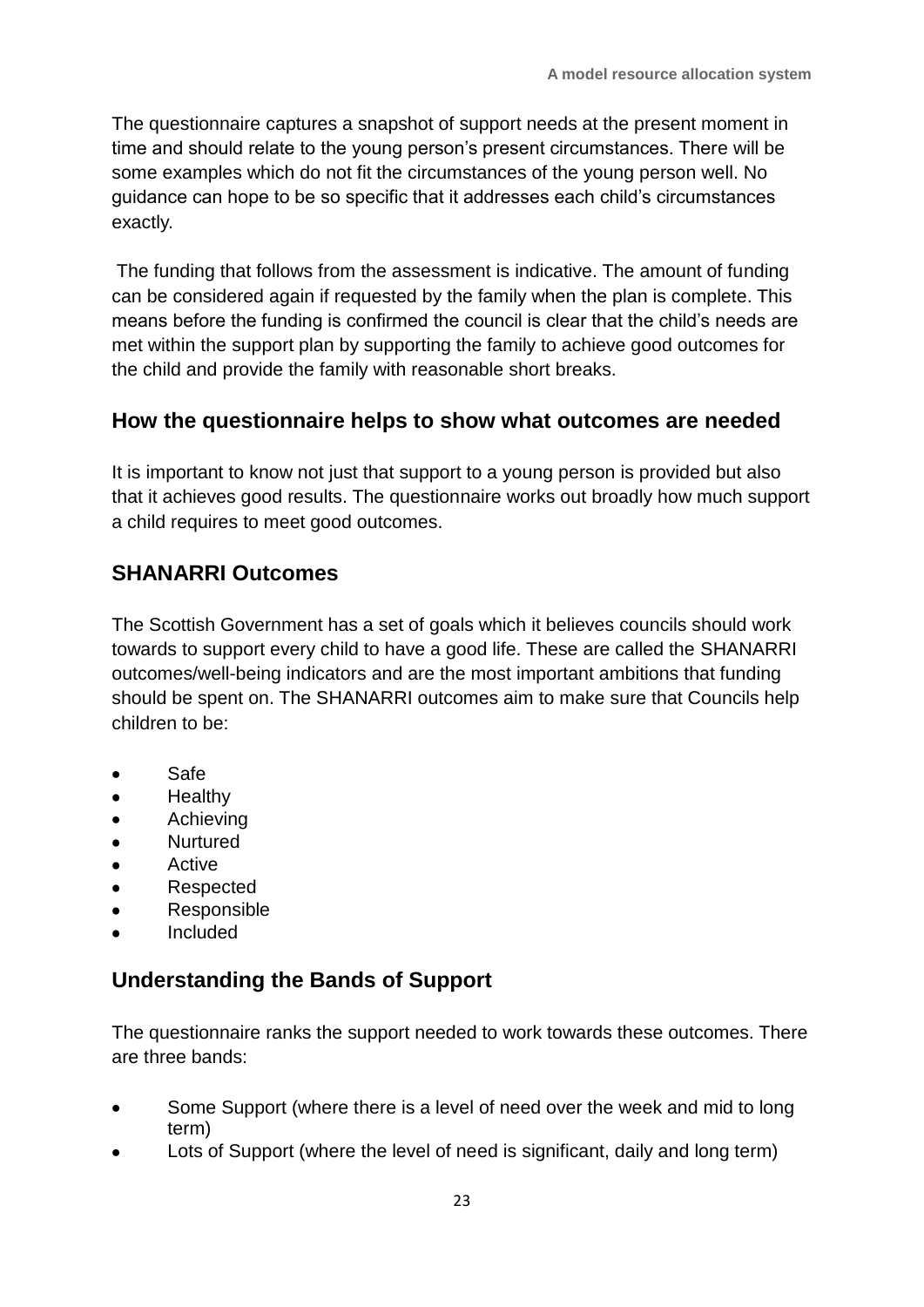The questionnaire captures a snapshot of support needs at the present moment in time and should relate to the young person's present circumstances. There will be some examples which do not fit the circumstances of the young person well. No guidance can hope to be so specific that it addresses each child's circumstances exactly.

The funding that follows from the assessment is indicative. The amount of funding can be considered again if requested by the family when the plan is complete. This means before the funding is confirmed the council is clear that the child's needs are met within the support plan by supporting the family to achieve good outcomes for the child and provide the family with reasonable short breaks.

#### **How the questionnaire helps to show what outcomes are needed**

It is important to know not just that support to a young person is provided but also that it achieves good results. The questionnaire works out broadly how much support a child requires to meet good outcomes.

#### **SHANARRI Outcomes**

The Scottish Government has a set of goals which it believes councils should work towards to support every child to have a good life. These are called the SHANARRI outcomes/well-being indicators and are the most important ambitions that funding should be spent on. The SHANARRI outcomes aim to make sure that Councils help children to be:

- Safe
- **Healthy**
- Achieving
- **Nurtured**
- Active  $\bullet$
- Respected
- Responsible
- Included

#### **Understanding the Bands of Support**

The questionnaire ranks the support needed to work towards these outcomes. There are three bands:

- Some Support (where there is a level of need over the week and mid to long term)
- Lots of Support (where the level of need is significant, daily and long term)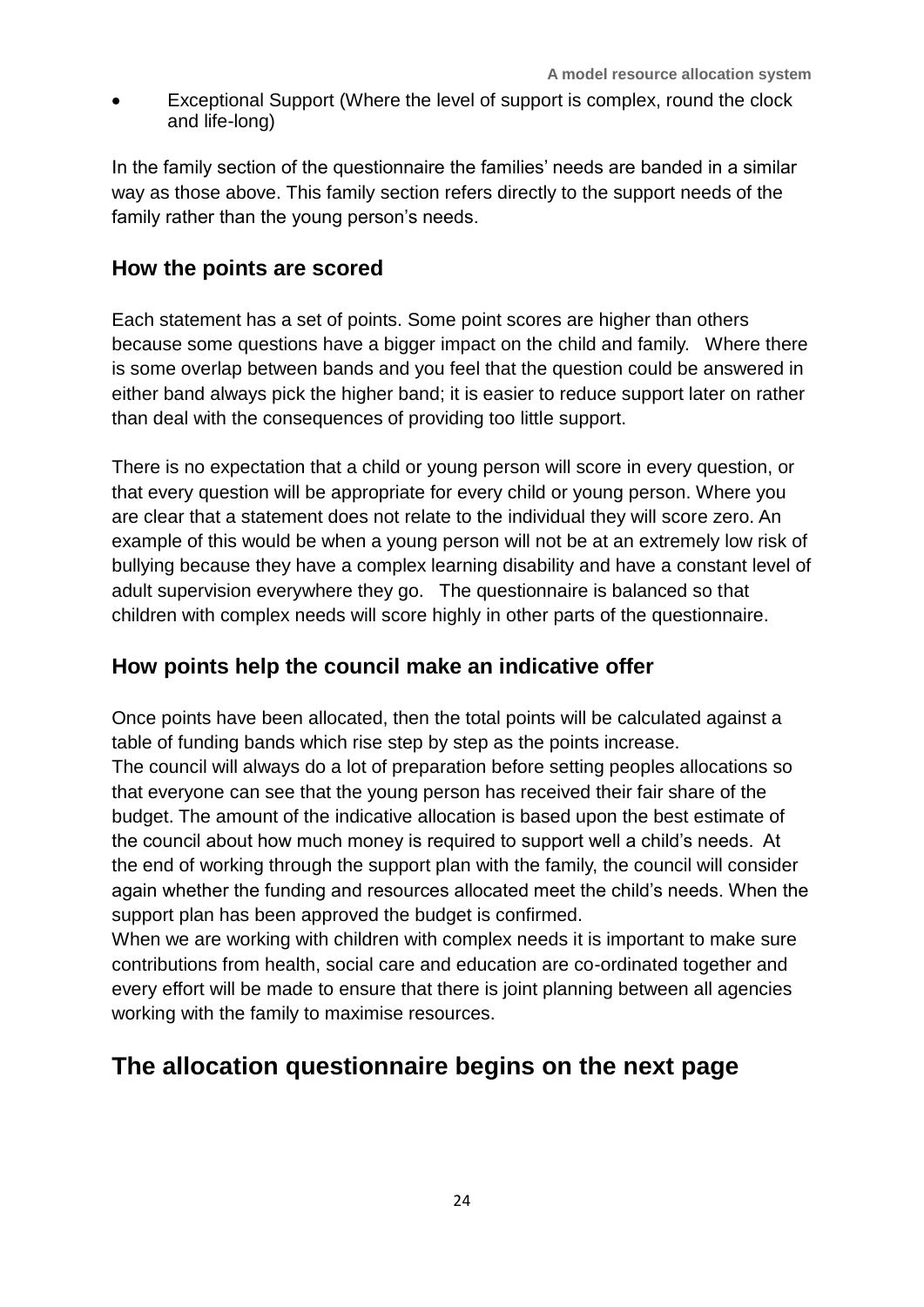Exceptional Support (Where the level of support is complex, round the clock and life-long)

In the family section of the questionnaire the families' needs are banded in a similar way as those above. This family section refers directly to the support needs of the family rather than the young person's needs.

#### **How the points are scored**

Each statement has a set of points. Some point scores are higher than others because some questions have a bigger impact on the child and family. Where there is some overlap between bands and you feel that the question could be answered in either band always pick the higher band; it is easier to reduce support later on rather than deal with the consequences of providing too little support.

There is no expectation that a child or young person will score in every question, or that every question will be appropriate for every child or young person. Where you are clear that a statement does not relate to the individual they will score zero. An example of this would be when a young person will not be at an extremely low risk of bullying because they have a complex learning disability and have a constant level of adult supervision everywhere they go. The questionnaire is balanced so that children with complex needs will score highly in other parts of the questionnaire.

#### **How points help the council make an indicative offer**

Once points have been allocated, then the total points will be calculated against a table of funding bands which rise step by step as the points increase. The council will always do a lot of preparation before setting peoples allocations so that everyone can see that the young person has received their fair share of the budget. The amount of the indicative allocation is based upon the best estimate of the council about how much money is required to support well a child's needs. At the end of working through the support plan with the family, the council will consider again whether the funding and resources allocated meet the child's needs. When the support plan has been approved the budget is confirmed.

When we are working with children with complex needs it is important to make sure contributions from health, social care and education are co-ordinated together and every effort will be made to ensure that there is joint planning between all agencies working with the family to maximise resources.

## **The allocation questionnaire begins on the next page**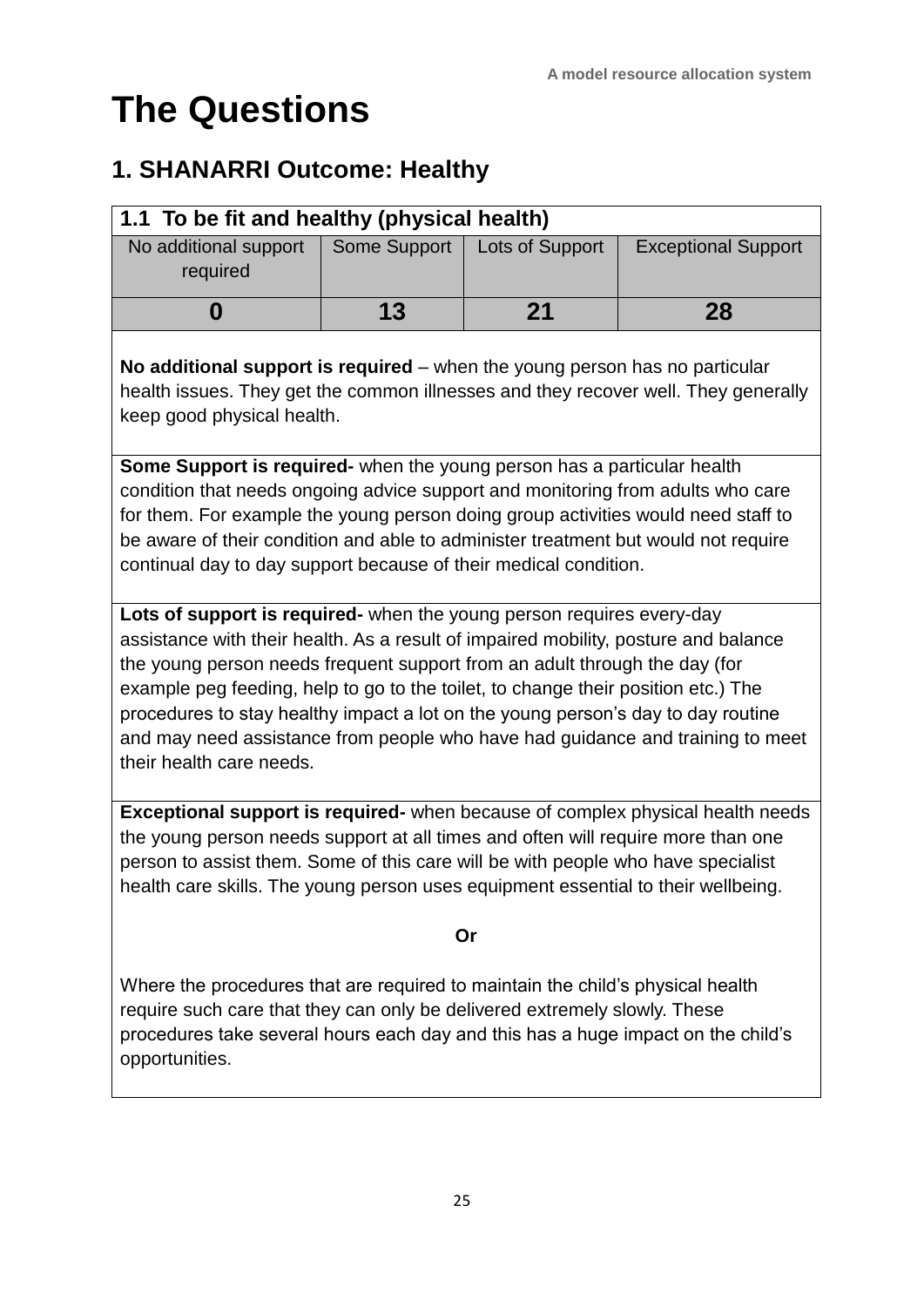# **The Questions**

#### **1. SHANARRI Outcome: Healthy**

| 1.1 To be fit and healthy (physical health) |              |                 |                            |
|---------------------------------------------|--------------|-----------------|----------------------------|
| No additional support<br>required           | Some Support | Lots of Support | <b>Exceptional Support</b> |
|                                             | 13           | 21              | 28                         |

**No additional support is required** – when the young person has no particular health issues. They get the common illnesses and they recover well. They generally keep good physical health.

**Some Support is required-** when the young person has a particular health condition that needs ongoing advice support and monitoring from adults who care for them. For example the young person doing group activities would need staff to be aware of their condition and able to administer treatment but would not require continual day to day support because of their medical condition.

**Lots of support is required-** when the young person requires every-day assistance with their health. As a result of impaired mobility, posture and balance the young person needs frequent support from an adult through the day (for example peg feeding, help to go to the toilet, to change their position etc.) The procedures to stay healthy impact a lot on the young person's day to day routine and may need assistance from people who have had guidance and training to meet their health care needs.

**Exceptional support is required-** when because of complex physical health needs the young person needs support at all times and often will require more than one person to assist them. Some of this care will be with people who have specialist health care skills. The young person uses equipment essential to their wellbeing.

#### **Or**

Where the procedures that are required to maintain the child's physical health require such care that they can only be delivered extremely slowly. These procedures take several hours each day and this has a huge impact on the child's opportunities.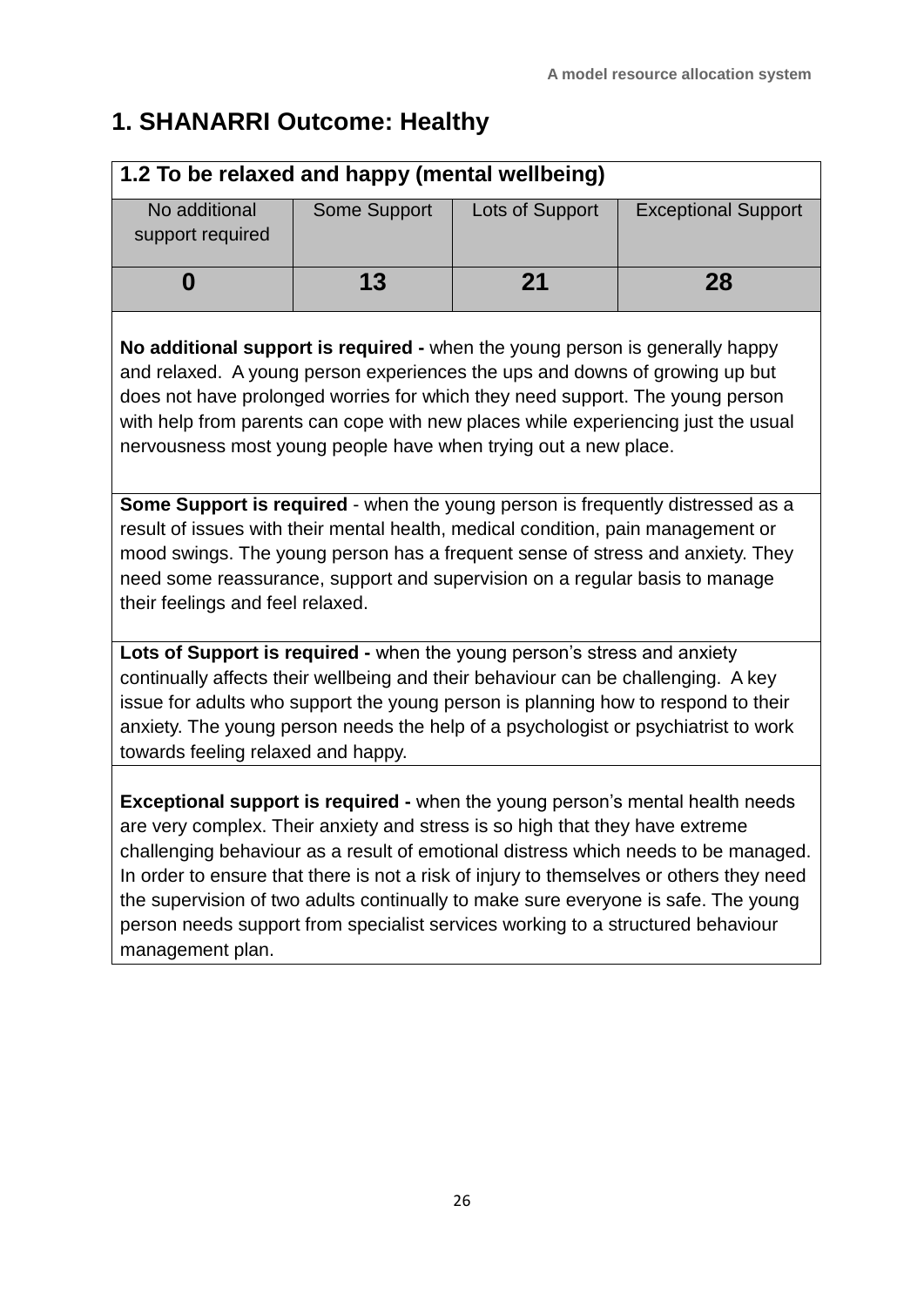# **1. SHANARRI Outcome: Healthy**

| 1.2 To be relaxed and happy (mental wellbeing)                                                                                                                                                                                                                                                                                                                                                                                                                                                                                                     |              |                 |                            |  |
|----------------------------------------------------------------------------------------------------------------------------------------------------------------------------------------------------------------------------------------------------------------------------------------------------------------------------------------------------------------------------------------------------------------------------------------------------------------------------------------------------------------------------------------------------|--------------|-----------------|----------------------------|--|
| No additional<br>support required                                                                                                                                                                                                                                                                                                                                                                                                                                                                                                                  | Some Support | Lots of Support | <b>Exceptional Support</b> |  |
| 0                                                                                                                                                                                                                                                                                                                                                                                                                                                                                                                                                  | 13           | 21              | 28                         |  |
| No additional support is required - when the young person is generally happy<br>and relaxed. A young person experiences the ups and downs of growing up but<br>does not have prolonged worries for which they need support. The young person<br>with help from parents can cope with new places while experiencing just the usual<br>nervousness most young people have when trying out a new place.                                                                                                                                               |              |                 |                            |  |
| Some Support is required - when the young person is frequently distressed as a<br>result of issues with their mental health, medical condition, pain management or<br>mood swings. The young person has a frequent sense of stress and anxiety. They<br>need some reassurance, support and supervision on a regular basis to manage<br>their feelings and feel relaxed.                                                                                                                                                                            |              |                 |                            |  |
| Lots of Support is required - when the young person's stress and anxiety<br>continually affects their wellbeing and their behaviour can be challenging. A key<br>issue for adults who support the young person is planning how to respond to their<br>anxiety. The young person needs the help of a psychologist or psychiatrist to work<br>towards feeling relaxed and happy.                                                                                                                                                                     |              |                 |                            |  |
| <b>Exceptional support is required - when the young person's mental health needs</b><br>are very complex. Their anxiety and stress is so high that they have extreme<br>challenging behaviour as a result of emotional distress which needs to be managed.<br>In order to ensure that there is not a risk of injury to themselves or others they need<br>the supervision of two adults continually to make sure everyone is safe. The young<br>person needs support from specialist services working to a structured behaviour<br>management plan. |              |                 |                            |  |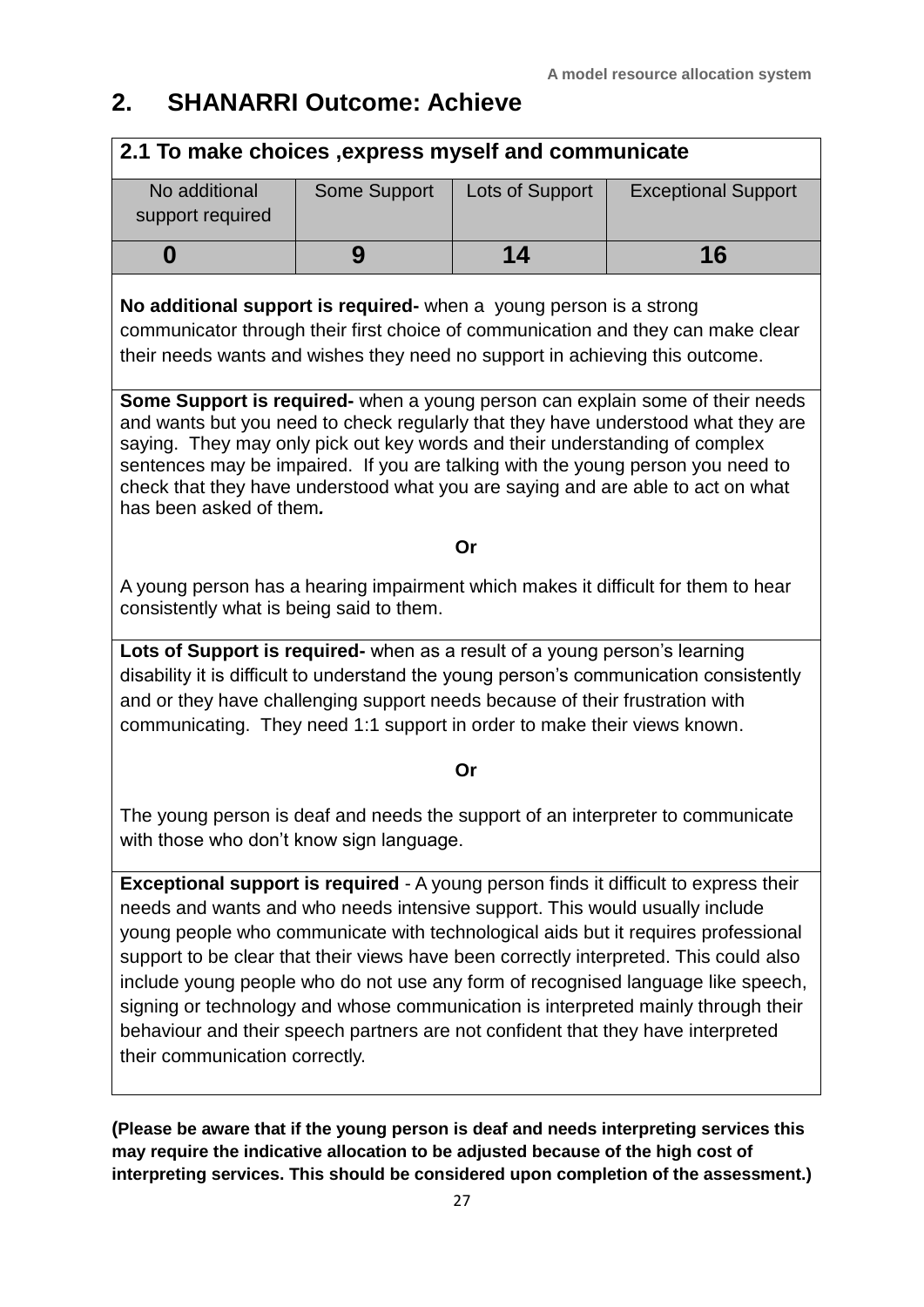## **2. SHANARRI Outcome: Achieve**

#### **2.1 To make choices ,express myself and communicate**

| No additional<br>support required | Some Support | Lots of Support | <b>Exceptional Support</b> |
|-----------------------------------|--------------|-----------------|----------------------------|
|                                   |              | 14              | 16                         |

#### **No additional support is required-** when a young person is a strong

communicator through their first choice of communication and they can make clear their needs wants and wishes they need no support in achieving this outcome.

**Some Support is required-** when a young person can explain some of their needs and wants but you need to check regularly that they have understood what they are saying. They may only pick out key words and their understanding of complex sentences may be impaired. If you are talking with the young person you need to check that they have understood what you are saying and are able to act on what has been asked of them*.* 

#### **Or**

A young person has a hearing impairment which makes it difficult for them to hear consistently what is being said to them.

**Lots of Support is required-** when as a result of a young person's learning disability it is difficult to understand the young person's communication consistently and or they have challenging support needs because of their frustration with communicating. They need 1:1 support in order to make their views known.

#### **Or**

The young person is deaf and needs the support of an interpreter to communicate with those who don't know sign language.

**Exceptional support is required** - A young person finds it difficult to express their needs and wants and who needs intensive support. This would usually include young people who communicate with technological aids but it requires professional support to be clear that their views have been correctly interpreted. This could also include young people who do not use any form of recognised language like speech, signing or technology and whose communication is interpreted mainly through their behaviour and their speech partners are not confident that they have interpreted their communication correctly.

**(Please be aware that if the young person is deaf and needs interpreting services this may require the indicative allocation to be adjusted because of the high cost of interpreting services. This should be considered upon completion of the assessment.)**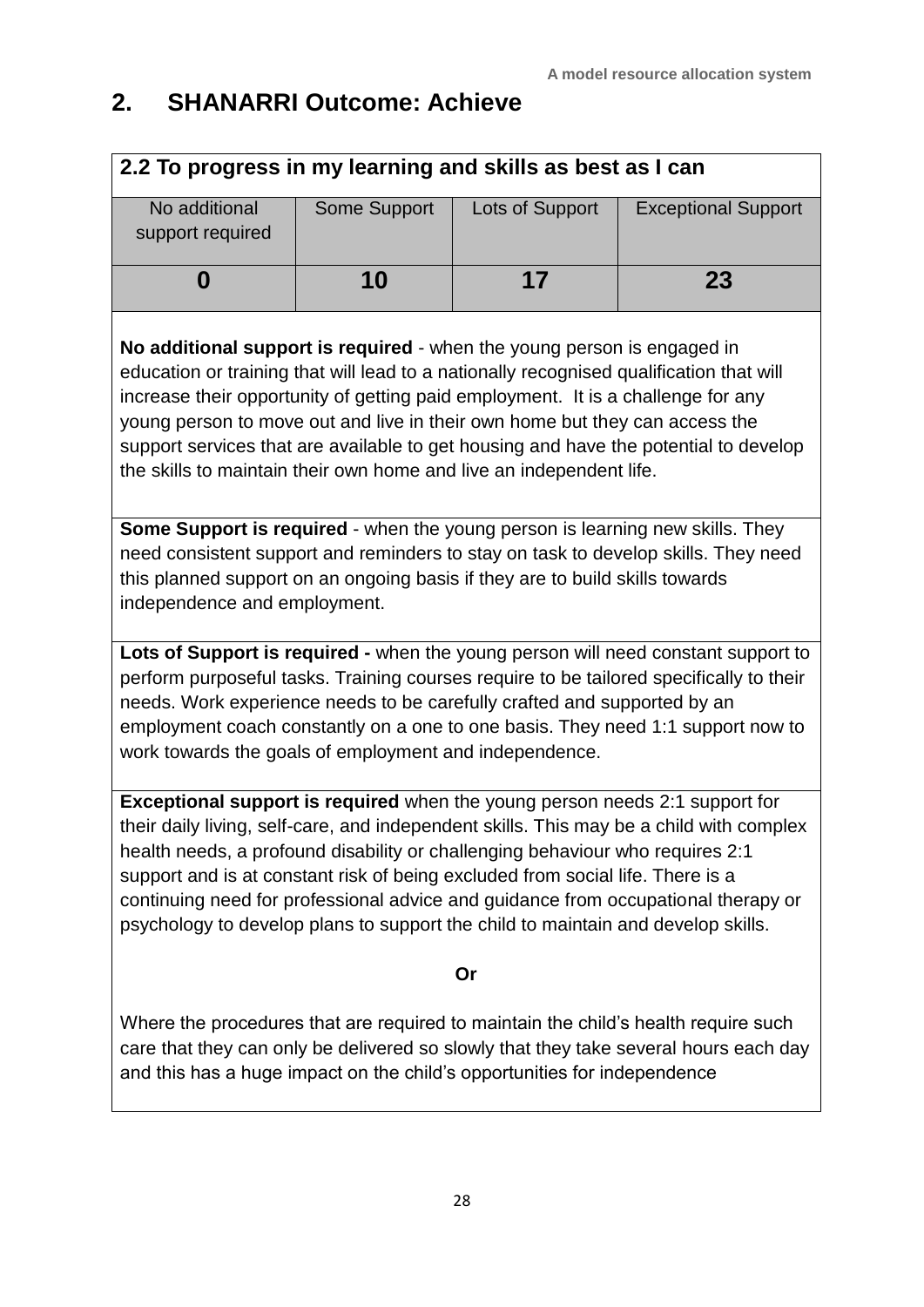# **2. SHANARRI Outcome: Achieve**

| 2.2 To progress in my learning and skills as best as I can                                                                                                                                                                                                                                                                                                                                                                                                                                                                |              |                 |                                                                                    |  |
|---------------------------------------------------------------------------------------------------------------------------------------------------------------------------------------------------------------------------------------------------------------------------------------------------------------------------------------------------------------------------------------------------------------------------------------------------------------------------------------------------------------------------|--------------|-----------------|------------------------------------------------------------------------------------|--|
| No additional<br>support required                                                                                                                                                                                                                                                                                                                                                                                                                                                                                         | Some Support | Lots of Support | <b>Exceptional Support</b>                                                         |  |
| 0                                                                                                                                                                                                                                                                                                                                                                                                                                                                                                                         | 10           | 17              | 23                                                                                 |  |
| No additional support is required - when the young person is engaged in<br>education or training that will lead to a nationally recognised qualification that will<br>increase their opportunity of getting paid employment. It is a challenge for any<br>young person to move out and live in their own home but they can access the<br>support services that are available to get housing and have the potential to develop<br>the skills to maintain their own home and live an independent life.                      |              |                 |                                                                                    |  |
| Some Support is required - when the young person is learning new skills. They<br>this planned support on an ongoing basis if they are to build skills towards<br>independence and employment.                                                                                                                                                                                                                                                                                                                             |              |                 | need consistent support and reminders to stay on task to develop skills. They need |  |
| Lots of Support is required - when the young person will need constant support to<br>perform purposeful tasks. Training courses require to be tailored specifically to their<br>needs. Work experience needs to be carefully crafted and supported by an<br>employment coach constantly on a one to one basis. They need 1:1 support now to<br>work towards the goals of employment and independence.                                                                                                                     |              |                 |                                                                                    |  |
| <b>Exceptional support is required</b> when the young person needs 2:1 support for<br>their daily living, self-care, and independent skills. This may be a child with complex<br>health needs, a profound disability or challenging behaviour who requires 2:1<br>support and is at constant risk of being excluded from social life. There is a<br>continuing need for professional advice and guidance from occupational therapy or<br>psychology to develop plans to support the child to maintain and develop skills. |              |                 |                                                                                    |  |
| Or                                                                                                                                                                                                                                                                                                                                                                                                                                                                                                                        |              |                 |                                                                                    |  |
| Where the procedures that are required to maintain the child's health require such<br>care that they can only be delivered so slowly that they take several hours each day<br>and this has a huge impact on the child's opportunities for independence                                                                                                                                                                                                                                                                    |              |                 |                                                                                    |  |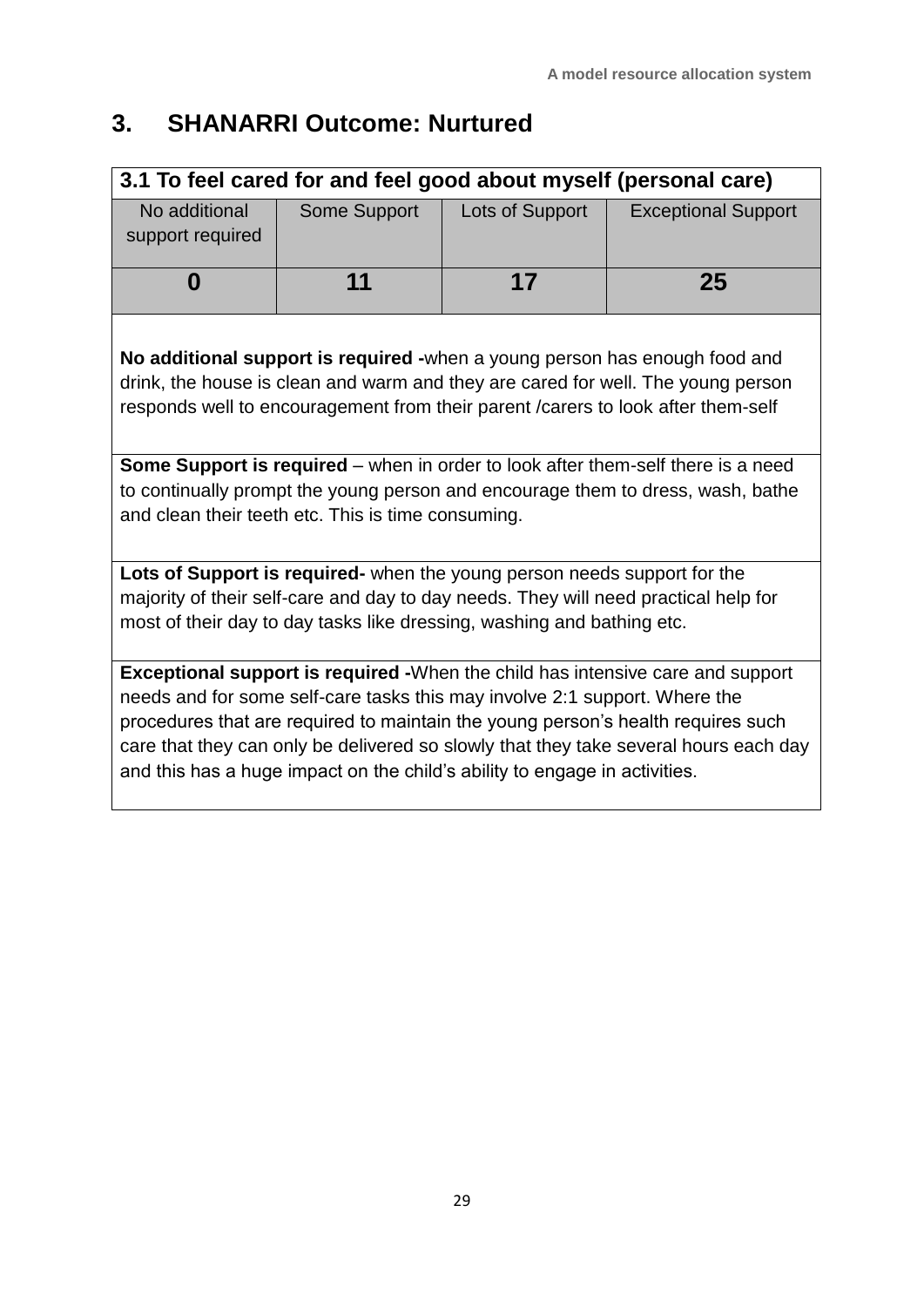# **3. SHANARRI Outcome: Nurtured**

| 3.1 To feel cared for and feel good about myself (personal care)                                                                                                                                                                                                                                                                                                                                                               |                     |                 |                            |  |
|--------------------------------------------------------------------------------------------------------------------------------------------------------------------------------------------------------------------------------------------------------------------------------------------------------------------------------------------------------------------------------------------------------------------------------|---------------------|-----------------|----------------------------|--|
| No additional<br>support required                                                                                                                                                                                                                                                                                                                                                                                              | <b>Some Support</b> | Lots of Support | <b>Exceptional Support</b> |  |
| 0                                                                                                                                                                                                                                                                                                                                                                                                                              | 11                  | 17              | 25                         |  |
| No additional support is required -when a young person has enough food and<br>drink, the house is clean and warm and they are cared for well. The young person<br>responds well to encouragement from their parent / carers to look after them-self                                                                                                                                                                            |                     |                 |                            |  |
| <b>Some Support is required</b> – when in order to look after them-self there is a need<br>to continually prompt the young person and encourage them to dress, wash, bathe<br>and clean their teeth etc. This is time consuming.                                                                                                                                                                                               |                     |                 |                            |  |
| Lots of Support is required- when the young person needs support for the<br>majority of their self-care and day to day needs. They will need practical help for<br>most of their day to day tasks like dressing, washing and bathing etc.                                                                                                                                                                                      |                     |                 |                            |  |
| <b>Exceptional support is required -</b> When the child has intensive care and support<br>needs and for some self-care tasks this may involve 2:1 support. Where the<br>procedures that are required to maintain the young person's health requires such<br>care that they can only be delivered so slowly that they take several hours each day<br>and this has a huge impact on the child's ability to engage in activities. |                     |                 |                            |  |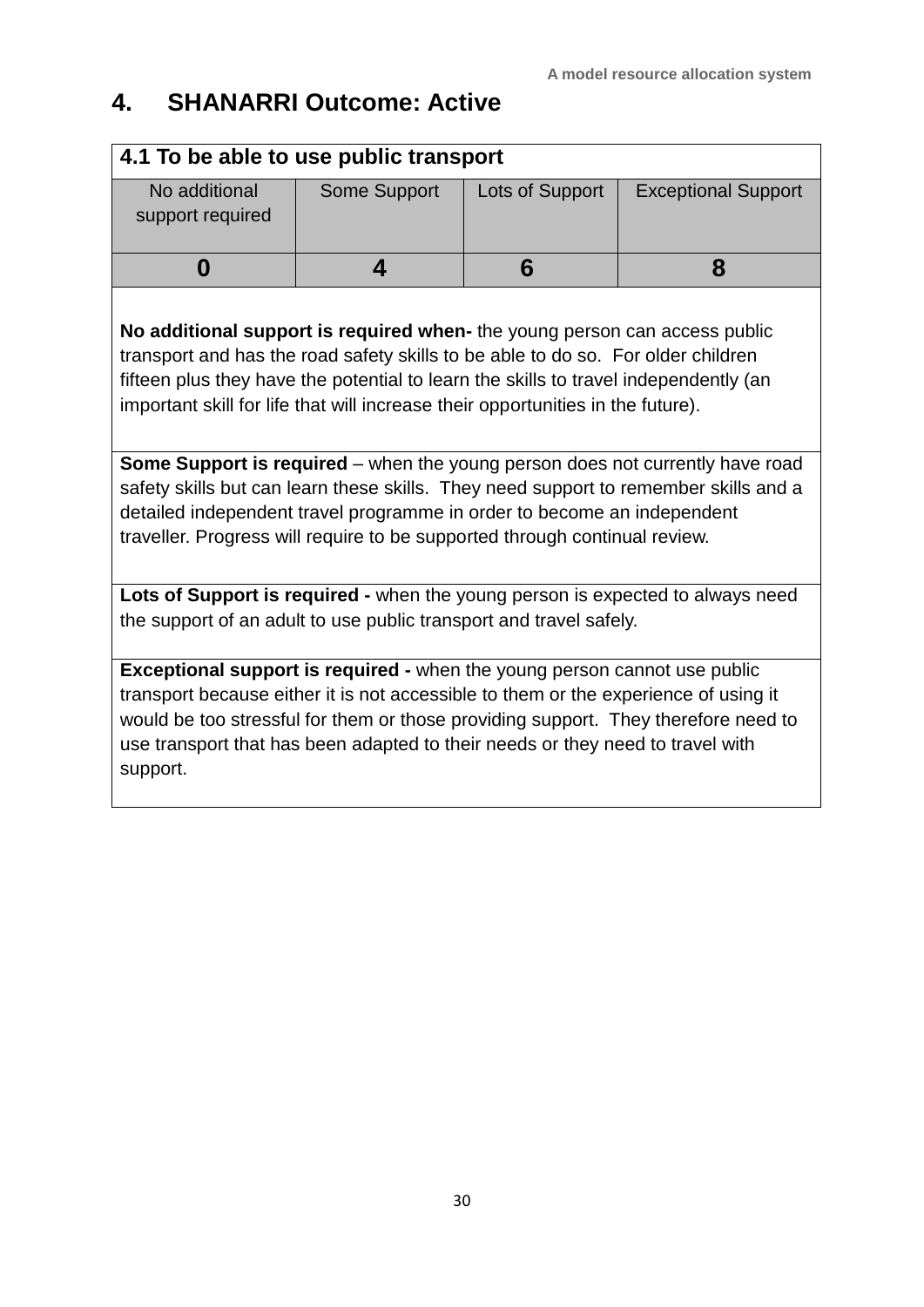# **4. SHANARRI Outcome: Active**

| 4.1 To be able to use public transport                                                                                                                                                                                                                                                                                                                                                                                                                                                                                                                                                                                                                                             |              |                 |                            |  |
|------------------------------------------------------------------------------------------------------------------------------------------------------------------------------------------------------------------------------------------------------------------------------------------------------------------------------------------------------------------------------------------------------------------------------------------------------------------------------------------------------------------------------------------------------------------------------------------------------------------------------------------------------------------------------------|--------------|-----------------|----------------------------|--|
| No additional<br>support required                                                                                                                                                                                                                                                                                                                                                                                                                                                                                                                                                                                                                                                  | Some Support | Lots of Support | <b>Exceptional Support</b> |  |
| 0                                                                                                                                                                                                                                                                                                                                                                                                                                                                                                                                                                                                                                                                                  | 4            | 6               | 8                          |  |
| No additional support is required when- the young person can access public<br>transport and has the road safety skills to be able to do so. For older children<br>fifteen plus they have the potential to learn the skills to travel independently (an<br>important skill for life that will increase their opportunities in the future).<br><b>Some Support is required</b> – when the young person does not currently have road<br>safety skills but can learn these skills. They need support to remember skills and a<br>detailed independent travel programme in order to become an independent<br>traveller. Progress will require to be supported through continual review. |              |                 |                            |  |
| Lots of Support is required - when the young person is expected to always need<br>the support of an adult to use public transport and travel safely.                                                                                                                                                                                                                                                                                                                                                                                                                                                                                                                               |              |                 |                            |  |
| <b>Exceptional support is required - when the young person cannot use public</b><br>transport because either it is not accessible to them or the experience of using it<br>would be too stressful for them or those providing support. They therefore need to<br>use transport that has been adapted to their needs or they need to travel with<br>support.                                                                                                                                                                                                                                                                                                                        |              |                 |                            |  |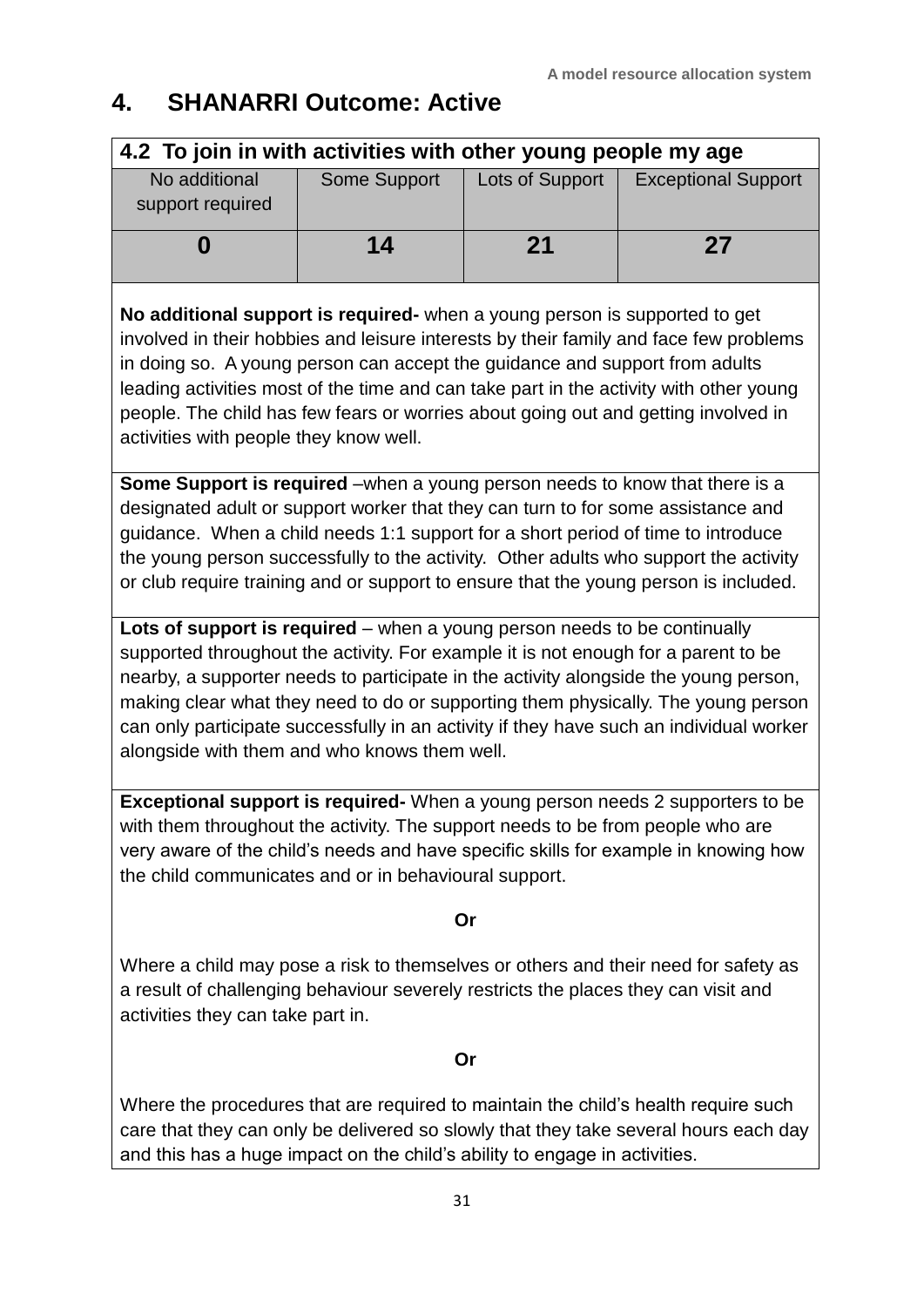## **4. SHANARRI Outcome: Active**

| 4.2 To join in with activities with other young people my age |              |                 |                            |
|---------------------------------------------------------------|--------------|-----------------|----------------------------|
| No additional<br>support required                             | Some Support | Lots of Support | <b>Exceptional Support</b> |
|                                                               | 14           | 21              | 27                         |

**No additional support is required-** when a young person is supported to get involved in their hobbies and leisure interests by their family and face few problems in doing so. A young person can accept the guidance and support from adults leading activities most of the time and can take part in the activity with other young people. The child has few fears or worries about going out and getting involved in activities with people they know well.

**Some Support is required** –when a young person needs to know that there is a designated adult or support worker that they can turn to for some assistance and guidance. When a child needs 1:1 support for a short period of time to introduce the young person successfully to the activity. Other adults who support the activity or club require training and or support to ensure that the young person is included.

**Lots of support is required** – when a young person needs to be continually supported throughout the activity. For example it is not enough for a parent to be nearby, a supporter needs to participate in the activity alongside the young person, making clear what they need to do or supporting them physically. The young person can only participate successfully in an activity if they have such an individual worker alongside with them and who knows them well.

**Exceptional support is required-** When a young person needs 2 supporters to be with them throughout the activity. The support needs to be from people who are very aware of the child's needs and have specific skills for example in knowing how the child communicates and or in behavioural support.

#### **Or**

Where a child may pose a risk to themselves or others and their need for safety as a result of challenging behaviour severely restricts the places they can visit and activities they can take part in.

#### **Or**

Where the procedures that are required to maintain the child's health require such care that they can only be delivered so slowly that they take several hours each day and this has a huge impact on the child's ability to engage in activities.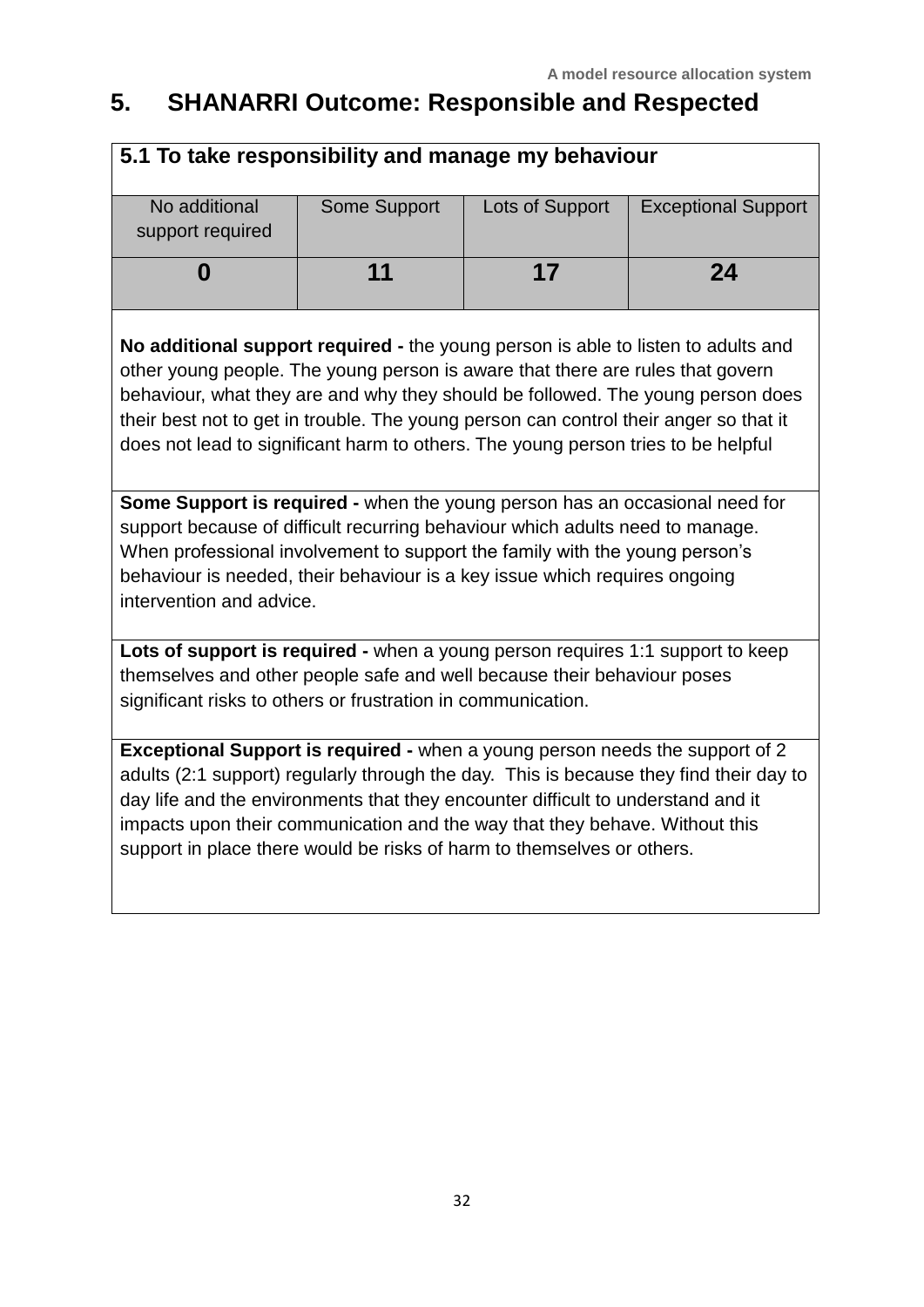## **5. SHANARRI Outcome: Responsible and Respected**

| 5.1 To take responsibility and manage my behaviour |              |                 |                            |  |  |
|----------------------------------------------------|--------------|-----------------|----------------------------|--|--|
| No additional<br>support required                  | Some Support | Lots of Support | <b>Exceptional Support</b> |  |  |
|                                                    | 11           | 17              | 24                         |  |  |
|                                                    |              |                 |                            |  |  |

**No additional support required -** the young person is able to listen to adults and other young people. The young person is aware that there are rules that govern behaviour, what they are and why they should be followed. The young person does their best not to get in trouble. The young person can control their anger so that it does not lead to significant harm to others. The young person tries to be helpful

**Some Support is required -** when the young person has an occasional need for support because of difficult recurring behaviour which adults need to manage. When professional involvement to support the family with the young person's behaviour is needed, their behaviour is a key issue which requires ongoing intervention and advice.

**Lots of support is required -** when a young person requires 1:1 support to keep themselves and other people safe and well because their behaviour poses significant risks to others or frustration in communication.

**Exceptional Support is required -** when a young person needs the support of 2 adults (2:1 support) regularly through the day. This is because they find their day to day life and the environments that they encounter difficult to understand and it impacts upon their communication and the way that they behave. Without this support in place there would be risks of harm to themselves or others.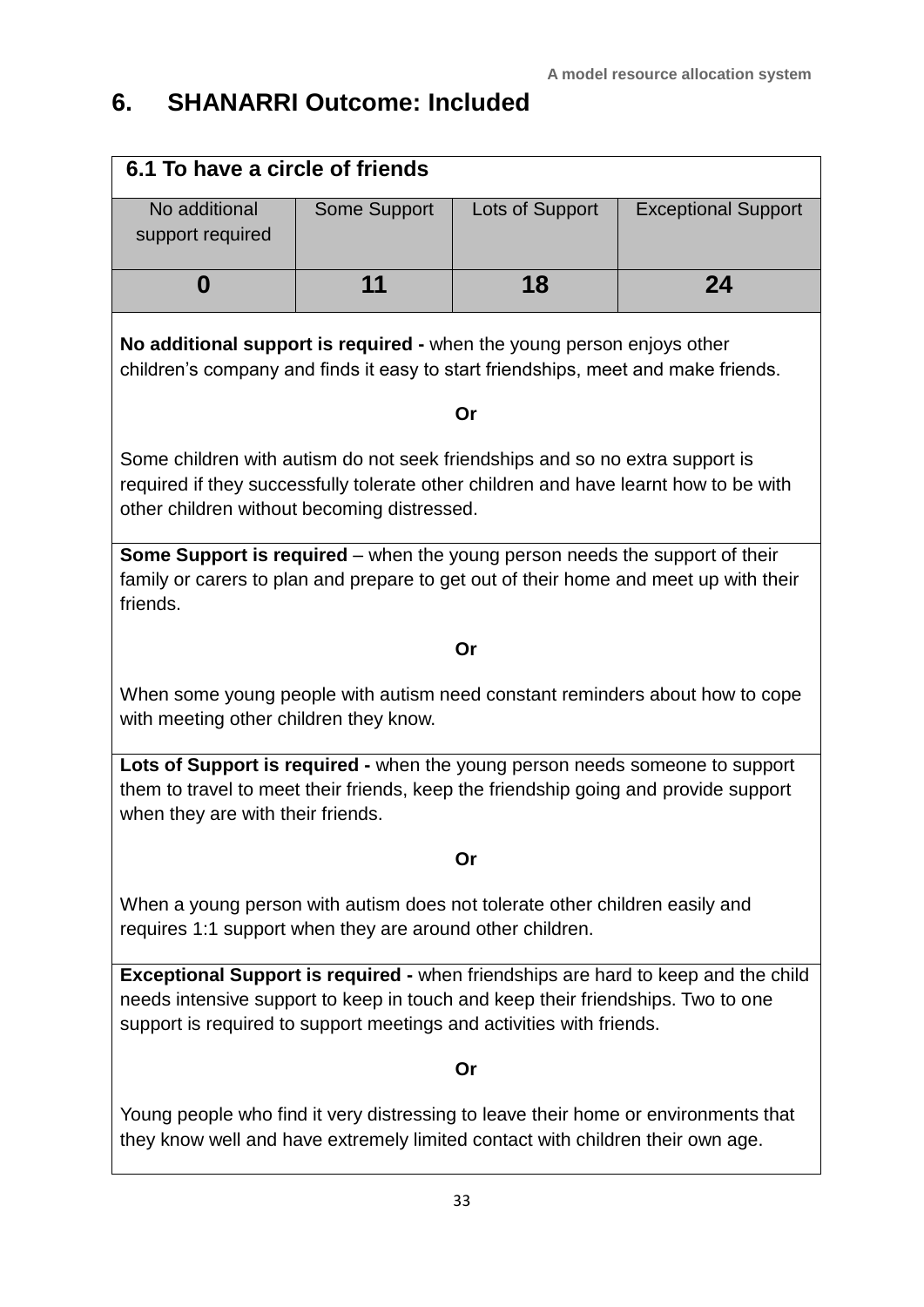# **6. SHANARRI Outcome: Included**

| 6.1 To have a circle of friends                                                                                                                                                                                                                     |              |                 |                            |  |  |
|-----------------------------------------------------------------------------------------------------------------------------------------------------------------------------------------------------------------------------------------------------|--------------|-----------------|----------------------------|--|--|
| No additional<br>support required                                                                                                                                                                                                                   | Some Support | Lots of Support | <b>Exceptional Support</b> |  |  |
| 0                                                                                                                                                                                                                                                   | 11           | 18              | 24                         |  |  |
| No additional support is required - when the young person enjoys other<br>children's company and finds it easy to start friendships, meet and make friends.                                                                                         |              |                 |                            |  |  |
|                                                                                                                                                                                                                                                     |              | Or              |                            |  |  |
| Some children with autism do not seek friendships and so no extra support is<br>required if they successfully tolerate other children and have learnt how to be with<br>other children without becoming distressed.                                 |              |                 |                            |  |  |
| Some Support is required - when the young person needs the support of their<br>family or carers to plan and prepare to get out of their home and meet up with their<br>friends.                                                                     |              |                 |                            |  |  |
|                                                                                                                                                                                                                                                     |              | Or              |                            |  |  |
| When some young people with autism need constant reminders about how to cope<br>with meeting other children they know.                                                                                                                              |              |                 |                            |  |  |
| Lots of Support is required - when the young person needs someone to support<br>them to travel to meet their friends, keep the friendship going and provide support<br>when they are with their friends.                                            |              |                 |                            |  |  |
| Or                                                                                                                                                                                                                                                  |              |                 |                            |  |  |
| When a young person with autism does not tolerate other children easily and<br>requires 1:1 support when they are around other children.                                                                                                            |              |                 |                            |  |  |
| <b>Exceptional Support is required -</b> when friendships are hard to keep and the child<br>needs intensive support to keep in touch and keep their friendships. Two to one<br>support is required to support meetings and activities with friends. |              |                 |                            |  |  |
| Or                                                                                                                                                                                                                                                  |              |                 |                            |  |  |
| Young people who find it very distressing to leave their home or environments that<br>they know well and have extremely limited contact with children their own age.                                                                                |              |                 |                            |  |  |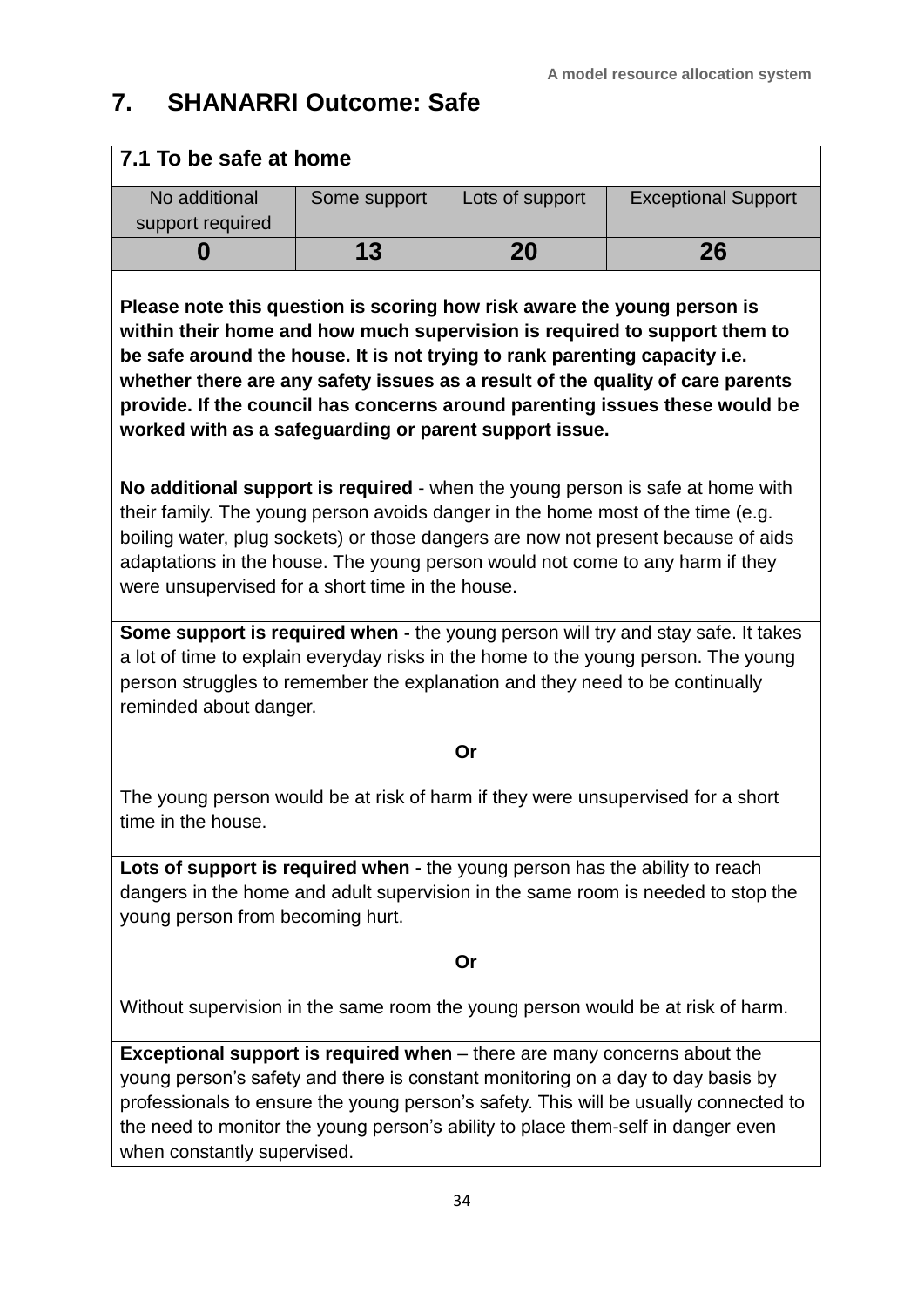## **7. SHANARRI Outcome: Safe**

#### **7.1 To be safe at home**

| No additional<br>support required | Some support | Lots of support | <b>Exceptional Support</b> |
|-----------------------------------|--------------|-----------------|----------------------------|
|                                   | 13           | 20              | 26                         |

**Please note this question is scoring how risk aware the young person is within their home and how much supervision is required to support them to be safe around the house. It is not trying to rank parenting capacity i.e. whether there are any safety issues as a result of the quality of care parents provide. If the council has concerns around parenting issues these would be worked with as a safeguarding or parent support issue.**

**No additional support is required** - when the young person is safe at home with their family. The young person avoids danger in the home most of the time (e.g. boiling water, plug sockets) or those dangers are now not present because of aids adaptations in the house. The young person would not come to any harm if they were unsupervised for a short time in the house.

**Some support is required when -** the young person will try and stay safe. It takes a lot of time to explain everyday risks in the home to the young person. The young person struggles to remember the explanation and they need to be continually reminded about danger.

#### **Or**

The young person would be at risk of harm if they were unsupervised for a short time in the house.

**Lots of support is required when -** the young person has the ability to reach dangers in the home and adult supervision in the same room is needed to stop the young person from becoming hurt.

#### **Or**

Without supervision in the same room the young person would be at risk of harm.

**Exceptional support is required when** – there are many concerns about the young person's safety and there is constant monitoring on a day to day basis by professionals to ensure the young person's safety. This will be usually connected to the need to monitor the young person's ability to place them-self in danger even when constantly supervised.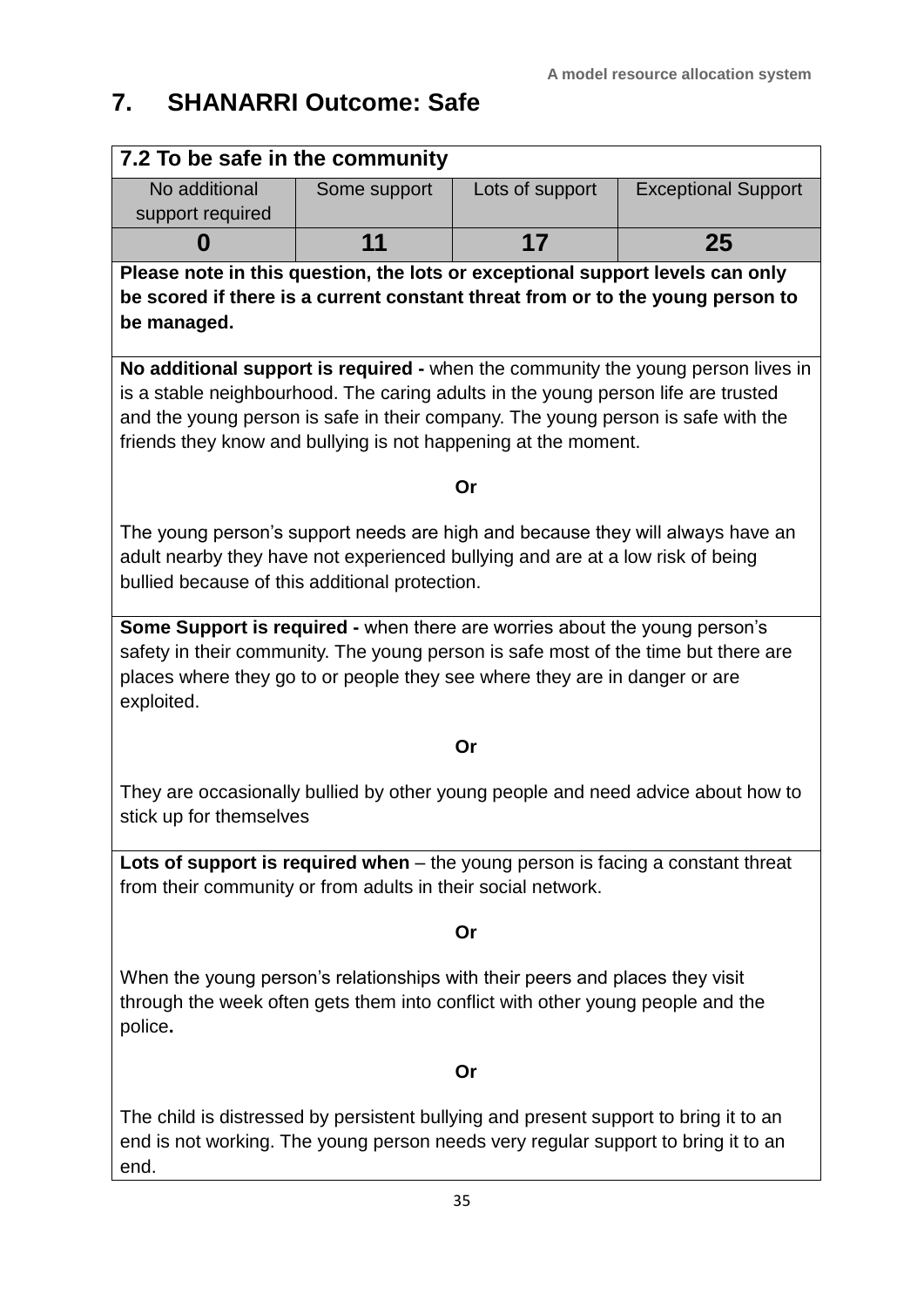# **7. SHANARRI Outcome: Safe**

| 7.2 To be safe in the community                                                                                                                                                                                                                                                                                                   |              |                 |                            |  |  |  |
|-----------------------------------------------------------------------------------------------------------------------------------------------------------------------------------------------------------------------------------------------------------------------------------------------------------------------------------|--------------|-----------------|----------------------------|--|--|--|
| No additional                                                                                                                                                                                                                                                                                                                     | Some support | Lots of support | <b>Exceptional Support</b> |  |  |  |
| support required                                                                                                                                                                                                                                                                                                                  |              |                 |                            |  |  |  |
| O                                                                                                                                                                                                                                                                                                                                 | 11           | 17              | 25                         |  |  |  |
| Please note in this question, the lots or exceptional support levels can only<br>be scored if there is a current constant threat from or to the young person to<br>be managed.                                                                                                                                                    |              |                 |                            |  |  |  |
| No additional support is required - when the community the young person lives in<br>is a stable neighbourhood. The caring adults in the young person life are trusted<br>and the young person is safe in their company. The young person is safe with the<br>friends they know and bullying is not happening at the moment.<br>Or |              |                 |                            |  |  |  |
| The young person's support needs are high and because they will always have an<br>adult nearby they have not experienced bullying and are at a low risk of being<br>bullied because of this additional protection.                                                                                                                |              |                 |                            |  |  |  |
| <b>Some Support is required -</b> when there are worries about the young person's<br>safety in their community. The young person is safe most of the time but there are<br>places where they go to or people they see where they are in danger or are<br>exploited.                                                               |              |                 |                            |  |  |  |
| Or                                                                                                                                                                                                                                                                                                                                |              |                 |                            |  |  |  |
| They are occasionally bullied by other young people and need advice about how to<br>stick up for themselves                                                                                                                                                                                                                       |              |                 |                            |  |  |  |
| Lots of support is required when $-$ the young person is facing a constant threat<br>from their community or from adults in their social network.                                                                                                                                                                                 |              |                 |                            |  |  |  |
| Or                                                                                                                                                                                                                                                                                                                                |              |                 |                            |  |  |  |
| When the young person's relationships with their peers and places they visit<br>through the week often gets them into conflict with other young people and the<br>police.                                                                                                                                                         |              |                 |                            |  |  |  |
| Or                                                                                                                                                                                                                                                                                                                                |              |                 |                            |  |  |  |
| The child is distressed by persistent bullying and present support to bring it to an<br>end is not working. The young person needs very regular support to bring it to an                                                                                                                                                         |              |                 |                            |  |  |  |

end.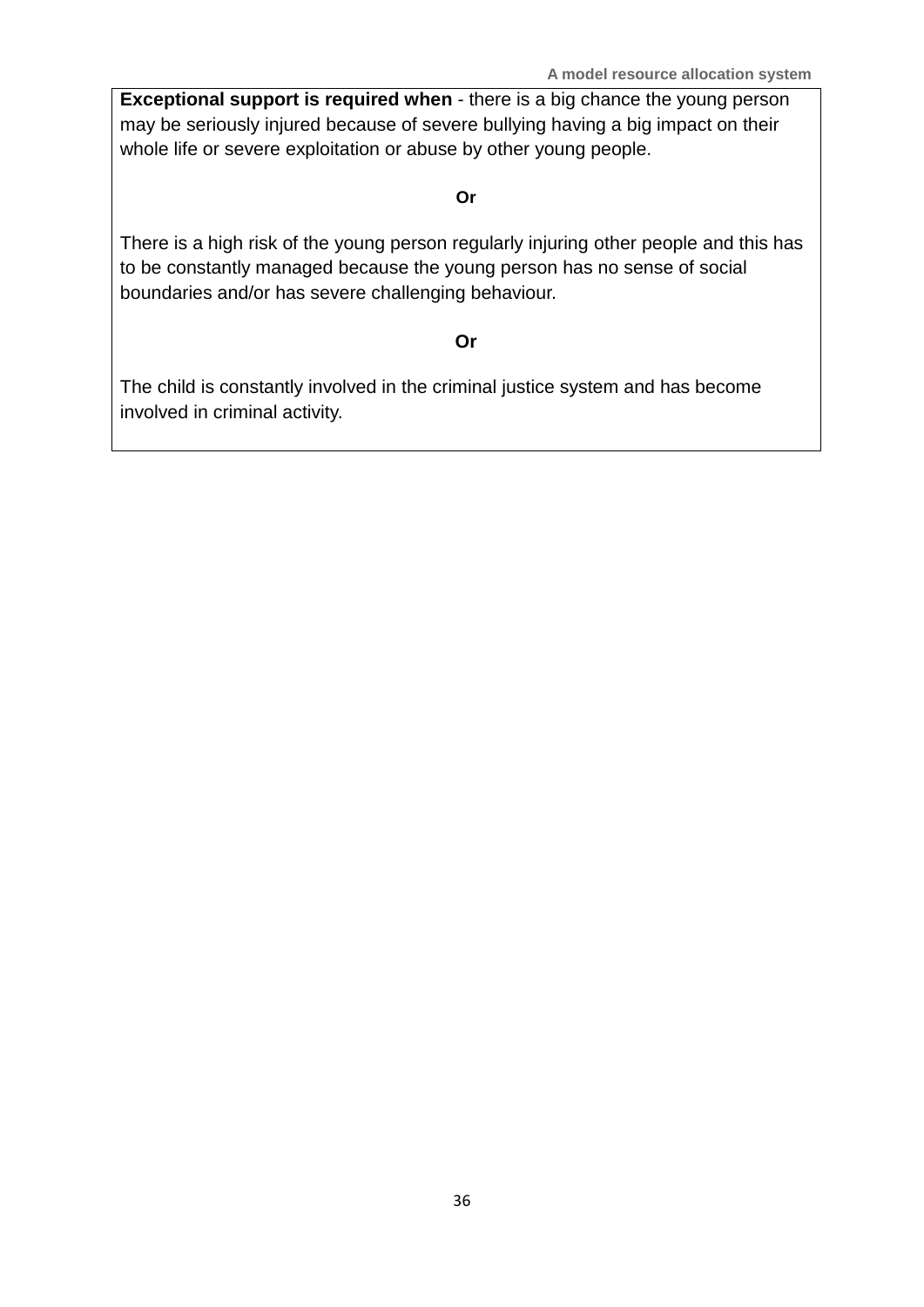**A model resource allocation system**

**Exceptional support is required when** - there is a big chance the young person may be seriously injured because of severe bullying having a big impact on their whole life or severe exploitation or abuse by other young people.

#### **Or**

There is a high risk of the young person regularly injuring other people and this has to be constantly managed because the young person has no sense of social boundaries and/or has severe challenging behaviour.

#### **Or**

The child is constantly involved in the criminal justice system and has become involved in criminal activity.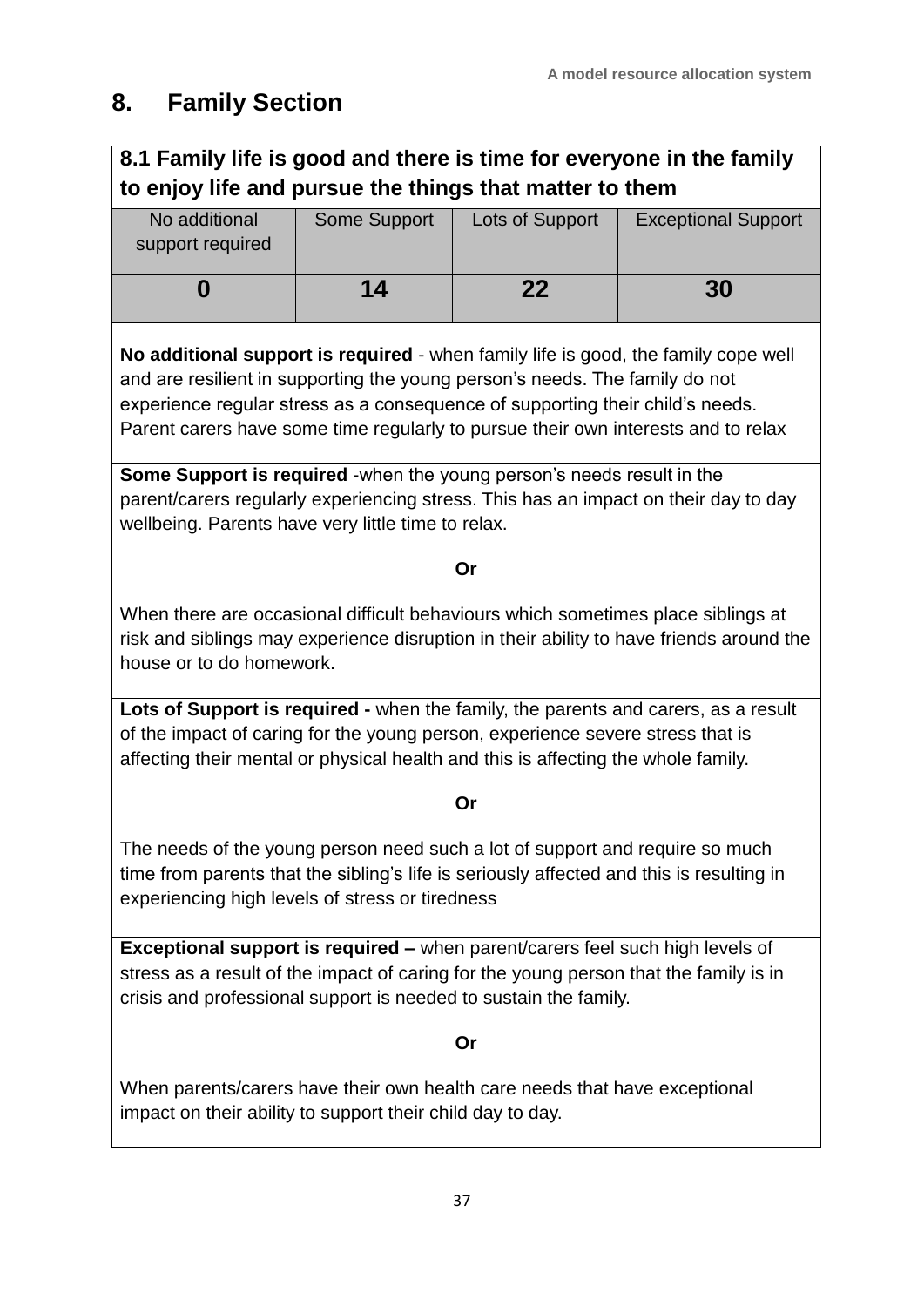### **8. Family Section**

#### **8.1 Family life is good and there is time for everyone in the family to enjoy life and pursue the things that matter to them**

| No additional<br>support required | Some Support | Lots of Support | <b>Exceptional Support</b> |
|-----------------------------------|--------------|-----------------|----------------------------|
|                                   | 14           | 22              | 30                         |

**No additional support is required** - when family life is good, the family cope well and are resilient in supporting the young person's needs. The family do not experience regular stress as a consequence of supporting their child's needs. Parent carers have some time regularly to pursue their own interests and to relax

**Some Support is required** -when the young person's needs result in the parent/carers regularly experiencing stress. This has an impact on their day to day wellbeing. Parents have very little time to relax.

#### **Or**

When there are occasional difficult behaviours which sometimes place siblings at risk and siblings may experience disruption in their ability to have friends around the house or to do homework.

**Lots of Support is required -** when the family, the parents and carers, as a result of the impact of caring for the young person, experience severe stress that is affecting their mental or physical health and this is affecting the whole family.

#### **Or**

The needs of the young person need such a lot of support and require so much time from parents that the sibling's life is seriously affected and this is resulting in experiencing high levels of stress or tiredness

**Exceptional support is required –** when parent/carers feel such high levels of stress as a result of the impact of caring for the young person that the family is in crisis and professional support is needed to sustain the family.

#### **Or**

When parents/carers have their own health care needs that have exceptional impact on their ability to support their child day to day.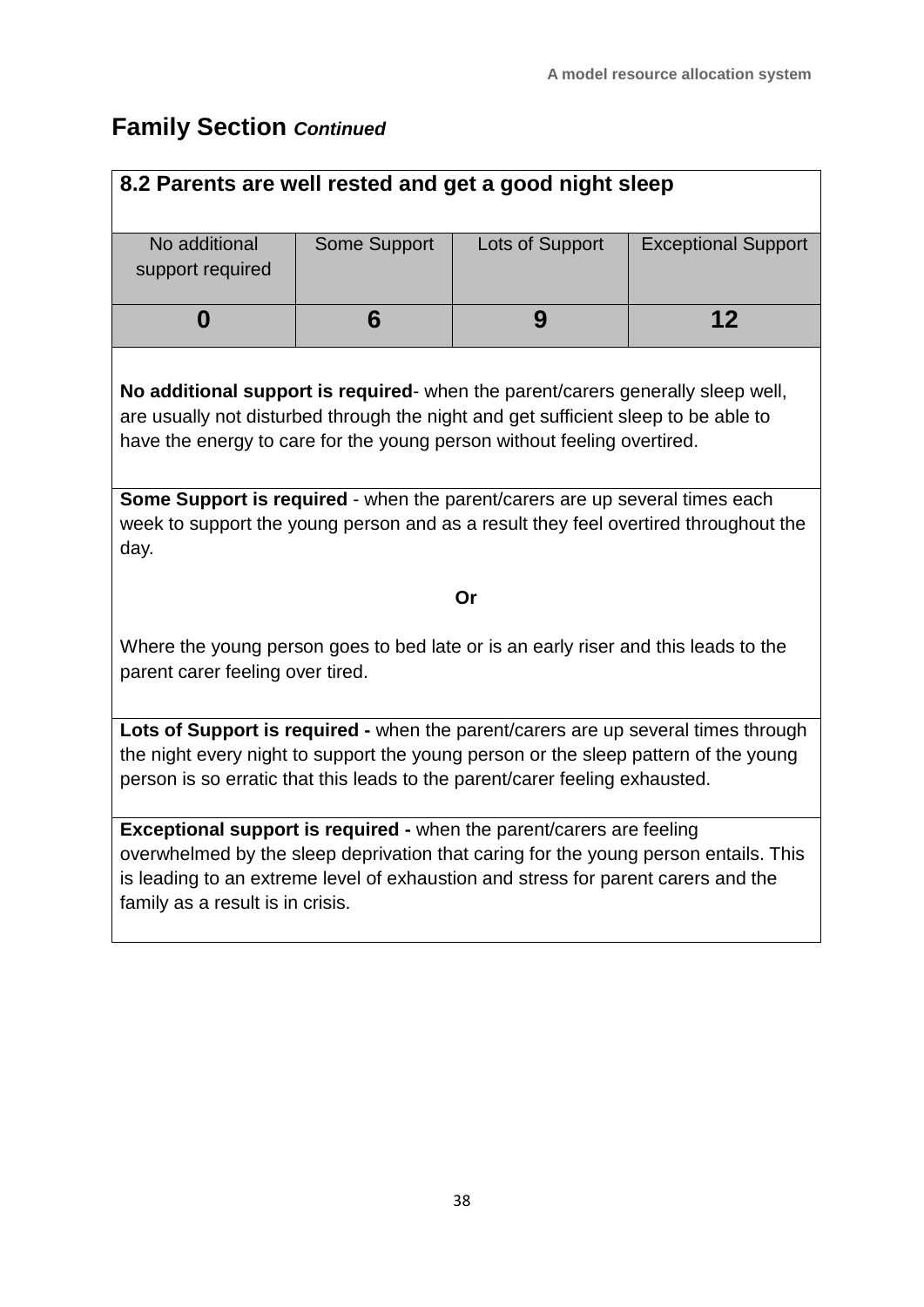### **Family Section** *Continued*

| 8.2 Parents are well rested and get a good night sleep                                                                                                                                                                                                                               |              |                 |                                                                                     |  |  |
|--------------------------------------------------------------------------------------------------------------------------------------------------------------------------------------------------------------------------------------------------------------------------------------|--------------|-----------------|-------------------------------------------------------------------------------------|--|--|
| No additional<br>support required                                                                                                                                                                                                                                                    | Some Support | Lots of Support | <b>Exceptional Support</b>                                                          |  |  |
| 0                                                                                                                                                                                                                                                                                    | 6            | 9               | 12                                                                                  |  |  |
| No additional support is required- when the parent/carers generally sleep well,<br>are usually not disturbed through the night and get sufficient sleep to be able to<br>have the energy to care for the young person without feeling overtired.                                     |              |                 |                                                                                     |  |  |
| Some Support is required - when the parent/carers are up several times each<br>day.                                                                                                                                                                                                  |              |                 | week to support the young person and as a result they feel overtired throughout the |  |  |
| Or                                                                                                                                                                                                                                                                                   |              |                 |                                                                                     |  |  |
| Where the young person goes to bed late or is an early riser and this leads to the<br>parent carer feeling over tired.                                                                                                                                                               |              |                 |                                                                                     |  |  |
| Lots of Support is required - when the parent/carers are up several times through<br>the night every night to support the young person or the sleep pattern of the young<br>person is so erratic that this leads to the parent/carer feeling exhausted.                              |              |                 |                                                                                     |  |  |
| Exceptional support is required - when the parent/carers are feeling<br>overwhelmed by the sleep deprivation that caring for the young person entails. This<br>is leading to an extreme level of exhaustion and stress for parent carers and the<br>family as a result is in crisis. |              |                 |                                                                                     |  |  |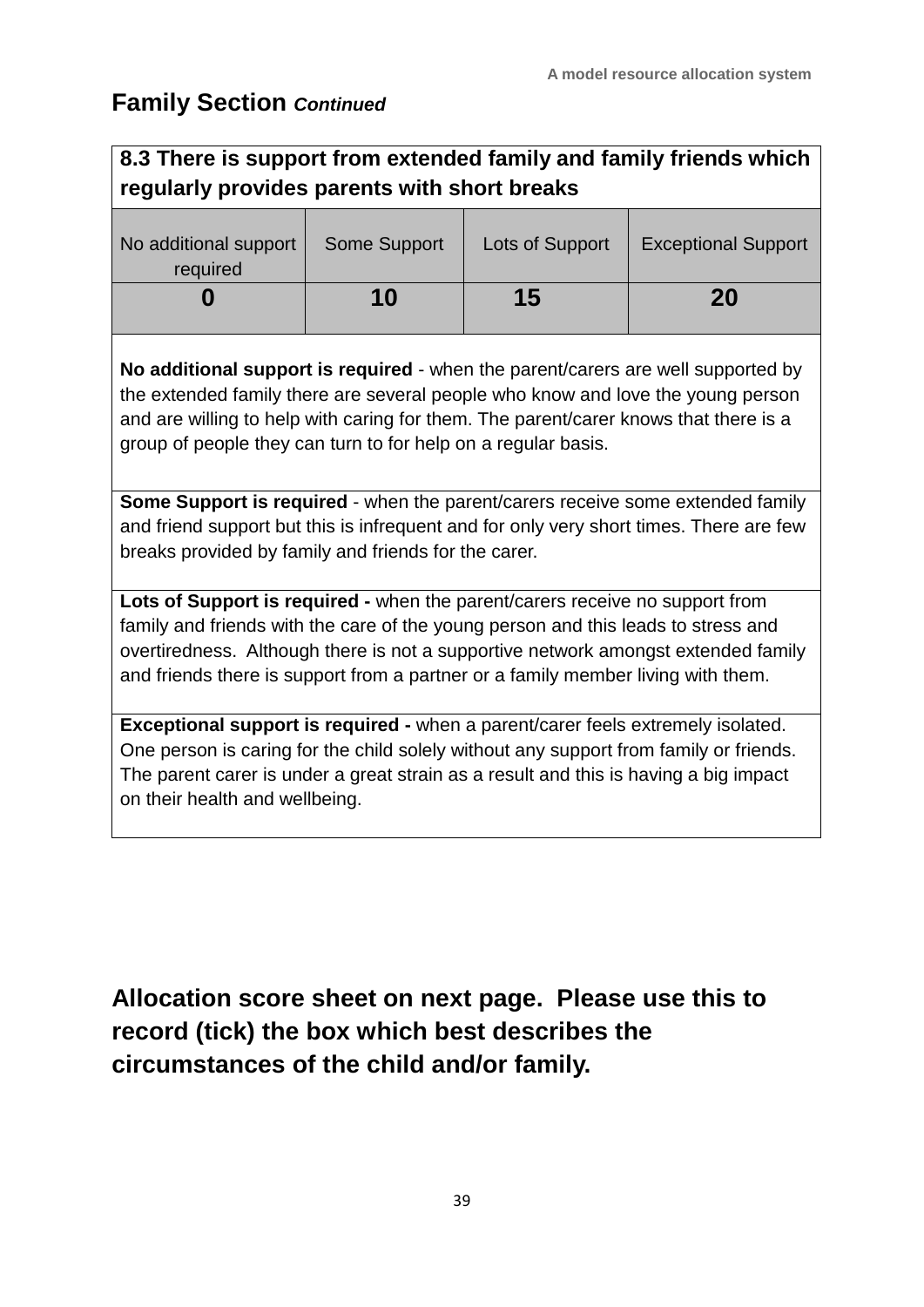### **Family Section** *Continued*

### **8.3 There is support from extended family and family friends which regularly provides parents with short breaks**

| No additional support<br>required | Some Support | Lots of Support | <b>Exceptional Support</b> |
|-----------------------------------|--------------|-----------------|----------------------------|
|                                   | 10           | 15              | 20                         |

**No additional support is required** - when the parent/carers are well supported by the extended family there are several people who know and love the young person and are willing to help with caring for them. The parent/carer knows that there is a group of people they can turn to for help on a regular basis.

**Some Support is required** - when the parent/carers receive some extended family and friend support but this is infrequent and for only very short times. There are few breaks provided by family and friends for the carer.

**Lots of Support is required -** when the parent/carers receive no support from family and friends with the care of the young person and this leads to stress and overtiredness. Although there is not a supportive network amongst extended family and friends there is support from a partner or a family member living with them.

**Exceptional support is required -** when a parent/carer feels extremely isolated. One person is caring for the child solely without any support from family or friends. The parent carer is under a great strain as a result and this is having a big impact on their health and wellbeing.

**Allocation score sheet on next page. Please use this to record (tick) the box which best describes the circumstances of the child and/or family.**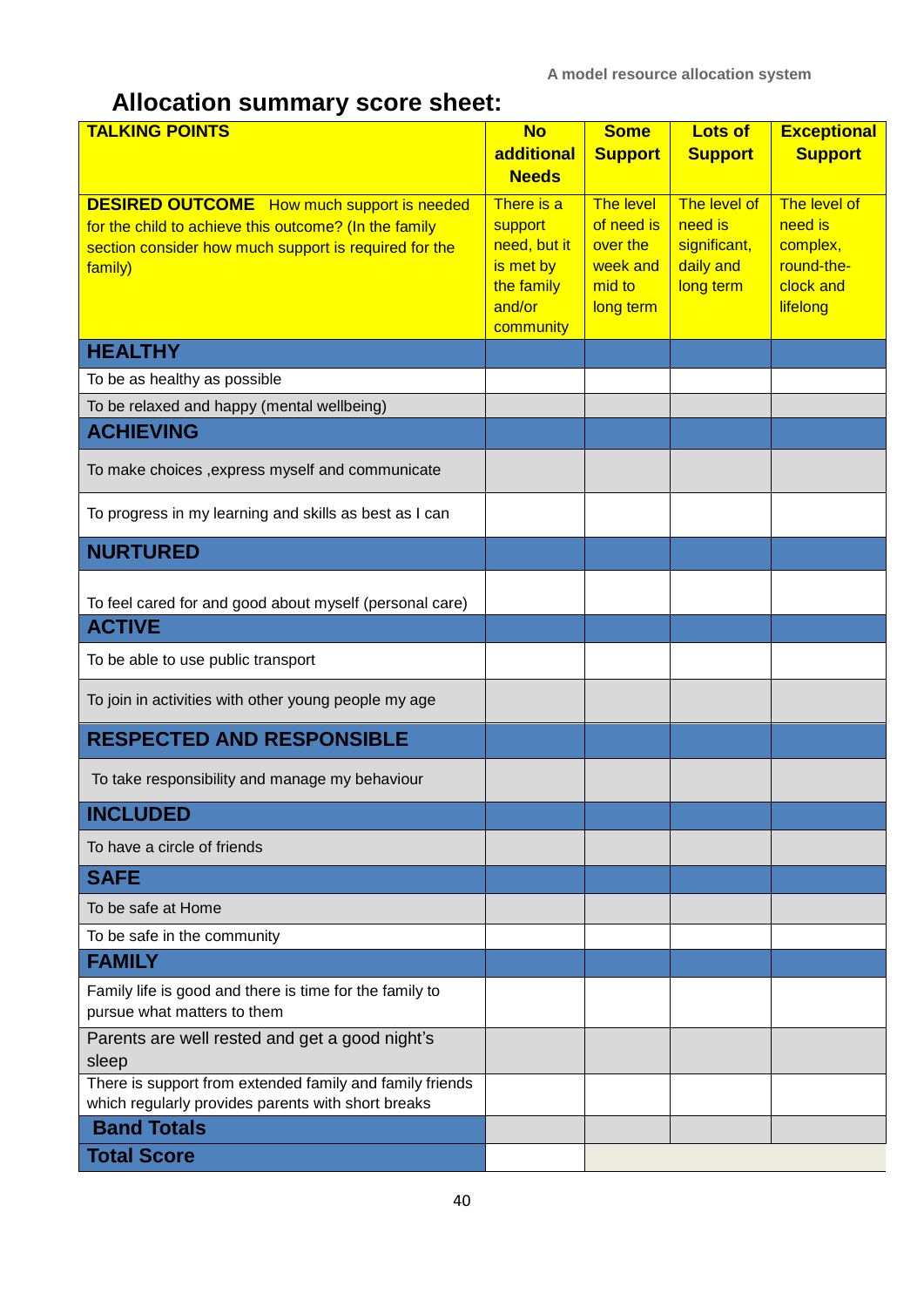### **Allocation summary score sheet:**

| <b>TALKING POINTS</b>                                                                                                                                                          | <b>No</b><br>additional                                                                 | <b>Some</b><br><b>Support</b>                                                 | <b>Lots of</b><br><b>Support</b>                                  | <b>Exceptional</b><br><b>Support</b>                                       |
|--------------------------------------------------------------------------------------------------------------------------------------------------------------------------------|-----------------------------------------------------------------------------------------|-------------------------------------------------------------------------------|-------------------------------------------------------------------|----------------------------------------------------------------------------|
|                                                                                                                                                                                | <b>Needs</b>                                                                            |                                                                               |                                                                   |                                                                            |
| <b>DESIRED OUTCOME</b> How much support is needed<br>for the child to achieve this outcome? (In the family<br>section consider how much support is required for the<br>family) | There is a<br>support<br>need, but it<br>is met by<br>the family<br>and/or<br>community | <b>The level</b><br>of need is<br>over the<br>week and<br>mid to<br>long term | The level of<br>need is<br>significant,<br>daily and<br>long term | The level of<br>need is<br>complex,<br>round-the-<br>clock and<br>lifelong |
| <b>HEALTHY</b>                                                                                                                                                                 |                                                                                         |                                                                               |                                                                   |                                                                            |
| To be as healthy as possible                                                                                                                                                   |                                                                                         |                                                                               |                                                                   |                                                                            |
| To be relaxed and happy (mental wellbeing)                                                                                                                                     |                                                                                         |                                                                               |                                                                   |                                                                            |
| <b>ACHIEVING</b>                                                                                                                                                               |                                                                                         |                                                                               |                                                                   |                                                                            |
| To make choices , express myself and communicate                                                                                                                               |                                                                                         |                                                                               |                                                                   |                                                                            |
| To progress in my learning and skills as best as I can                                                                                                                         |                                                                                         |                                                                               |                                                                   |                                                                            |
| <b>NURTURED</b>                                                                                                                                                                |                                                                                         |                                                                               |                                                                   |                                                                            |
| To feel cared for and good about myself (personal care)                                                                                                                        |                                                                                         |                                                                               |                                                                   |                                                                            |
| <b>ACTIVE</b>                                                                                                                                                                  |                                                                                         |                                                                               |                                                                   |                                                                            |
| To be able to use public transport                                                                                                                                             |                                                                                         |                                                                               |                                                                   |                                                                            |
| To join in activities with other young people my age                                                                                                                           |                                                                                         |                                                                               |                                                                   |                                                                            |
| <b>RESPECTED AND RESPONSIBLE</b>                                                                                                                                               |                                                                                         |                                                                               |                                                                   |                                                                            |
| To take responsibility and manage my behaviour                                                                                                                                 |                                                                                         |                                                                               |                                                                   |                                                                            |
| <b>INCLUDED</b>                                                                                                                                                                |                                                                                         |                                                                               |                                                                   |                                                                            |
| To have a circle of friends                                                                                                                                                    |                                                                                         |                                                                               |                                                                   |                                                                            |
| <b>SAFE</b>                                                                                                                                                                    |                                                                                         |                                                                               |                                                                   |                                                                            |
| To be safe at Home                                                                                                                                                             |                                                                                         |                                                                               |                                                                   |                                                                            |
| To be safe in the community                                                                                                                                                    |                                                                                         |                                                                               |                                                                   |                                                                            |
| <b>FAMILY</b>                                                                                                                                                                  |                                                                                         |                                                                               |                                                                   |                                                                            |
| Family life is good and there is time for the family to<br>pursue what matters to them                                                                                         |                                                                                         |                                                                               |                                                                   |                                                                            |
| Parents are well rested and get a good night's<br>sleep                                                                                                                        |                                                                                         |                                                                               |                                                                   |                                                                            |
| There is support from extended family and family friends<br>which regularly provides parents with short breaks                                                                 |                                                                                         |                                                                               |                                                                   |                                                                            |
| <b>Band Totals</b>                                                                                                                                                             |                                                                                         |                                                                               |                                                                   |                                                                            |
| <b>Total Score</b>                                                                                                                                                             |                                                                                         |                                                                               |                                                                   |                                                                            |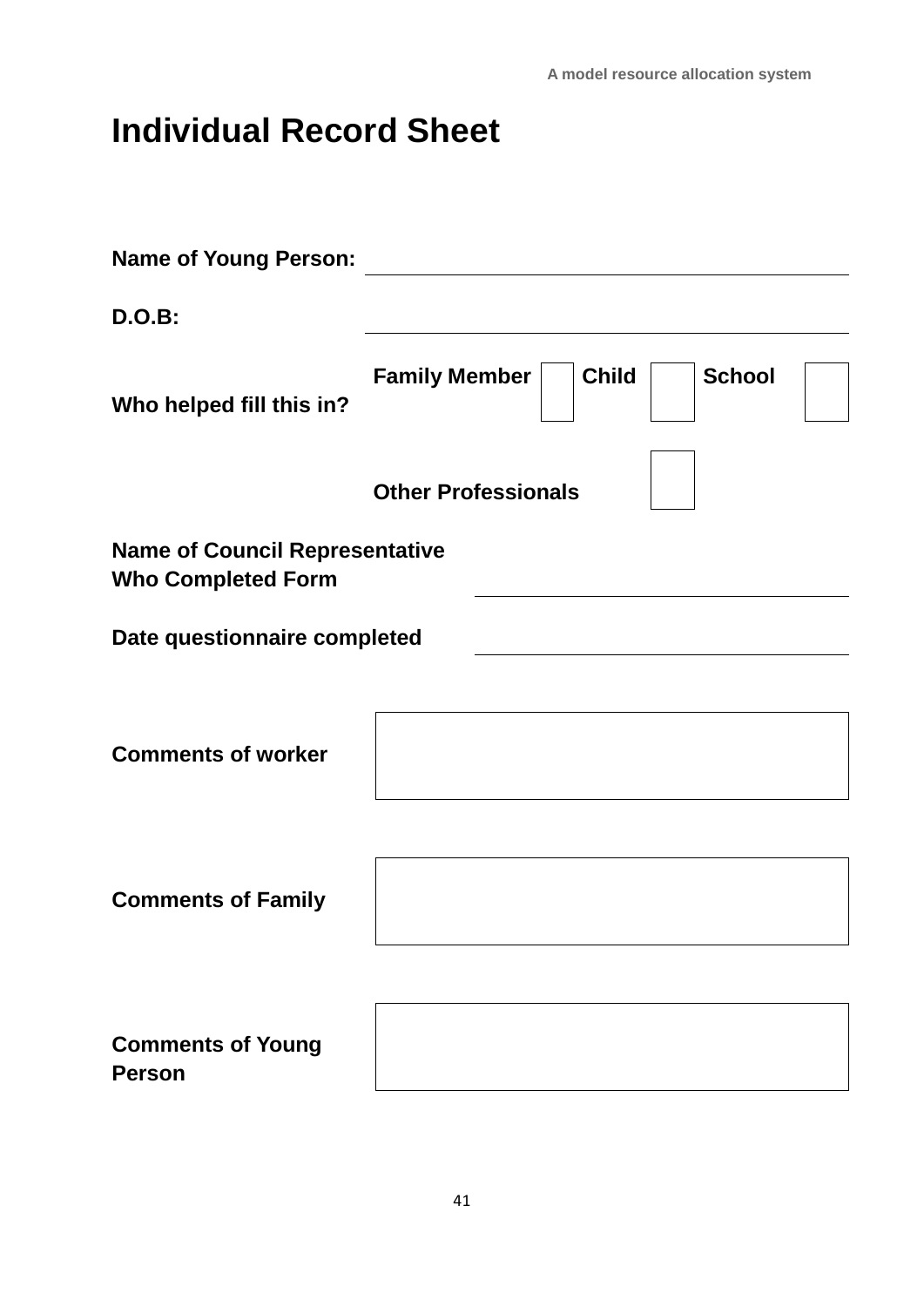# **Individual Record Sheet**

| <b>Name of Young Person:</b>                                       |                                                       |
|--------------------------------------------------------------------|-------------------------------------------------------|
| <b>D.O.B:</b>                                                      |                                                       |
| Who helped fill this in?                                           | <b>School</b><br><b>Child</b><br><b>Family Member</b> |
|                                                                    | <b>Other Professionals</b>                            |
| <b>Name of Council Representative</b><br><b>Who Completed Form</b> |                                                       |
| Date questionnaire completed                                       |                                                       |
|                                                                    |                                                       |
| <b>Comments of worker</b>                                          |                                                       |
|                                                                    |                                                       |
| <b>Comments of Family</b>                                          |                                                       |
|                                                                    |                                                       |
| <b>Comments of Young</b><br><b>Person</b>                          |                                                       |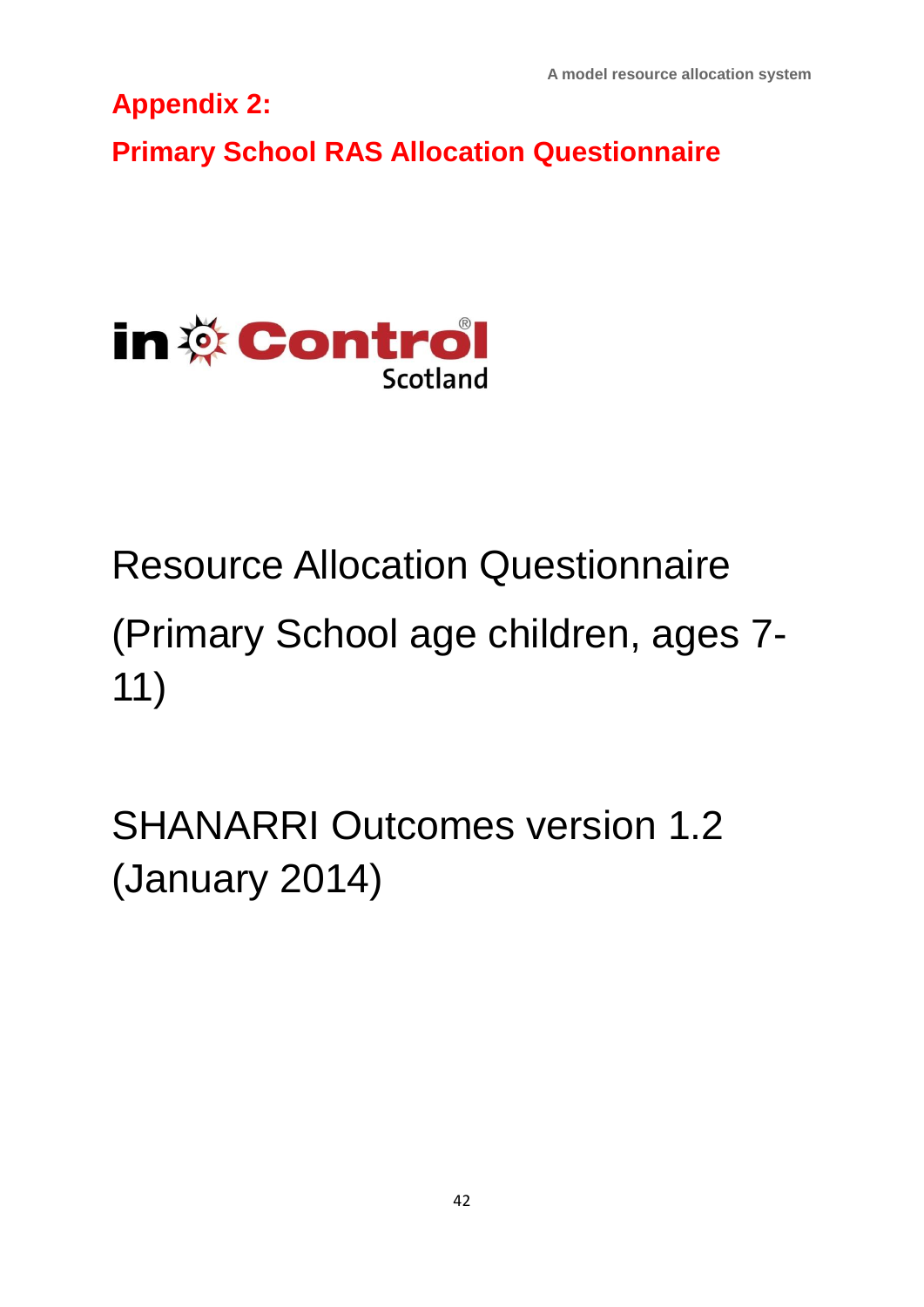**A model resource allocation system**

**Appendix 2:** 

**Primary School RAS Allocation Questionnaire**



Resource Allocation Questionnaire (Primary School age children, ages 7- 11)

SHANARRI Outcomes version 1.2 (January 2014)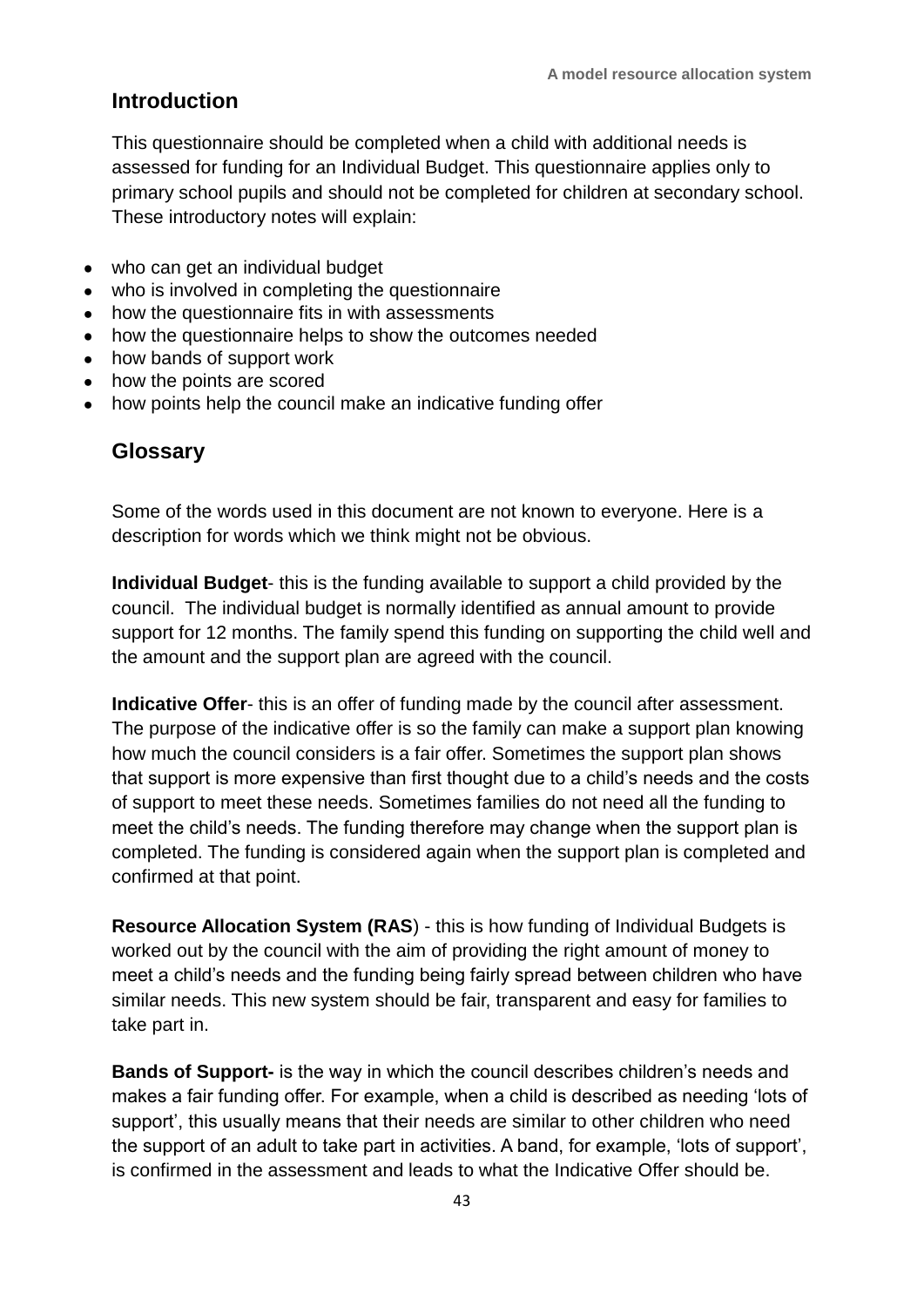#### **Introduction**

This questionnaire should be completed when a child with additional needs is assessed for funding for an Individual Budget. This questionnaire applies only to primary school pupils and should not be completed for children at secondary school. These introductory notes will explain:

- who can get an individual budget
- who is involved in completing the questionnaire
- how the questionnaire fits in with assessments
- how the questionnaire helps to show the outcomes needed
- how bands of support work
- how the points are scored
- how points help the council make an indicative funding offer

#### **Glossary**

Some of the words used in this document are not known to everyone. Here is a description for words which we think might not be obvious.

**Individual Budget**- this is the funding available to support a child provided by the council. The individual budget is normally identified as annual amount to provide support for 12 months. The family spend this funding on supporting the child well and the amount and the support plan are agreed with the council.

**Indicative Offer**- this is an offer of funding made by the council after assessment. The purpose of the indicative offer is so the family can make a support plan knowing how much the council considers is a fair offer. Sometimes the support plan shows that support is more expensive than first thought due to a child's needs and the costs of support to meet these needs. Sometimes families do not need all the funding to meet the child's needs. The funding therefore may change when the support plan is completed. The funding is considered again when the support plan is completed and confirmed at that point.

**Resource Allocation System (RAS**) - this is how funding of Individual Budgets is worked out by the council with the aim of providing the right amount of money to meet a child's needs and the funding being fairly spread between children who have similar needs. This new system should be fair, transparent and easy for families to take part in.

**Bands of Support-** is the way in which the council describes children's needs and makes a fair funding offer. For example, when a child is described as needing 'lots of support', this usually means that their needs are similar to other children who need the support of an adult to take part in activities. A band, for example, 'lots of support', is confirmed in the assessment and leads to what the Indicative Offer should be.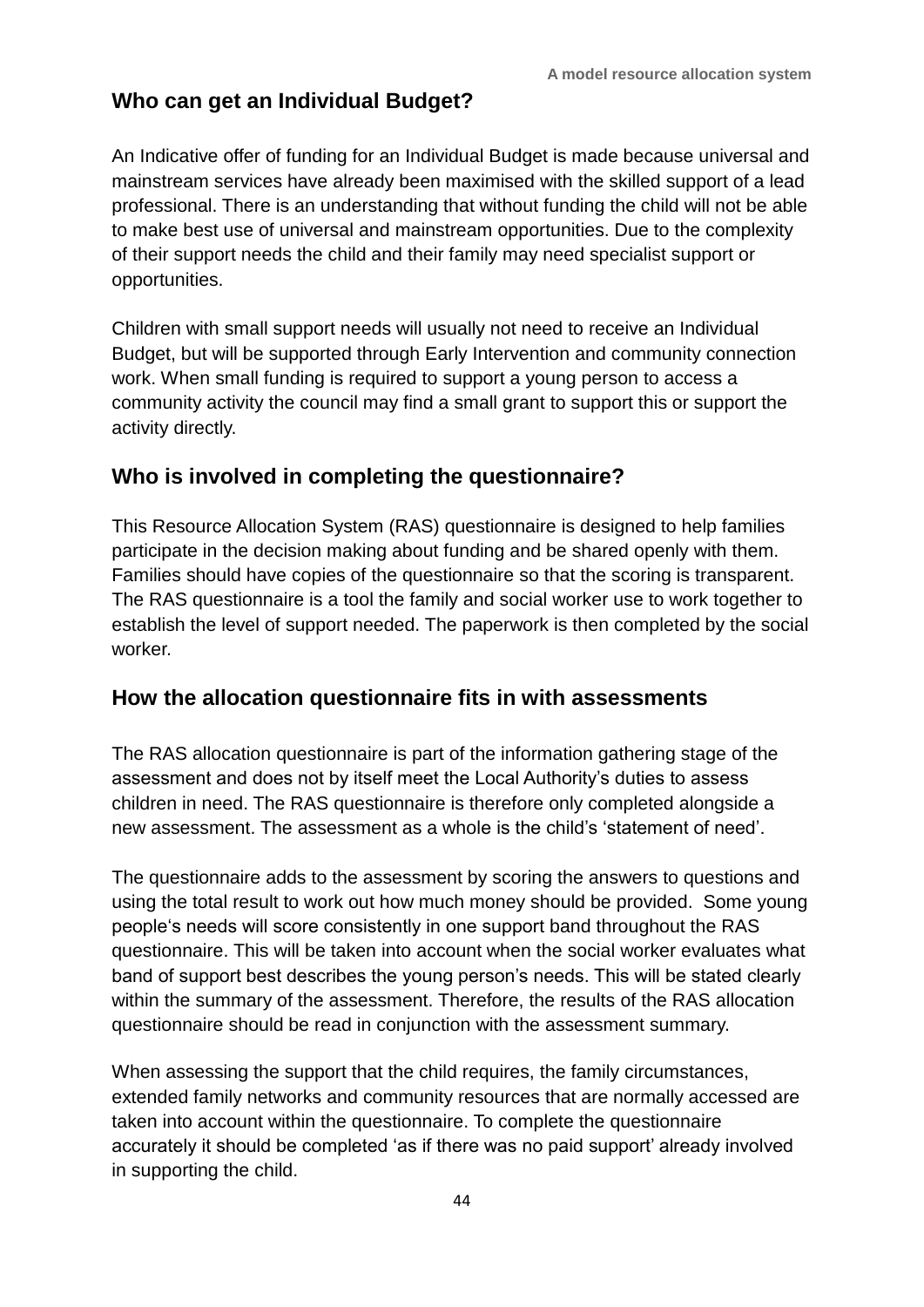#### **Who can get an Individual Budget?**

An Indicative offer of funding for an Individual Budget is made because universal and mainstream services have already been maximised with the skilled support of a lead professional. There is an understanding that without funding the child will not be able to make best use of universal and mainstream opportunities. Due to the complexity of their support needs the child and their family may need specialist support or opportunities.

Children with small support needs will usually not need to receive an Individual Budget, but will be supported through Early Intervention and community connection work. When small funding is required to support a young person to access a community activity the council may find a small grant to support this or support the activity directly.

#### **Who is involved in completing the questionnaire?**

This Resource Allocation System (RAS) questionnaire is designed to help families participate in the decision making about funding and be shared openly with them. Families should have copies of the questionnaire so that the scoring is transparent. The RAS questionnaire is a tool the family and social worker use to work together to establish the level of support needed. The paperwork is then completed by the social worker.

#### **How the allocation questionnaire fits in with assessments**

The RAS allocation questionnaire is part of the information gathering stage of the assessment and does not by itself meet the Local Authority's duties to assess children in need. The RAS questionnaire is therefore only completed alongside a new assessment. The assessment as a whole is the child's 'statement of need'.

The questionnaire adds to the assessment by scoring the answers to questions and using the total result to work out how much money should be provided. Some young people's needs will score consistently in one support band throughout the RAS questionnaire. This will be taken into account when the social worker evaluates what band of support best describes the young person's needs. This will be stated clearly within the summary of the assessment. Therefore, the results of the RAS allocation questionnaire should be read in conjunction with the assessment summary.

When assessing the support that the child requires, the family circumstances, extended family networks and community resources that are normally accessed are taken into account within the questionnaire. To complete the questionnaire accurately it should be completed 'as if there was no paid support' already involved in supporting the child.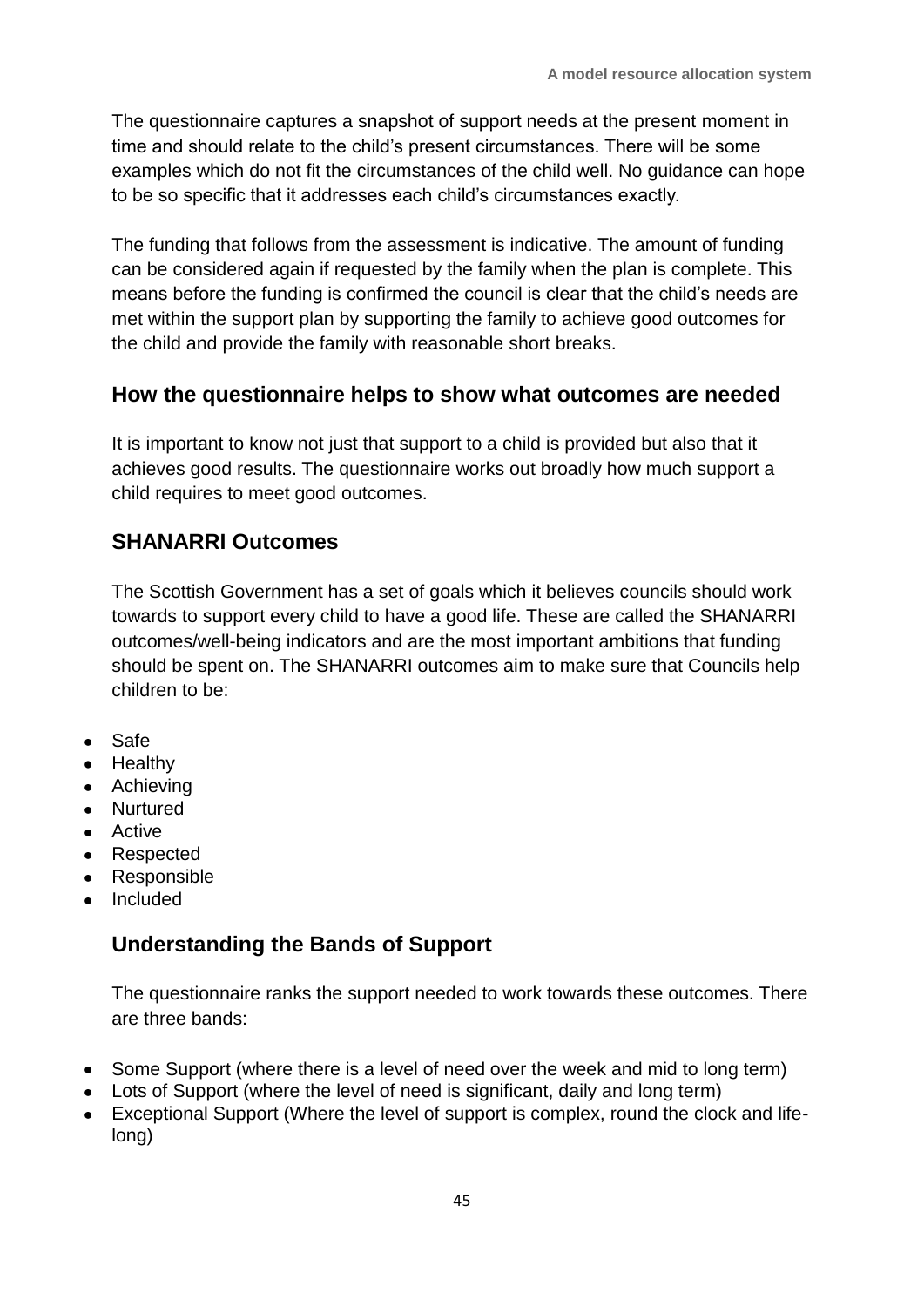The questionnaire captures a snapshot of support needs at the present moment in time and should relate to the child's present circumstances. There will be some examples which do not fit the circumstances of the child well. No guidance can hope to be so specific that it addresses each child's circumstances exactly.

The funding that follows from the assessment is indicative. The amount of funding can be considered again if requested by the family when the plan is complete. This means before the funding is confirmed the council is clear that the child's needs are met within the support plan by supporting the family to achieve good outcomes for the child and provide the family with reasonable short breaks.

#### **How the questionnaire helps to show what outcomes are needed**

It is important to know not just that support to a child is provided but also that it achieves good results. The questionnaire works out broadly how much support a child requires to meet good outcomes.

#### **SHANARRI Outcomes**

The Scottish Government has a set of goals which it believes councils should work towards to support every child to have a good life. These are called the SHANARRI outcomes/well-being indicators and are the most important ambitions that funding should be spent on. The SHANARRI outcomes aim to make sure that Councils help children to be:

- Safe
- Healthy
- Achieving
- Nurtured
- **•** Active
- Respected
- Responsible
- Included

#### **Understanding the Bands of Support**

The questionnaire ranks the support needed to work towards these outcomes. There are three bands:

- Some Support (where there is a level of need over the week and mid to long term)
- Lots of Support (where the level of need is significant, daily and long term)
- Exceptional Support (Where the level of support is complex, round the clock and lifelong)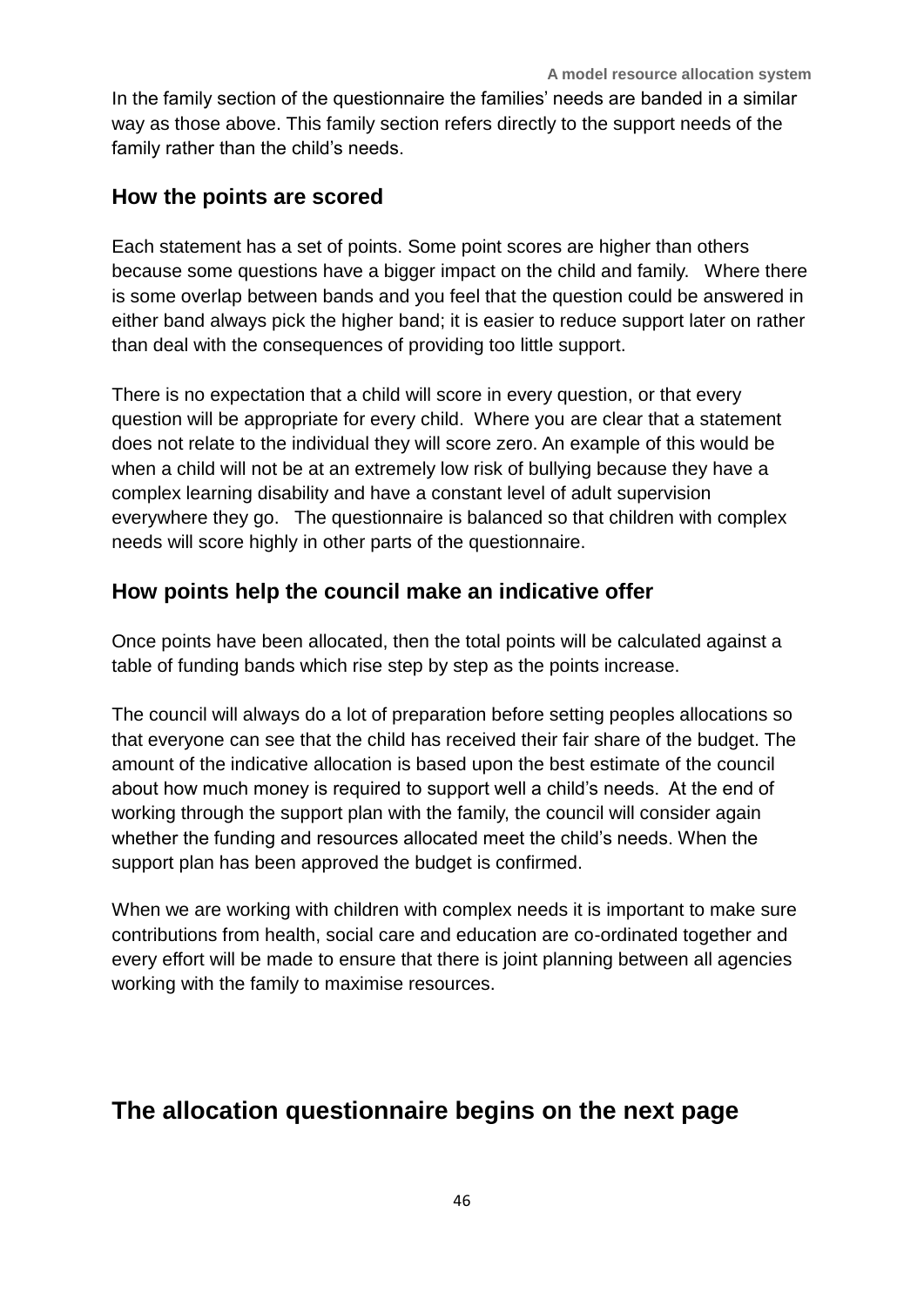In the family section of the questionnaire the families' needs are banded in a similar way as those above. This family section refers directly to the support needs of the family rather than the child's needs.

#### **How the points are scored**

Each statement has a set of points. Some point scores are higher than others because some questions have a bigger impact on the child and family. Where there is some overlap between bands and you feel that the question could be answered in either band always pick the higher band; it is easier to reduce support later on rather than deal with the consequences of providing too little support.

There is no expectation that a child will score in every question, or that every question will be appropriate for every child. Where you are clear that a statement does not relate to the individual they will score zero. An example of this would be when a child will not be at an extremely low risk of bullying because they have a complex learning disability and have a constant level of adult supervision everywhere they go. The questionnaire is balanced so that children with complex needs will score highly in other parts of the questionnaire.

#### **How points help the council make an indicative offer**

Once points have been allocated, then the total points will be calculated against a table of funding bands which rise step by step as the points increase.

The council will always do a lot of preparation before setting peoples allocations so that everyone can see that the child has received their fair share of the budget. The amount of the indicative allocation is based upon the best estimate of the council about how much money is required to support well a child's needs. At the end of working through the support plan with the family, the council will consider again whether the funding and resources allocated meet the child's needs. When the support plan has been approved the budget is confirmed.

When we are working with children with complex needs it is important to make sure contributions from health, social care and education are co-ordinated together and every effort will be made to ensure that there is joint planning between all agencies working with the family to maximise resources.

### **The allocation questionnaire begins on the next page**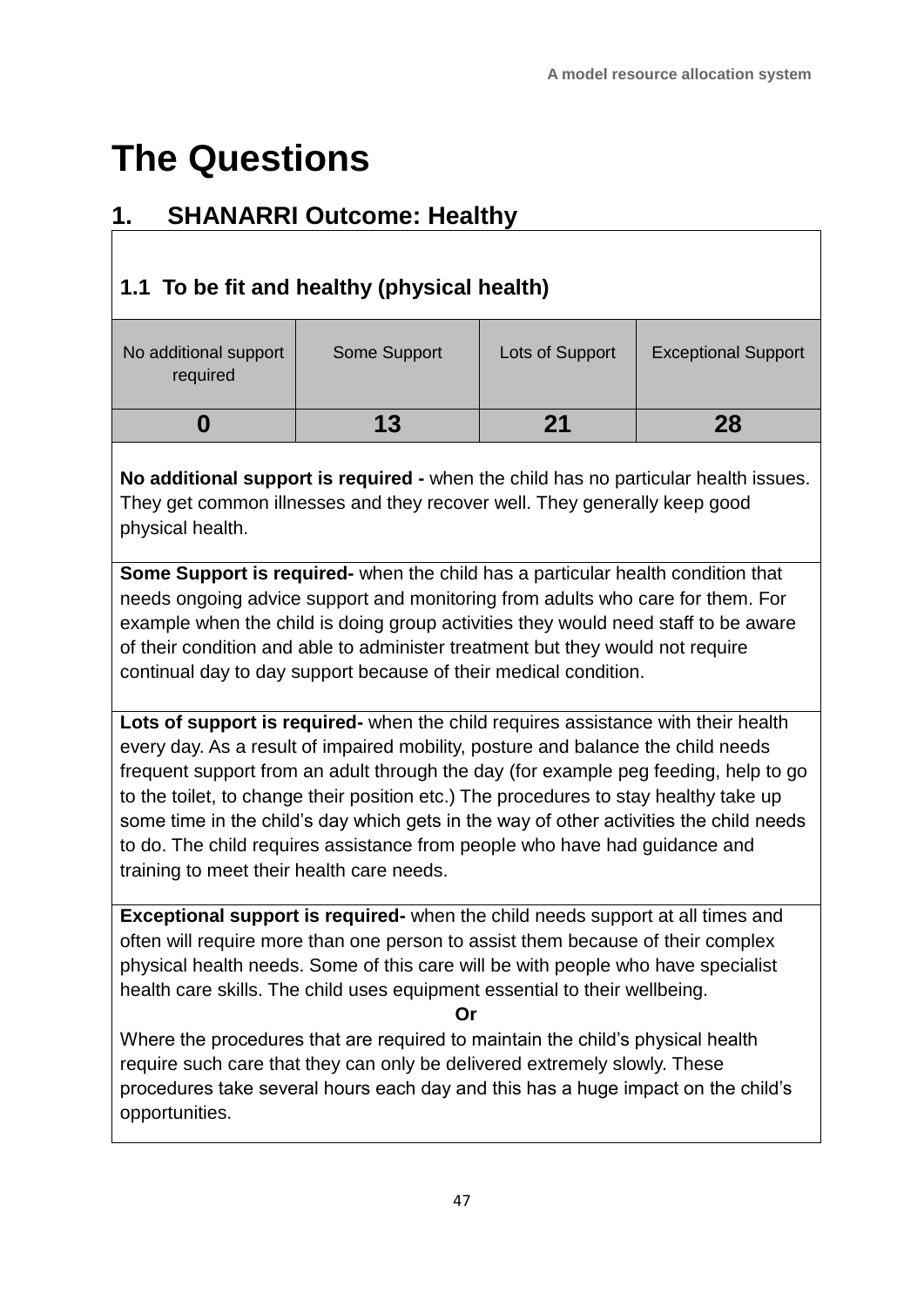# **The Questions**

### **1. SHANARRI Outcome: Healthy**

### **1.1 To be fit and healthy (physical health)**

| No additional support<br>required | Some Support | Lots of Support | <b>Exceptional Support</b> |
|-----------------------------------|--------------|-----------------|----------------------------|
|                                   | 13           | 21              | 28                         |

**No additional support is required -** when the child has no particular health issues. They get common illnesses and they recover well. They generally keep good physical health.

**Some Support is required-** when the child has a particular health condition that needs ongoing advice support and monitoring from adults who care for them. For example when the child is doing group activities they would need staff to be aware of their condition and able to administer treatment but they would not require continual day to day support because of their medical condition.

**Lots of support is required-** when the child requires assistance with their health every day. As a result of impaired mobility, posture and balance the child needs frequent support from an adult through the day (for example peg feeding, help to go to the toilet, to change their position etc.) The procedures to stay healthy take up some time in the child's day which gets in the way of other activities the child needs to do. The child requires assistance from people who have had guidance and training to meet their health care needs.

**Exceptional support is required-** when the child needs support at all times and often will require more than one person to assist them because of their complex physical health needs. Some of this care will be with people who have specialist health care skills. The child uses equipment essential to their wellbeing.

**Or**

Where the procedures that are required to maintain the child's physical health require such care that they can only be delivered extremely slowly. These procedures take several hours each day and this has a huge impact on the child's opportunities.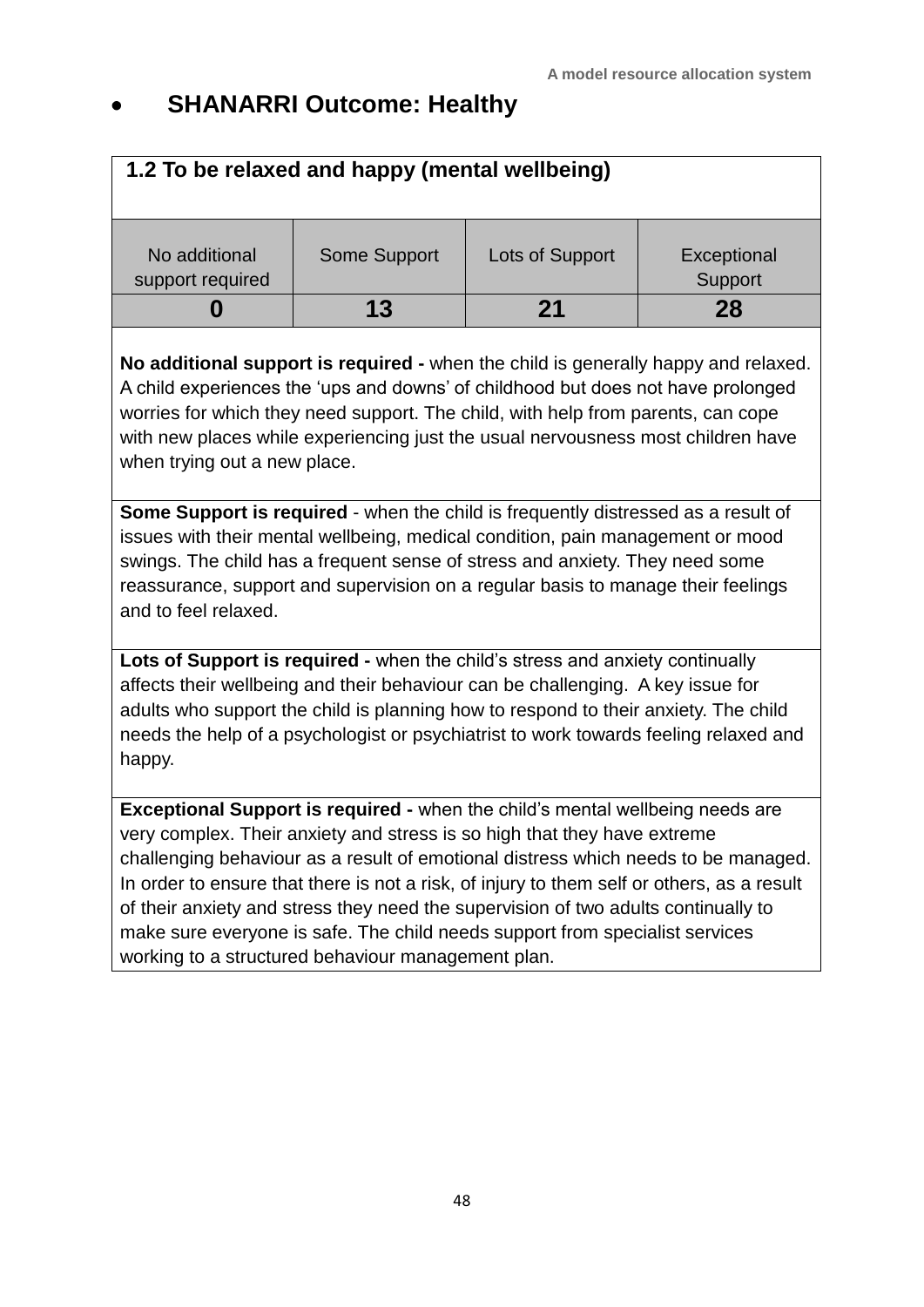### **SHANARRI Outcome: Healthy**

| 1.2 To be relaxed and happy (mental wellbeing) |              |                 |                        |
|------------------------------------------------|--------------|-----------------|------------------------|
| No additional<br>support required              | Some Support | Lots of Support | Exceptional<br>Support |
|                                                | 13           | 21              | 28                     |

**No additional support is required -** when the child is generally happy and relaxed. A child experiences the 'ups and downs' of childhood but does not have prolonged worries for which they need support. The child, with help from parents, can cope with new places while experiencing just the usual nervousness most children have when trying out a new place.

**Some Support is required** - when the child is frequently distressed as a result of issues with their mental wellbeing, medical condition, pain management or mood swings. The child has a frequent sense of stress and anxiety. They need some reassurance, support and supervision on a regular basis to manage their feelings and to feel relaxed.

**Lots of Support is required -** when the child's stress and anxiety continually affects their wellbeing and their behaviour can be challenging. A key issue for adults who support the child is planning how to respond to their anxiety. The child needs the help of a psychologist or psychiatrist to work towards feeling relaxed and happy.

**Exceptional Support is required -** when the child's mental wellbeing needs are very complex. Their anxiety and stress is so high that they have extreme challenging behaviour as a result of emotional distress which needs to be managed. In order to ensure that there is not a risk, of injury to them self or others, as a result of their anxiety and stress they need the supervision of two adults continually to make sure everyone is safe. The child needs support from specialist services working to a structured behaviour management plan.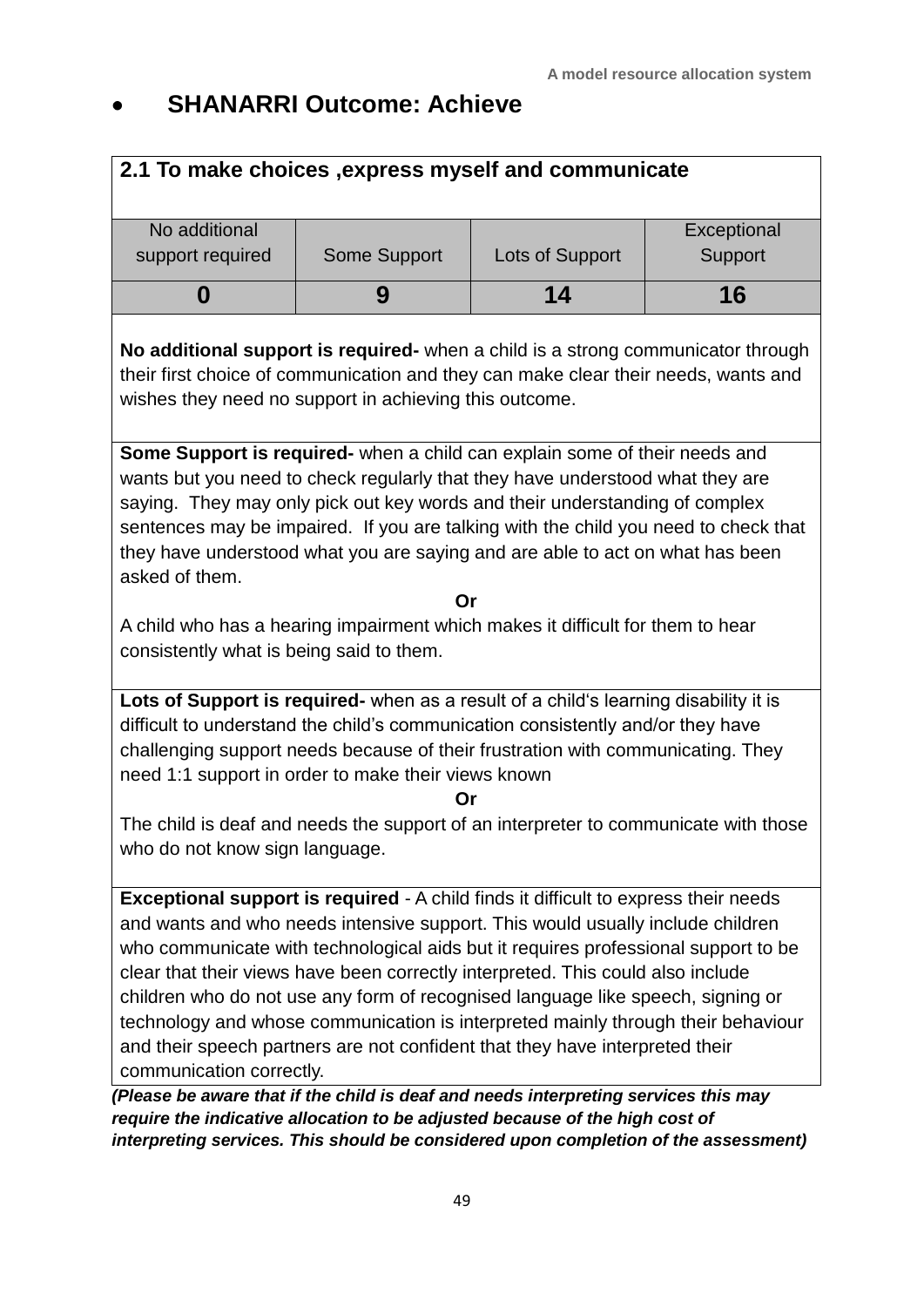### **SHANARRI Outcome: Achieve**

#### **2.1 To make choices ,express myself and communicate**

| No additional<br>support required | Some Support | Lots of Support | Exceptional<br>Support |
|-----------------------------------|--------------|-----------------|------------------------|
|                                   |              | 14              | 16                     |

**No additional support is required-** when a child is a strong communicator through their first choice of communication and they can make clear their needs, wants and wishes they need no support in achieving this outcome.

**Some Support is required-** when a child can explain some of their needs and wants but you need to check regularly that they have understood what they are saying. They may only pick out key words and their understanding of complex sentences may be impaired. If you are talking with the child you need to check that they have understood what you are saying and are able to act on what has been asked of them.

**Or**

A child who has a hearing impairment which makes it difficult for them to hear consistently what is being said to them.

**Lots of Support is required-** when as a result of a child's learning disability it is difficult to understand the child's communication consistently and/or they have challenging support needs because of their frustration with communicating. They need 1:1 support in order to make their views known

#### **Or**

The child is deaf and needs the support of an interpreter to communicate with those who do not know sign language.

**Exceptional support is required** - A child finds it difficult to express their needs and wants and who needs intensive support. This would usually include children who communicate with technological aids but it requires professional support to be clear that their views have been correctly interpreted. This could also include children who do not use any form of recognised language like speech, signing or technology and whose communication is interpreted mainly through their behaviour and their speech partners are not confident that they have interpreted their communication correctly.

*(Please be aware that if the child is deaf and needs interpreting services this may require the indicative allocation to be adjusted because of the high cost of interpreting services. This should be considered upon completion of the assessment)*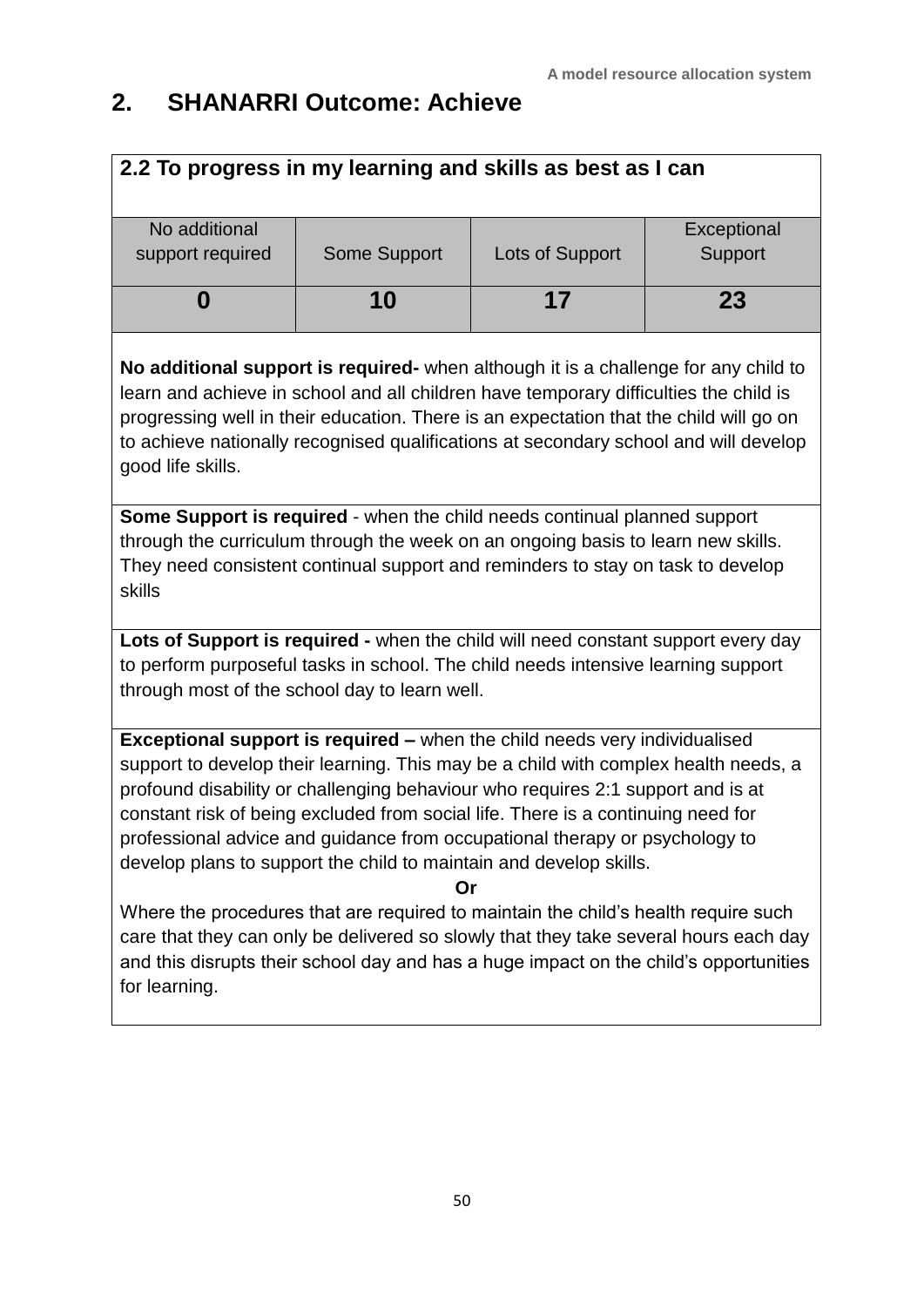### **2. SHANARRI Outcome: Achieve**

| 2.2 To progress in my learning and skills as best as I can |              |                 |             |  |  |
|------------------------------------------------------------|--------------|-----------------|-------------|--|--|
| No additional                                              |              |                 | Exceptional |  |  |
| support required                                           | Some Support | Lots of Support | Support     |  |  |
| 10<br>23<br>17                                             |              |                 |             |  |  |
|                                                            |              |                 |             |  |  |

**No additional support is required-** when although it is a challenge for any child to learn and achieve in school and all children have temporary difficulties the child is progressing well in their education. There is an expectation that the child will go on to achieve nationally recognised qualifications at secondary school and will develop good life skills.

**Some Support is required** - when the child needs continual planned support through the curriculum through the week on an ongoing basis to learn new skills. They need consistent continual support and reminders to stay on task to develop skills

**Lots of Support is required -** when the child will need constant support every day to perform purposeful tasks in school. The child needs intensive learning support through most of the school day to learn well.

**Exceptional support is required –** when the child needs very individualised support to develop their learning. This may be a child with complex health needs, a profound disability or challenging behaviour who requires 2:1 support and is at constant risk of being excluded from social life. There is a continuing need for professional advice and guidance from occupational therapy or psychology to develop plans to support the child to maintain and develop skills.

**Or**

Where the procedures that are required to maintain the child's health require such care that they can only be delivered so slowly that they take several hours each day and this disrupts their school day and has a huge impact on the child's opportunities for learning.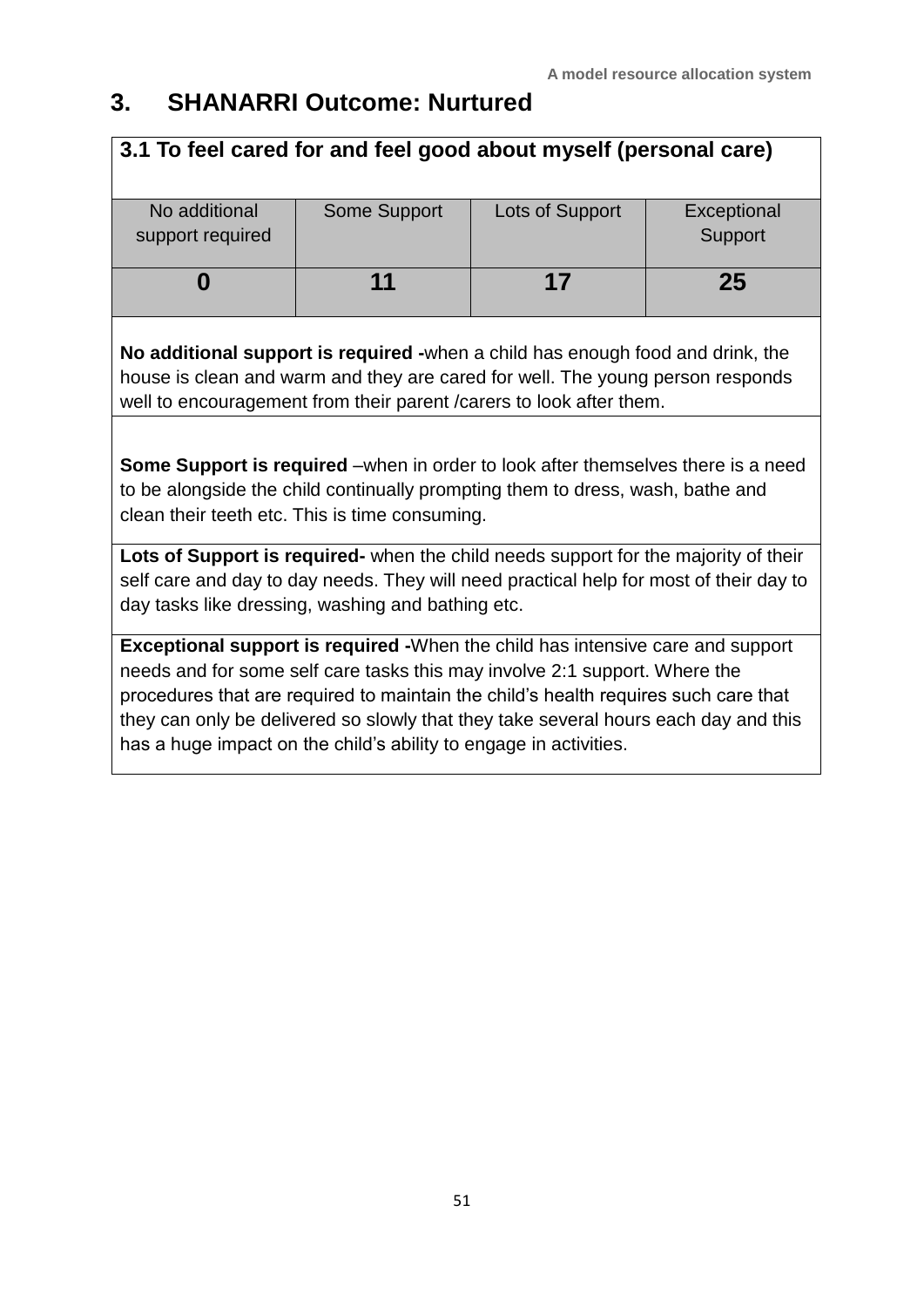### **3. SHANARRI Outcome: Nurtured**

| 3.1 To feel cared for and feel good about myself (personal care)                                                                                                                                                                                                                                                                                   |              |                 |                        |  |
|----------------------------------------------------------------------------------------------------------------------------------------------------------------------------------------------------------------------------------------------------------------------------------------------------------------------------------------------------|--------------|-----------------|------------------------|--|
| No additional<br>support required                                                                                                                                                                                                                                                                                                                  | Some Support | Lots of Support | Exceptional<br>Support |  |
| 0                                                                                                                                                                                                                                                                                                                                                  | 11           | 17              | 25                     |  |
| No additional support is required -when a child has enough food and drink, the<br>house is clean and warm and they are cared for well. The young person responds<br>well to encouragement from their parent / carers to look after them.                                                                                                           |              |                 |                        |  |
| <b>Some Support is required</b> –when in order to look after themselves there is a need<br>to be alongside the child continually prompting them to dress, wash, bathe and<br>clean their teeth etc. This is time consuming.                                                                                                                        |              |                 |                        |  |
| Lots of Support is required- when the child needs support for the majority of their<br>self care and day to day needs. They will need practical help for most of their day to<br>day tasks like dressing, washing and bathing etc.                                                                                                                 |              |                 |                        |  |
| <b>Exceptional support is required -</b> When the child has intensive care and support<br>needs and for some self care tasks this may involve 2:1 support. Where the<br>procedures that are required to maintain the child's health requires such care that<br>they can only be delivered so slowly that they take several hours each day and this |              |                 |                        |  |

has a huge impact on the child's ability to engage in activities.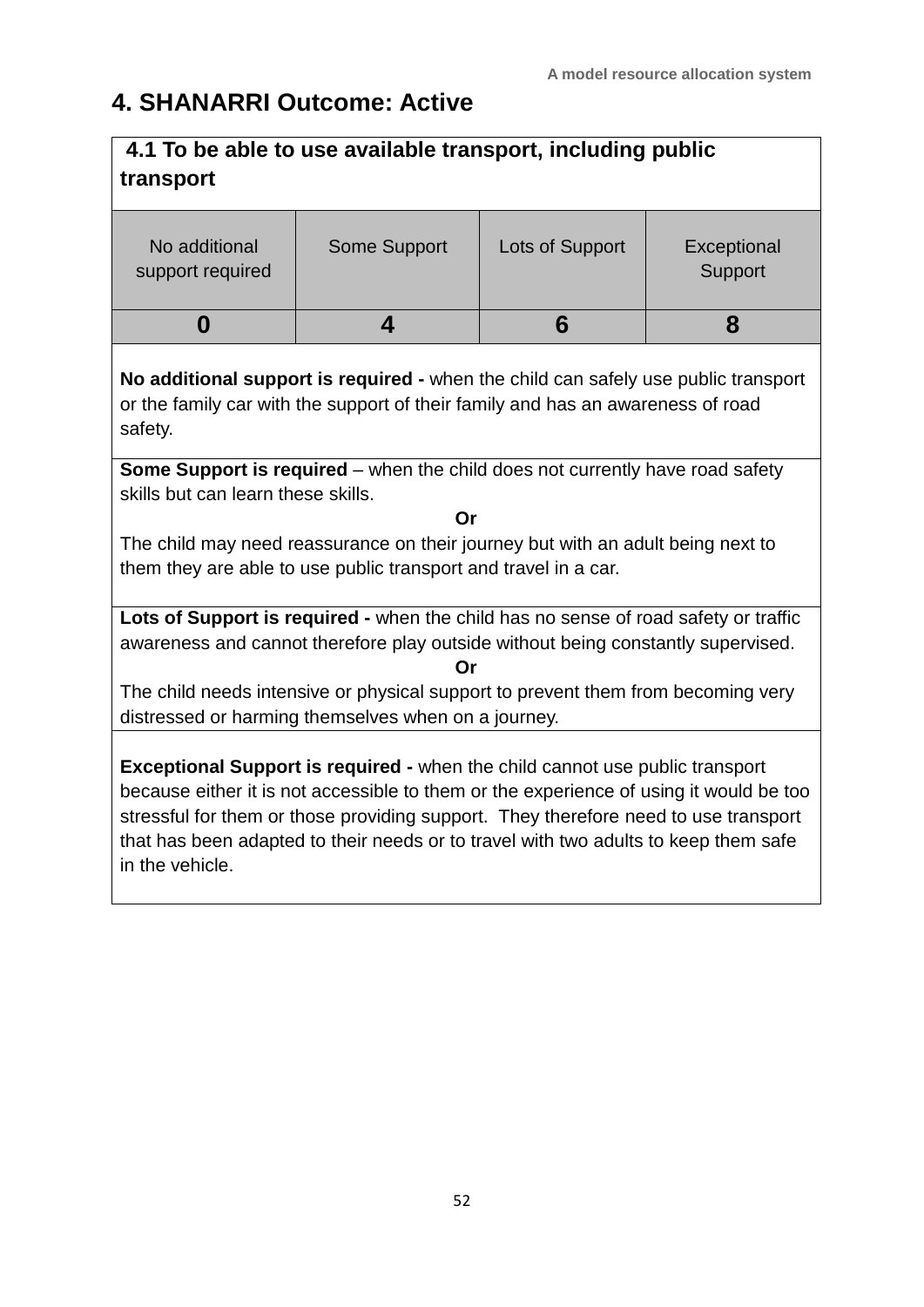### **4. SHANARRI Outcome: Active**

| 4.1 To be able to use available transport, including public<br>transport                                                                                                                                                                                                                                                                                                       |                                                                                                                                                                       |                 |                        |  |
|--------------------------------------------------------------------------------------------------------------------------------------------------------------------------------------------------------------------------------------------------------------------------------------------------------------------------------------------------------------------------------|-----------------------------------------------------------------------------------------------------------------------------------------------------------------------|-----------------|------------------------|--|
| No additional<br>support required                                                                                                                                                                                                                                                                                                                                              | Some Support                                                                                                                                                          | Lots of Support | Exceptional<br>Support |  |
| 0                                                                                                                                                                                                                                                                                                                                                                              | $\overline{\mathbf{4}}$                                                                                                                                               | 6               | 8                      |  |
| safety.                                                                                                                                                                                                                                                                                                                                                                        | No additional support is required - when the child can safely use public transport<br>or the family car with the support of their family and has an awareness of road |                 |                        |  |
|                                                                                                                                                                                                                                                                                                                                                                                | <b>Some Support is required</b> – when the child does not currently have road safety                                                                                  |                 |                        |  |
| skills but can learn these skills.                                                                                                                                                                                                                                                                                                                                             | Or                                                                                                                                                                    |                 |                        |  |
| The child may need reassurance on their journey but with an adult being next to<br>them they are able to use public transport and travel in a car.                                                                                                                                                                                                                             |                                                                                                                                                                       |                 |                        |  |
| Lots of Support is required - when the child has no sense of road safety or traffic<br>awareness and cannot therefore play outside without being constantly supervised.<br>Or                                                                                                                                                                                                  |                                                                                                                                                                       |                 |                        |  |
| The child needs intensive or physical support to prevent them from becoming very<br>distressed or harming themselves when on a journey.                                                                                                                                                                                                                                        |                                                                                                                                                                       |                 |                        |  |
| <b>Exceptional Support is required - when the child cannot use public transport</b><br>because either it is not accessible to them or the experience of using it would be too<br>stressful for them or those providing support. They therefore need to use transport<br>that has been adapted to their needs or to travel with two adults to keep them safe<br>in the vehicle. |                                                                                                                                                                       |                 |                        |  |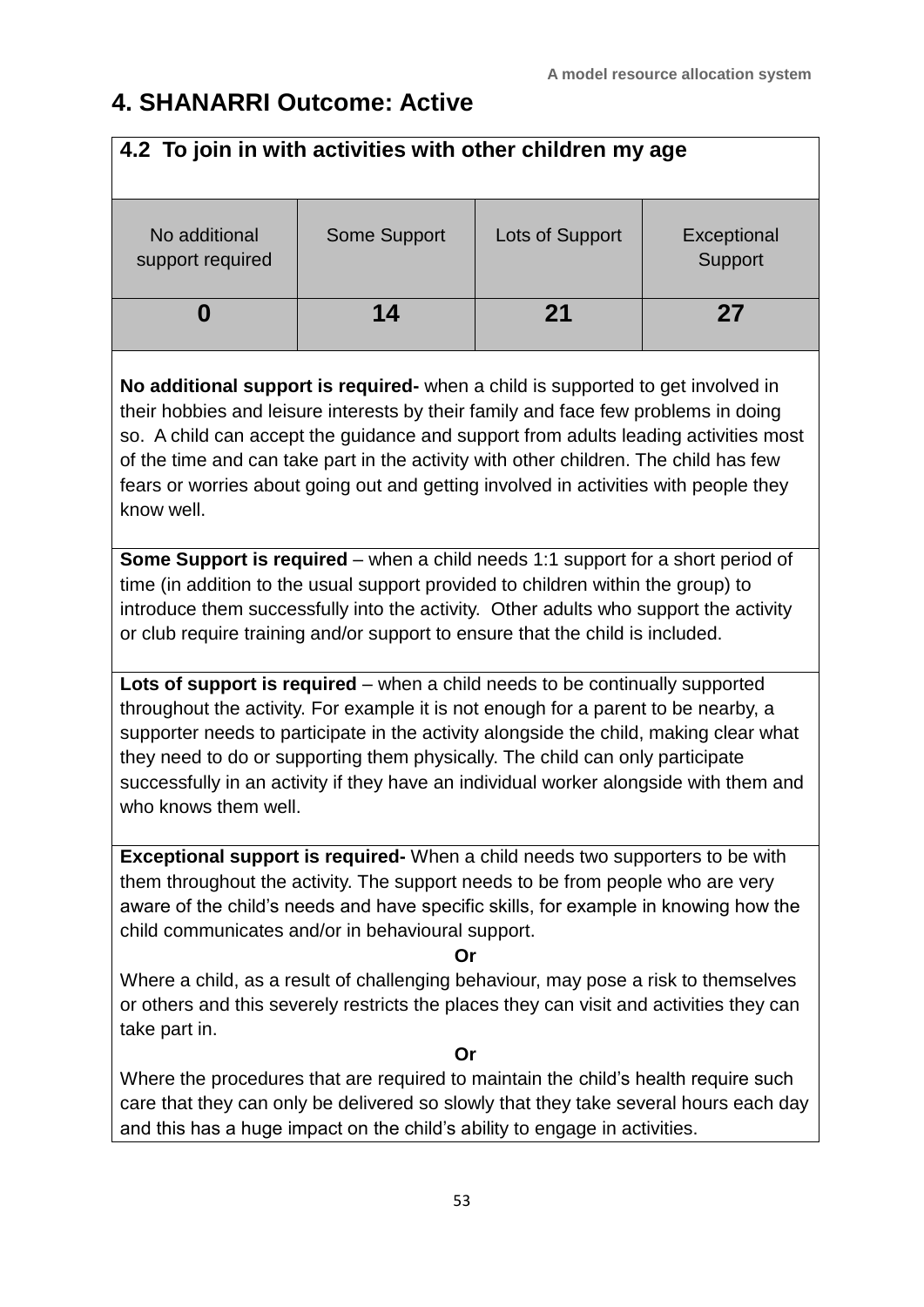### **4. SHANARRI Outcome: Active**

| 4.2 To join in with activities with other children my age                                                                                                                                                                                                                                                                                                                                                                                                     |                     |                 |                        |  |  |
|---------------------------------------------------------------------------------------------------------------------------------------------------------------------------------------------------------------------------------------------------------------------------------------------------------------------------------------------------------------------------------------------------------------------------------------------------------------|---------------------|-----------------|------------------------|--|--|
| No additional<br>support required                                                                                                                                                                                                                                                                                                                                                                                                                             | <b>Some Support</b> | Lots of Support | Exceptional<br>Support |  |  |
| 0                                                                                                                                                                                                                                                                                                                                                                                                                                                             | 14                  | 21              | 27                     |  |  |
| No additional support is required- when a child is supported to get involved in<br>their hobbies and leisure interests by their family and face few problems in doing<br>so. A child can accept the guidance and support from adults leading activities most<br>of the time and can take part in the activity with other children. The child has few<br>fears or worries about going out and getting involved in activities with people they<br>know well.    |                     |                 |                        |  |  |
| <b>Some Support is required</b> – when a child needs 1:1 support for a short period of<br>time (in addition to the usual support provided to children within the group) to<br>introduce them successfully into the activity. Other adults who support the activity<br>or club require training and/or support to ensure that the child is included.                                                                                                           |                     |                 |                        |  |  |
| Lots of support is required – when a child needs to be continually supported<br>throughout the activity. For example it is not enough for a parent to be nearby, a<br>supporter needs to participate in the activity alongside the child, making clear what<br>they need to do or supporting them physically. The child can only participate<br>successfully in an activity if they have an individual worker alongside with them and<br>who knows them well. |                     |                 |                        |  |  |
| <b>Exceptional support is required-</b> When a child needs two supporters to be with<br>them throughout the activity. The support needs to be from people who are very<br>aware of the child's needs and have specific skills, for example in knowing how the<br>child communicates and/or in behavioural support.<br>Or                                                                                                                                      |                     |                 |                        |  |  |
| Where a child, as a result of challenging behaviour, may pose a risk to themselves<br>or others and this severely restricts the places they can visit and activities they can<br>take part in.                                                                                                                                                                                                                                                                |                     |                 |                        |  |  |
| Where the procedures that are required to maintain the child's health require such<br>care that they can only be delivered so slowly that they take several hours each day                                                                                                                                                                                                                                                                                    | Or                  |                 |                        |  |  |
| and this has a huge impact on the child's ability to engage in activities.                                                                                                                                                                                                                                                                                                                                                                                    |                     |                 |                        |  |  |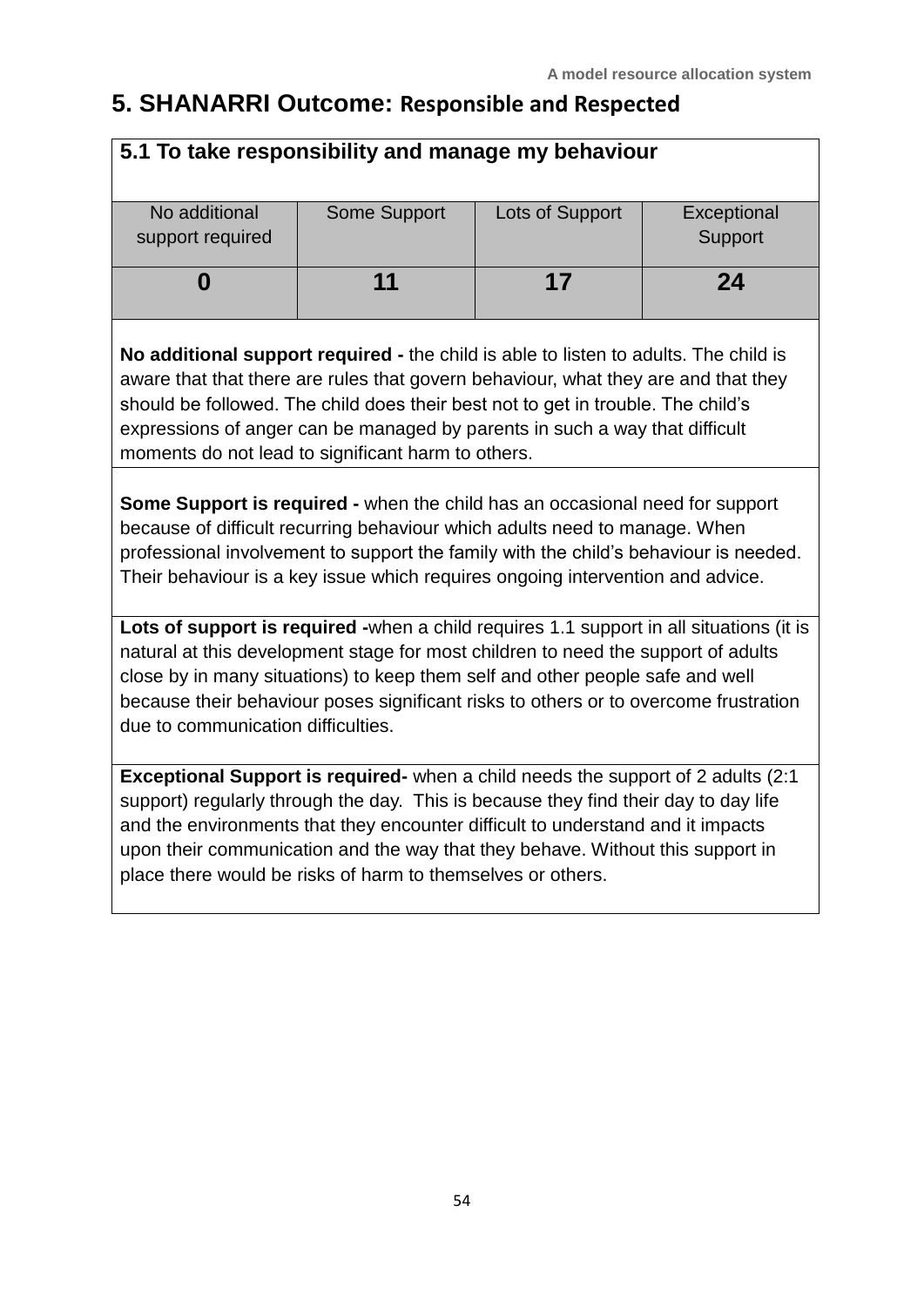### **5. SHANARRI Outcome: Responsible and Respected**

| 5.1 To take responsibility and manage my behaviour                                                                                                                                                                                                                                                                                                                                                           |              |                 |             |  |
|--------------------------------------------------------------------------------------------------------------------------------------------------------------------------------------------------------------------------------------------------------------------------------------------------------------------------------------------------------------------------------------------------------------|--------------|-----------------|-------------|--|
| No additional                                                                                                                                                                                                                                                                                                                                                                                                | Some Support | Lots of Support | Exceptional |  |
| support required                                                                                                                                                                                                                                                                                                                                                                                             |              |                 | Support     |  |
| 0                                                                                                                                                                                                                                                                                                                                                                                                            | 11           | 17              | 24          |  |
| No additional support required - the child is able to listen to adults. The child is<br>aware that that there are rules that govern behaviour, what they are and that they<br>should be followed. The child does their best not to get in trouble. The child's<br>expressions of anger can be managed by parents in such a way that difficult<br>moments do not lead to significant harm to others.          |              |                 |             |  |
| Some Support is required - when the child has an occasional need for support<br>because of difficult recurring behaviour which adults need to manage. When<br>professional involvement to support the family with the child's behaviour is needed.<br>Their behaviour is a key issue which requires ongoing intervention and advice.                                                                         |              |                 |             |  |
| Lots of support is required -when a child requires 1.1 support in all situations (it is<br>natural at this development stage for most children to need the support of adults<br>close by in many situations) to keep them self and other people safe and well<br>because their behaviour poses significant risks to others or to overcome frustration<br>due to communication difficulties.                  |              |                 |             |  |
| Exceptional Support is required- when a child needs the support of 2 adults (2:1)<br>support) regularly through the day. This is because they find their day to day life<br>and the environments that they encounter difficult to understand and it impacts<br>upon their communication and the way that they behave. Without this support in<br>place there would be risks of harm to themselves or others. |              |                 |             |  |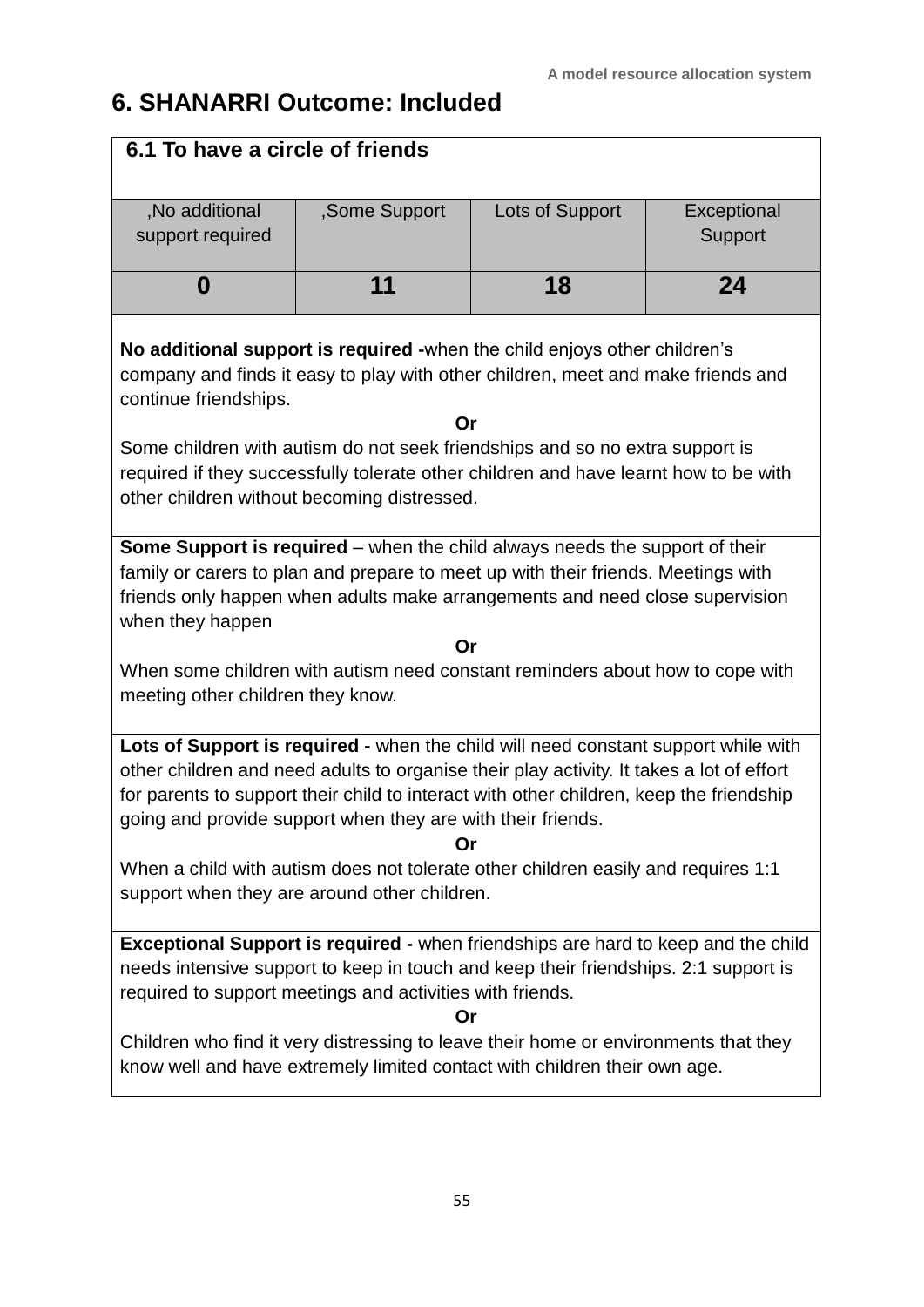### **6. SHANARRI Outcome: Included**

| 6.1 To have a circle of friends                                                                                                                                                                                                                                                                                                                                                                                                                                                     |    |    |    |  |  |
|-------------------------------------------------------------------------------------------------------------------------------------------------------------------------------------------------------------------------------------------------------------------------------------------------------------------------------------------------------------------------------------------------------------------------------------------------------------------------------------|----|----|----|--|--|
| , No additional<br>,Some Support<br>Lots of Support<br>Exceptional<br>Support<br>support required                                                                                                                                                                                                                                                                                                                                                                                   |    |    |    |  |  |
| 0                                                                                                                                                                                                                                                                                                                                                                                                                                                                                   | 11 | 18 | 24 |  |  |
| No additional support is required -when the child enjoys other children's<br>company and finds it easy to play with other children, meet and make friends and<br>continue friendships.                                                                                                                                                                                                                                                                                              | Or |    |    |  |  |
| Some children with autism do not seek friendships and so no extra support is<br>required if they successfully tolerate other children and have learnt how to be with<br>other children without becoming distressed.                                                                                                                                                                                                                                                                 |    |    |    |  |  |
| Some Support is required – when the child always needs the support of their<br>family or carers to plan and prepare to meet up with their friends. Meetings with<br>friends only happen when adults make arrangements and need close supervision<br>when they happen                                                                                                                                                                                                                |    |    |    |  |  |
|                                                                                                                                                                                                                                                                                                                                                                                                                                                                                     | Or |    |    |  |  |
| When some children with autism need constant reminders about how to cope with<br>meeting other children they know.                                                                                                                                                                                                                                                                                                                                                                  |    |    |    |  |  |
| Lots of Support is required - when the child will need constant support while with<br>other children and need adults to organise their play activity. It takes a lot of effort<br>for parents to support their child to interact with other children, keep the friendship<br>going and provide support when they are with their friends.<br>Or<br>When a child with autism does not tolerate other children easily and requires 1:1<br>support when they are around other children. |    |    |    |  |  |
| Exceptional Support is required - when friendships are hard to keep and the child<br>needs intensive support to keep in touch and keep their friendships. 2:1 support is<br>required to support meetings and activities with friends.<br>Or                                                                                                                                                                                                                                         |    |    |    |  |  |
| Children who find it very distressing to leave their home or environments that they<br>know well and have extremely limited contact with children their own age.                                                                                                                                                                                                                                                                                                                    |    |    |    |  |  |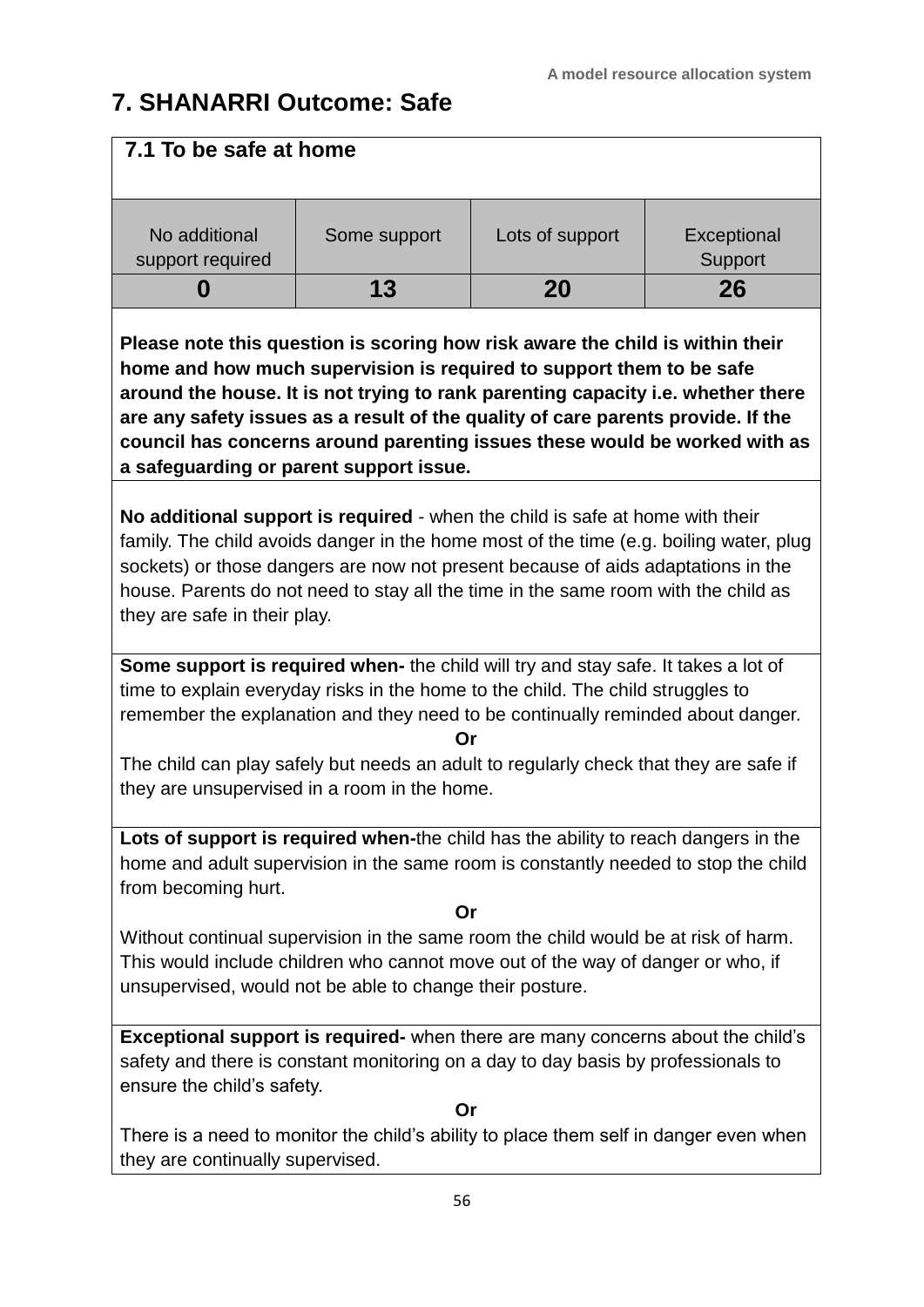### **7. SHANARRI Outcome: Safe**

| 7.1 To be safe at home                                                                                                                                                                                                                                                                                                                                                                                                                                 |              |                 |                        |  |
|--------------------------------------------------------------------------------------------------------------------------------------------------------------------------------------------------------------------------------------------------------------------------------------------------------------------------------------------------------------------------------------------------------------------------------------------------------|--------------|-----------------|------------------------|--|
| No additional<br>support required                                                                                                                                                                                                                                                                                                                                                                                                                      | Some support | Lots of support | Exceptional<br>Support |  |
| 0                                                                                                                                                                                                                                                                                                                                                                                                                                                      | 13           | 20              | 26                     |  |
| Please note this question is scoring how risk aware the child is within their<br>home and how much supervision is required to support them to be safe<br>around the house. It is not trying to rank parenting capacity i.e. whether there<br>are any safety issues as a result of the quality of care parents provide. If the<br>council has concerns around parenting issues these would be worked with as<br>a safeguarding or parent support issue. |              |                 |                        |  |
| No additional support is required - when the child is safe at home with their<br>family. The child avoids danger in the home most of the time (e.g. boiling water, plug<br>sockets) or those dangers are now not present because of aids adaptations in the<br>house. Parents do not need to stay all the time in the same room with the child as<br>they are safe in their play.                                                                      |              |                 |                        |  |
| Some support is required when- the child will try and stay safe. It takes a lot of<br>time to explain everyday risks in the home to the child. The child struggles to<br>remember the explanation and they need to be continually reminded about danger.<br>The child can play safely but needs an adult to regularly check that they are safe if<br>they are unsupervised in a room in the home.                                                      | Or           |                 |                        |  |
| Lots of support is required when-the child has the ability to reach dangers in the<br>home and adult supervision in the same room is constantly needed to stop the child<br>from becoming hurt.                                                                                                                                                                                                                                                        | Or           |                 |                        |  |
| Without continual supervision in the same room the child would be at risk of harm.<br>This would include children who cannot move out of the way of danger or who, if<br>unsupervised, would not be able to change their posture.                                                                                                                                                                                                                      |              |                 |                        |  |
| <b>Exceptional support is required-</b> when there are many concerns about the child's<br>safety and there is constant monitoring on a day to day basis by professionals to<br>ensure the child's safety.<br>There is a need to monitor the child's ability to place them self in danger even when<br>they are continually supervised.                                                                                                                 | Or           |                 |                        |  |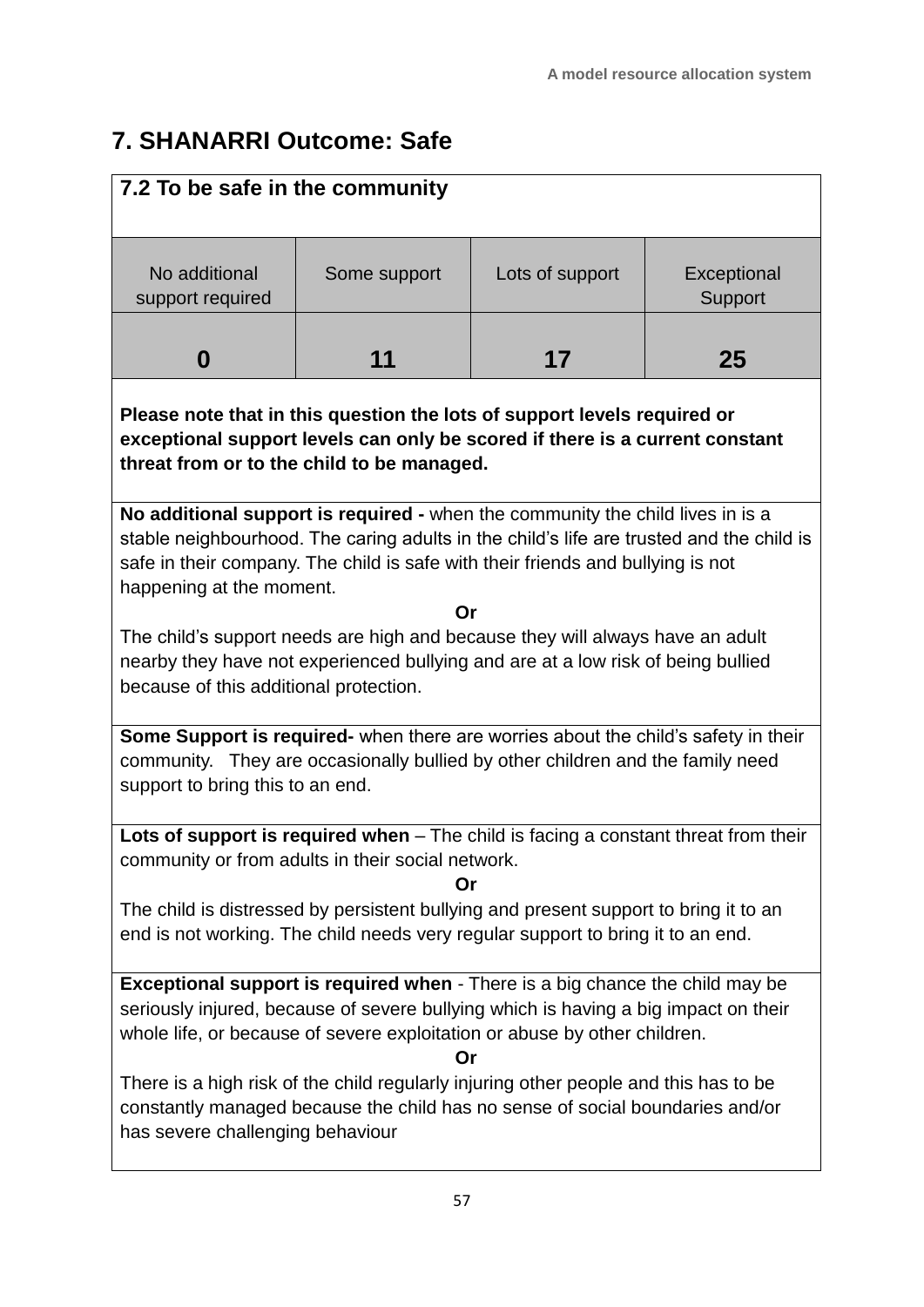### **7. SHANARRI Outcome: Safe**

| 7.2 To be safe in the community                                                                                                                                                                                                                                                           |              |                 |                        |  |
|-------------------------------------------------------------------------------------------------------------------------------------------------------------------------------------------------------------------------------------------------------------------------------------------|--------------|-----------------|------------------------|--|
| No additional<br>support required                                                                                                                                                                                                                                                         | Some support | Lots of support | Exceptional<br>Support |  |
| 0                                                                                                                                                                                                                                                                                         | 11           | 17              | 25                     |  |
| Please note that in this question the lots of support levels required or<br>exceptional support levels can only be scored if there is a current constant<br>threat from or to the child to be managed.                                                                                    |              |                 |                        |  |
| No additional support is required - when the community the child lives in is a<br>stable neighbourhood. The caring adults in the child's life are trusted and the child is<br>safe in their company. The child is safe with their friends and bullying is not<br>happening at the moment. |              |                 |                        |  |
|                                                                                                                                                                                                                                                                                           | Or           |                 |                        |  |
| The child's support needs are high and because they will always have an adult<br>nearby they have not experienced bullying and are at a low risk of being bullied                                                                                                                         |              |                 |                        |  |
| because of this additional protection.                                                                                                                                                                                                                                                    |              |                 |                        |  |
| Some Support is required- when there are worries about the child's safety in their<br>community. They are occasionally bullied by other children and the family need<br>support to bring this to an end.                                                                                  |              |                 |                        |  |
| Lots of support is required when - The child is facing a constant threat from their<br>community or from adults in their social network.                                                                                                                                                  | Or           |                 |                        |  |
| The child is distressed by persistent bullying and present support to bring it to an<br>end is not working. The child needs very regular support to bring it to an end.                                                                                                                   |              |                 |                        |  |
| <b>Exceptional support is required when</b> - There is a big chance the child may be<br>seriously injured, because of severe bullying which is having a big impact on their<br>whole life, or because of severe exploitation or abuse by other children.<br>Or                            |              |                 |                        |  |
| There is a high risk of the child regularly injuring other people and this has to be<br>constantly managed because the child has no sense of social boundaries and/or<br>has severe challenging behaviour                                                                                 |              |                 |                        |  |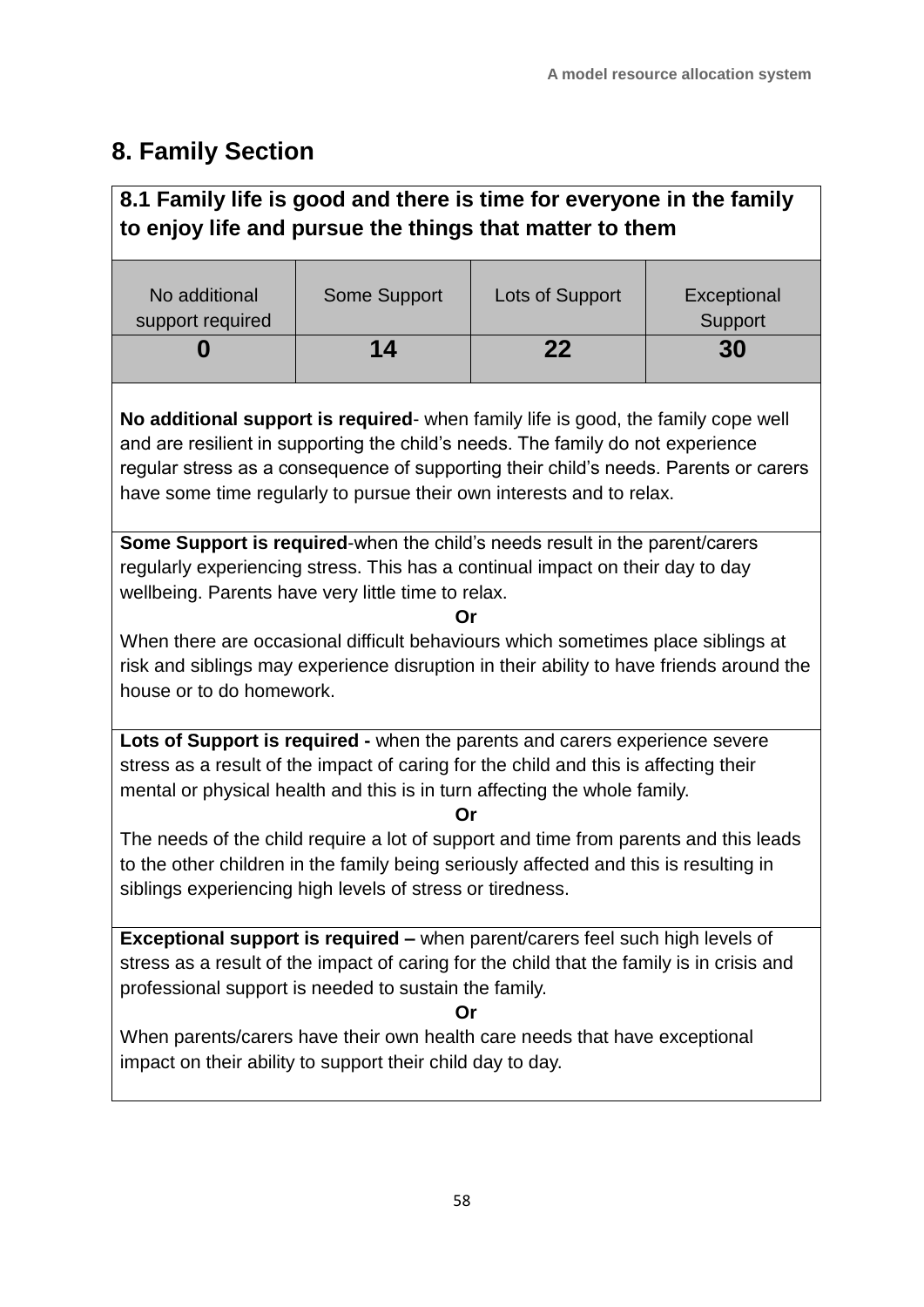### **8. Family Section**

### **8.1 Family life is good and there is time for everyone in the family to enjoy life and pursue the things that matter to them**

| No additional<br>support required | Some Support | Lots of Support | Exceptional<br>Support |
|-----------------------------------|--------------|-----------------|------------------------|
|                                   | 14           | 22              | 30                     |

**No additional support is required**- when family life is good, the family cope well and are resilient in supporting the child's needs. The family do not experience regular stress as a consequence of supporting their child's needs. Parents or carers have some time regularly to pursue their own interests and to relax.

**Some Support is required**-when the child's needs result in the parent/carers regularly experiencing stress. This has a continual impact on their day to day wellbeing. Parents have very little time to relax.

**Or**

When there are occasional difficult behaviours which sometimes place siblings at risk and siblings may experience disruption in their ability to have friends around the house or to do homework.

**Lots of Support is required -** when the parents and carers experience severe stress as a result of the impact of caring for the child and this is affecting their mental or physical health and this is in turn affecting the whole family.

**Or**

The needs of the child require a lot of support and time from parents and this leads to the other children in the family being seriously affected and this is resulting in siblings experiencing high levels of stress or tiredness.

**Exceptional support is required –** when parent/carers feel such high levels of stress as a result of the impact of caring for the child that the family is in crisis and professional support is needed to sustain the family.

**Or**

When parents/carers have their own health care needs that have exceptional impact on their ability to support their child day to day.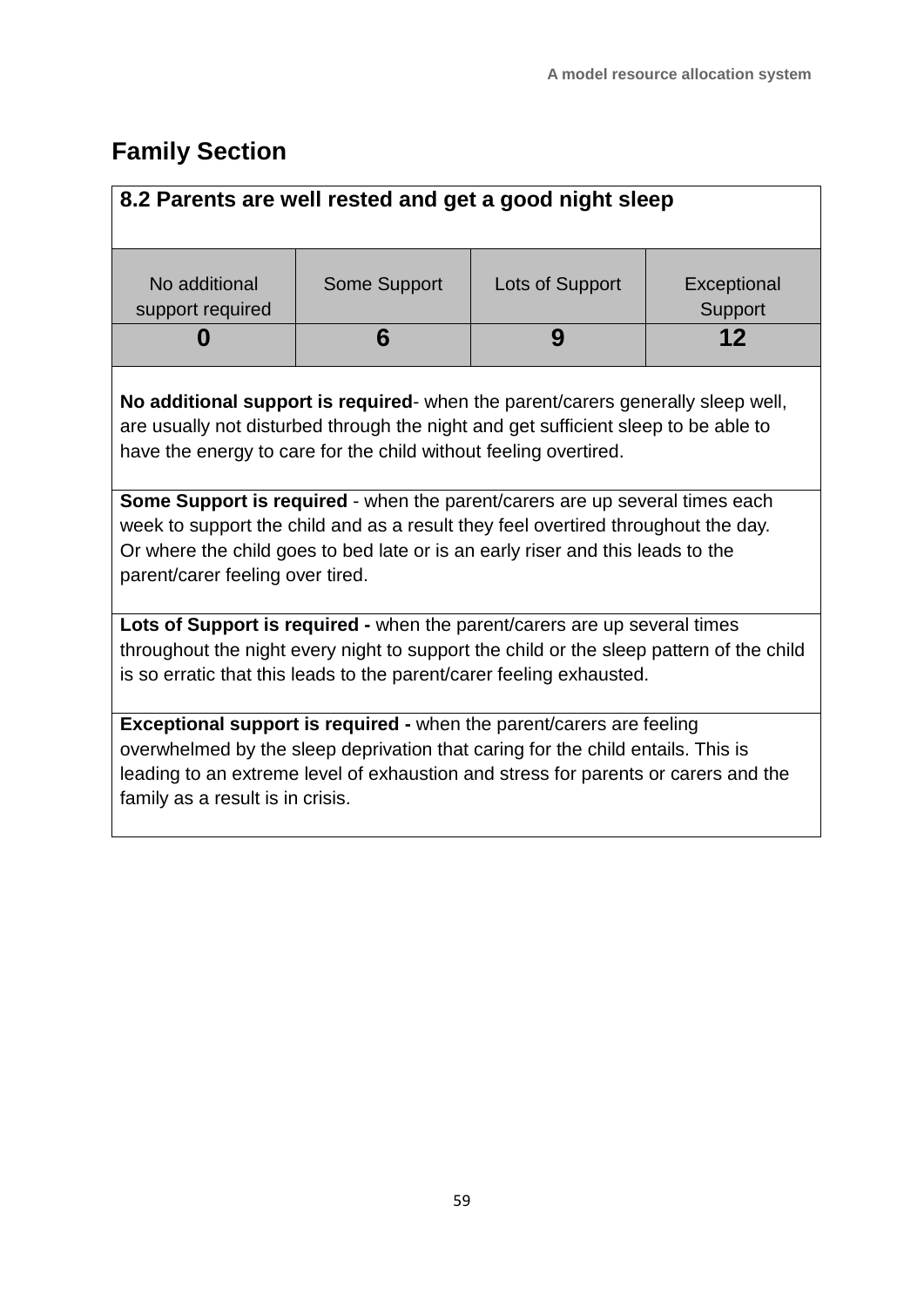## **Family Section**

| 8.2 Parents are well rested and get a good night sleep                                                                                                                                                                                                                                 |                     |                 |                        |  |
|----------------------------------------------------------------------------------------------------------------------------------------------------------------------------------------------------------------------------------------------------------------------------------------|---------------------|-----------------|------------------------|--|
|                                                                                                                                                                                                                                                                                        |                     |                 |                        |  |
| No additional<br>support required                                                                                                                                                                                                                                                      | <b>Some Support</b> | Lots of Support | Exceptional<br>Support |  |
|                                                                                                                                                                                                                                                                                        | 6                   | 9               | 12                     |  |
| No additional support is required- when the parent/carers generally sleep well,<br>are usually not disturbed through the night and get sufficient sleep to be able to<br>have the energy to care for the child without feeling overtired.                                              |                     |                 |                        |  |
| Some Support is required - when the parent/carers are up several times each<br>week to support the child and as a result they feel overtired throughout the day.<br>Or where the child goes to bed late or is an early riser and this leads to the<br>parent/carer feeling over tired. |                     |                 |                        |  |
| Lots of Support is required - when the parent/carers are up several times<br>throughout the night every night to support the child or the sleep pattern of the child<br>is so erratic that this leads to the parent/carer feeling exhausted.                                           |                     |                 |                        |  |
| Exceptional support is required - when the parent/carers are feeling<br>overwhelmed by the sleep deprivation that caring for the child entails. This is<br>leading to an extreme level of exhaustion and stress for parents or carers and the<br>family as a result is in crisis.      |                     |                 |                        |  |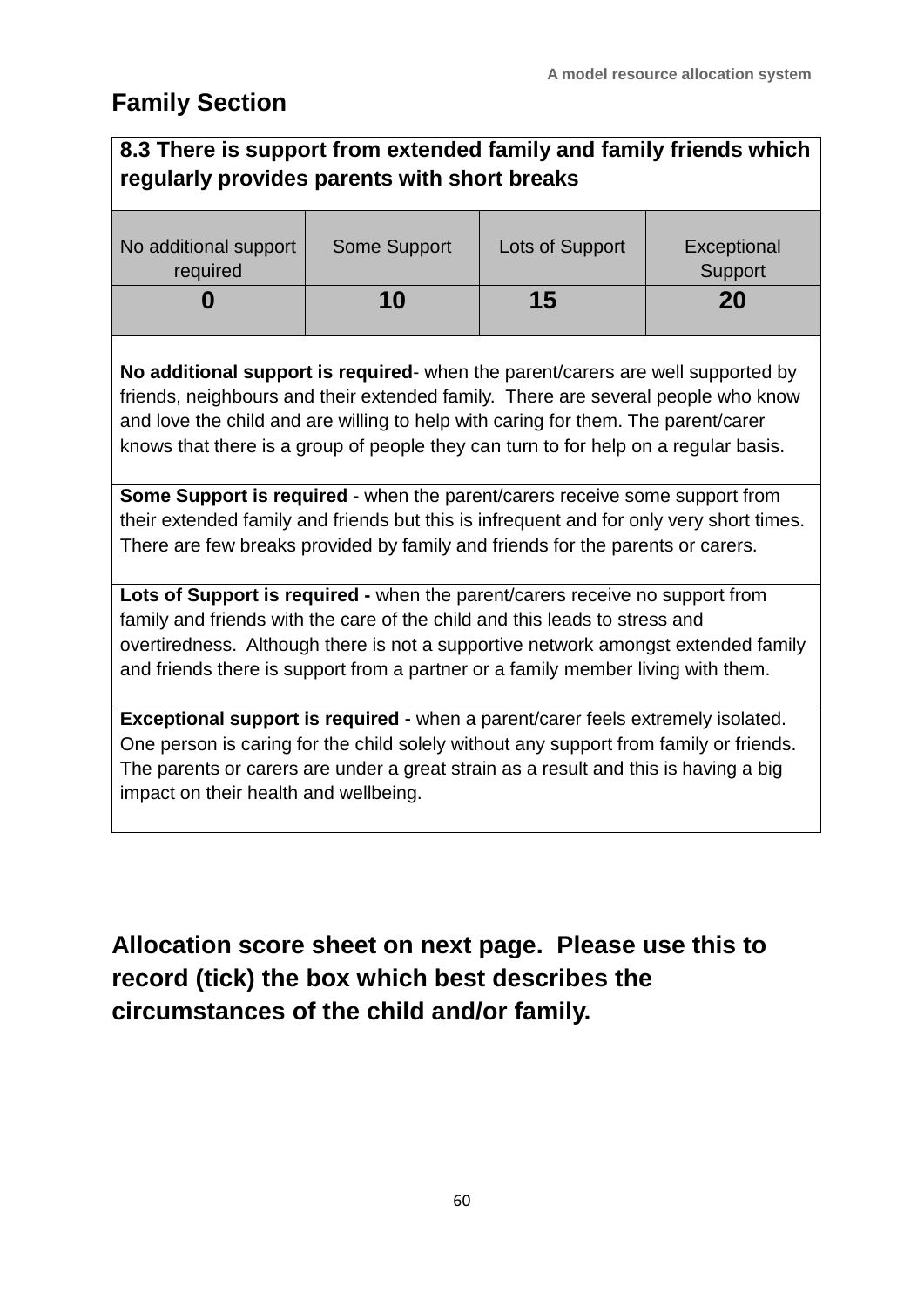### **Family Section**

### **8.3 There is support from extended family and family friends which regularly provides parents with short breaks**

| No additional support<br>required | <b>Some Support</b> | Lots of Support | Exceptional<br>Support |
|-----------------------------------|---------------------|-----------------|------------------------|
|                                   | 10                  | 15              | 20                     |

**No additional support is required**- when the parent/carers are well supported by friends, neighbours and their extended family. There are several people who know and love the child and are willing to help with caring for them. The parent/carer knows that there is a group of people they can turn to for help on a regular basis.

**Some Support is required** - when the parent/carers receive some support from their extended family and friends but this is infrequent and for only very short times. There are few breaks provided by family and friends for the parents or carers.

**Lots of Support is required -** when the parent/carers receive no support from family and friends with the care of the child and this leads to stress and overtiredness. Although there is not a supportive network amongst extended family and friends there is support from a partner or a family member living with them.

**Exceptional support is required -** when a parent/carer feels extremely isolated. One person is caring for the child solely without any support from family or friends. The parents or carers are under a great strain as a result and this is having a big impact on their health and wellbeing.

**Allocation score sheet on next page. Please use this to record (tick) the box which best describes the circumstances of the child and/or family.**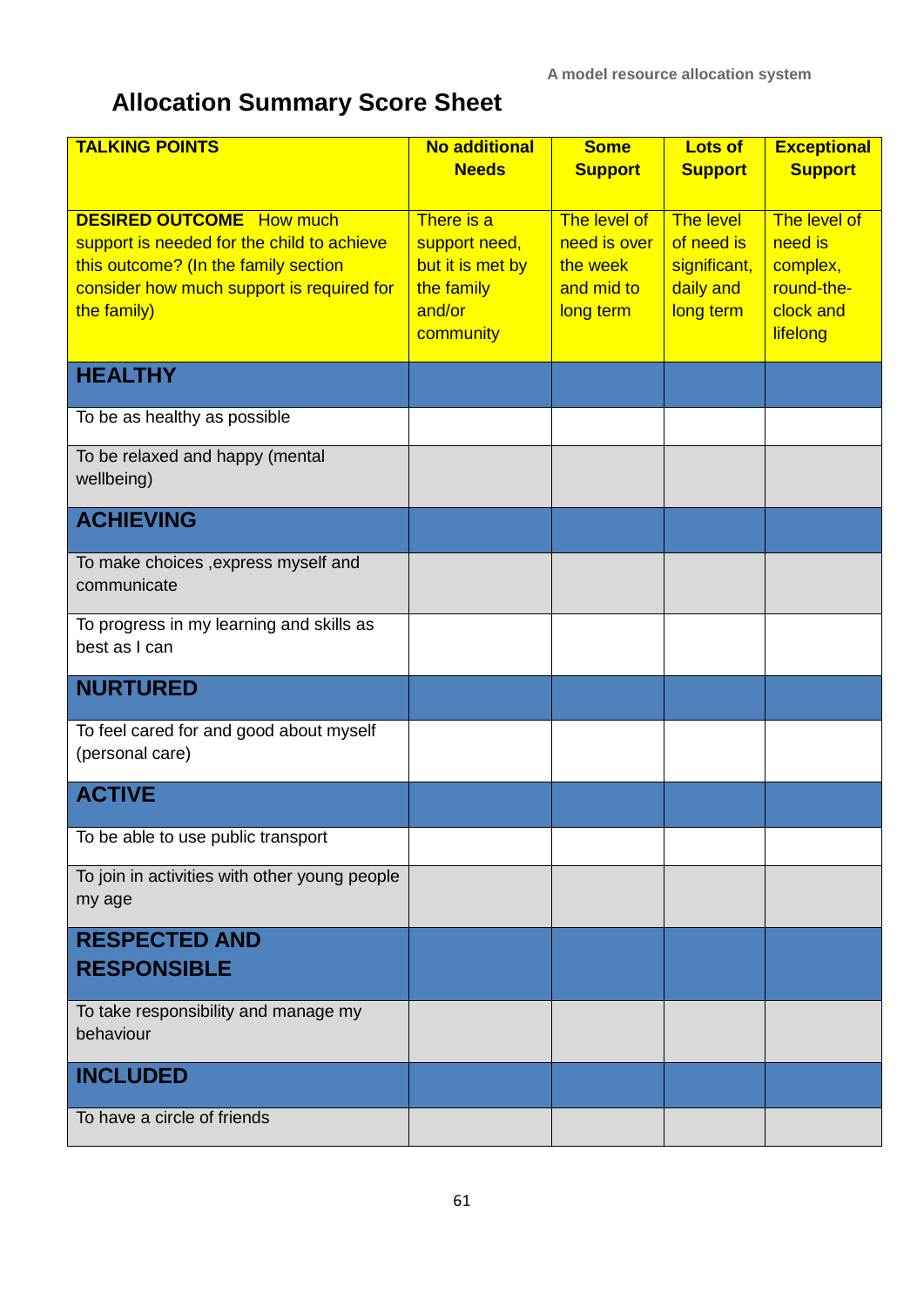**A model resource allocation system**

# **Allocation Summary Score Sheet**

| <b>TALKING POINTS</b>                                                                                                                                                             | <b>No additional</b>                                                                 | <b>Some</b>                                                         | Lots of                                                           | <b>Exceptional</b>                                                         |
|-----------------------------------------------------------------------------------------------------------------------------------------------------------------------------------|--------------------------------------------------------------------------------------|---------------------------------------------------------------------|-------------------------------------------------------------------|----------------------------------------------------------------------------|
|                                                                                                                                                                                   | <b>Needs</b>                                                                         | <b>Support</b>                                                      | <b>Support</b>                                                    | <b>Support</b>                                                             |
| <b>DESIRED OUTCOME</b> How much<br>support is needed for the child to achieve<br>this outcome? (In the family section<br>consider how much support is required for<br>the family) | There is a<br>support need,<br>but it is met by<br>the family<br>and/or<br>community | The level of<br>need is over<br>the week<br>and mid to<br>long term | The level<br>of need is<br>significant,<br>daily and<br>long term | The level of<br>need is<br>complex,<br>round-the-<br>clock and<br>lifelong |
| <b>HEALTHY</b>                                                                                                                                                                    |                                                                                      |                                                                     |                                                                   |                                                                            |
| To be as healthy as possible                                                                                                                                                      |                                                                                      |                                                                     |                                                                   |                                                                            |
| To be relaxed and happy (mental<br>wellbeing)                                                                                                                                     |                                                                                      |                                                                     |                                                                   |                                                                            |
| <b>ACHIEVING</b>                                                                                                                                                                  |                                                                                      |                                                                     |                                                                   |                                                                            |
| To make choices , express myself and<br>communicate                                                                                                                               |                                                                                      |                                                                     |                                                                   |                                                                            |
| To progress in my learning and skills as<br>best as I can                                                                                                                         |                                                                                      |                                                                     |                                                                   |                                                                            |
| <b>NURTURED</b>                                                                                                                                                                   |                                                                                      |                                                                     |                                                                   |                                                                            |
| To feel cared for and good about myself<br>(personal care)                                                                                                                        |                                                                                      |                                                                     |                                                                   |                                                                            |
| <b>ACTIVE</b>                                                                                                                                                                     |                                                                                      |                                                                     |                                                                   |                                                                            |
| To be able to use public transport                                                                                                                                                |                                                                                      |                                                                     |                                                                   |                                                                            |
| To join in activities with other young people<br>my age                                                                                                                           |                                                                                      |                                                                     |                                                                   |                                                                            |
| <b>RESPECTED AND</b><br><b>RESPONSIBLE</b>                                                                                                                                        |                                                                                      |                                                                     |                                                                   |                                                                            |
| To take responsibility and manage my<br>behaviour                                                                                                                                 |                                                                                      |                                                                     |                                                                   |                                                                            |
| <b>INCLUDED</b>                                                                                                                                                                   |                                                                                      |                                                                     |                                                                   |                                                                            |
| To have a circle of friends                                                                                                                                                       |                                                                                      |                                                                     |                                                                   |                                                                            |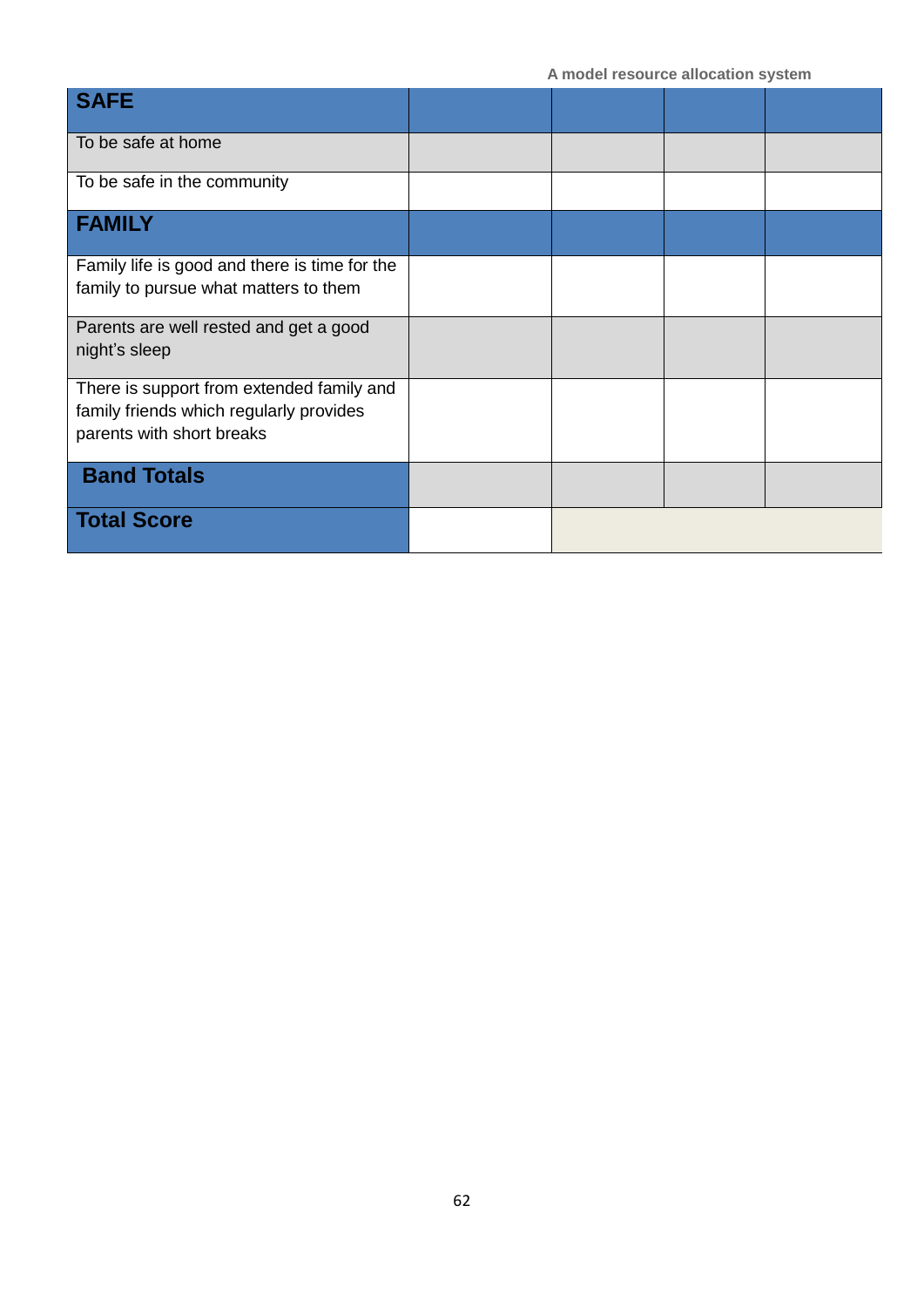| <b>SAFE</b>                                                                            |  |  |
|----------------------------------------------------------------------------------------|--|--|
| To be safe at home                                                                     |  |  |
| To be safe in the community                                                            |  |  |
| <b>FAMILY</b>                                                                          |  |  |
| Family life is good and there is time for the<br>family to pursue what matters to them |  |  |
|                                                                                        |  |  |
| Parents are well rested and get a good<br>night's sleep                                |  |  |
|                                                                                        |  |  |
| There is support from extended family and                                              |  |  |
| family friends which regularly provides                                                |  |  |
| parents with short breaks                                                              |  |  |
| <b>Band Totals</b>                                                                     |  |  |
| <b>Total Score</b>                                                                     |  |  |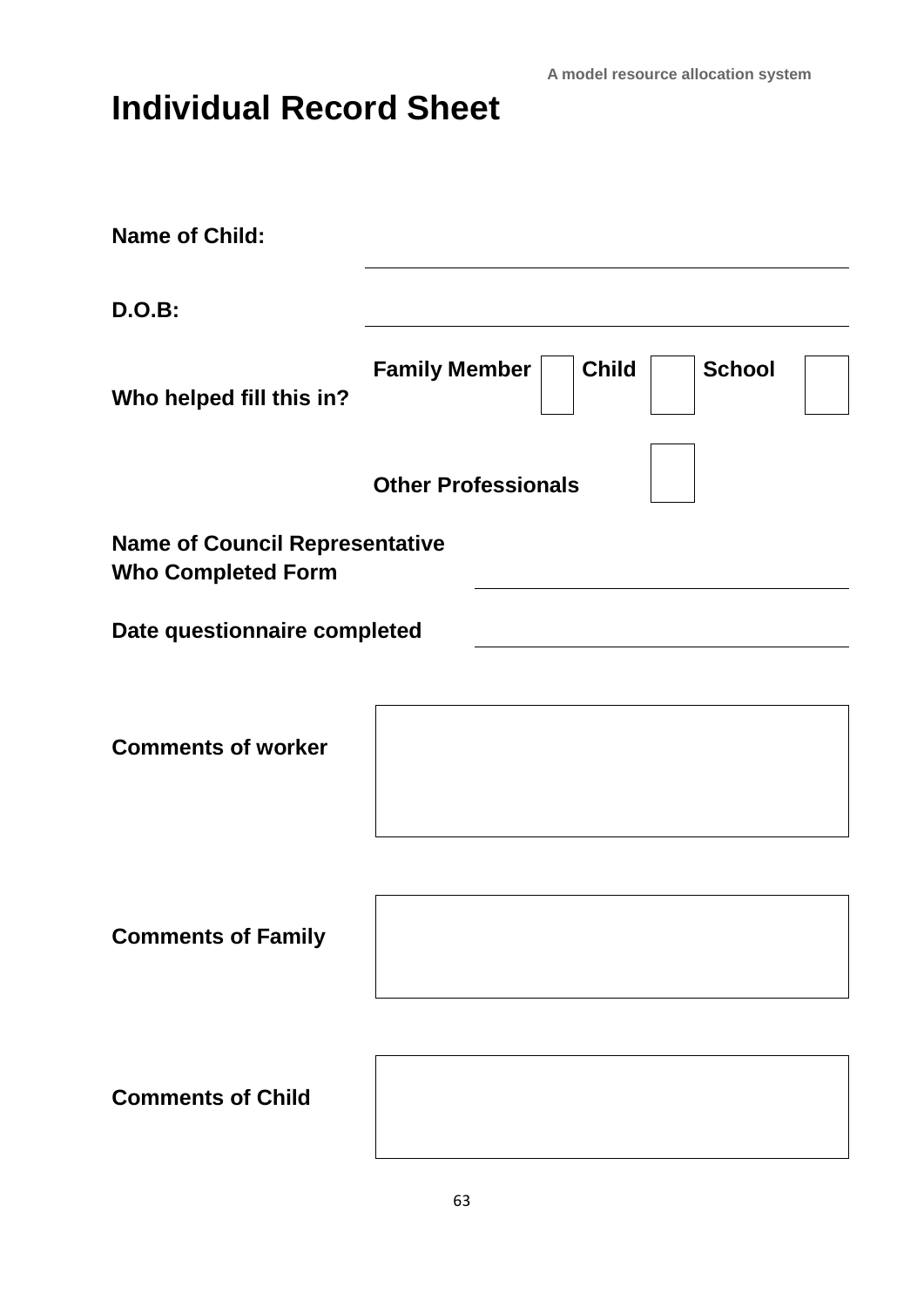**A model resource allocation system**

# **Individual Record Sheet**

| <b>Name of Child:</b>                                              |                                                       |
|--------------------------------------------------------------------|-------------------------------------------------------|
| <b>D.O.B:</b>                                                      |                                                       |
| Who helped fill this in?                                           | <b>Child</b><br><b>School</b><br><b>Family Member</b> |
|                                                                    | <b>Other Professionals</b>                            |
| <b>Name of Council Representative</b><br><b>Who Completed Form</b> |                                                       |
| Date questionnaire completed                                       |                                                       |
| <b>Comments of worker</b>                                          |                                                       |
| <b>Comments of Family</b>                                          |                                                       |
| <b>Comments of Child</b>                                           |                                                       |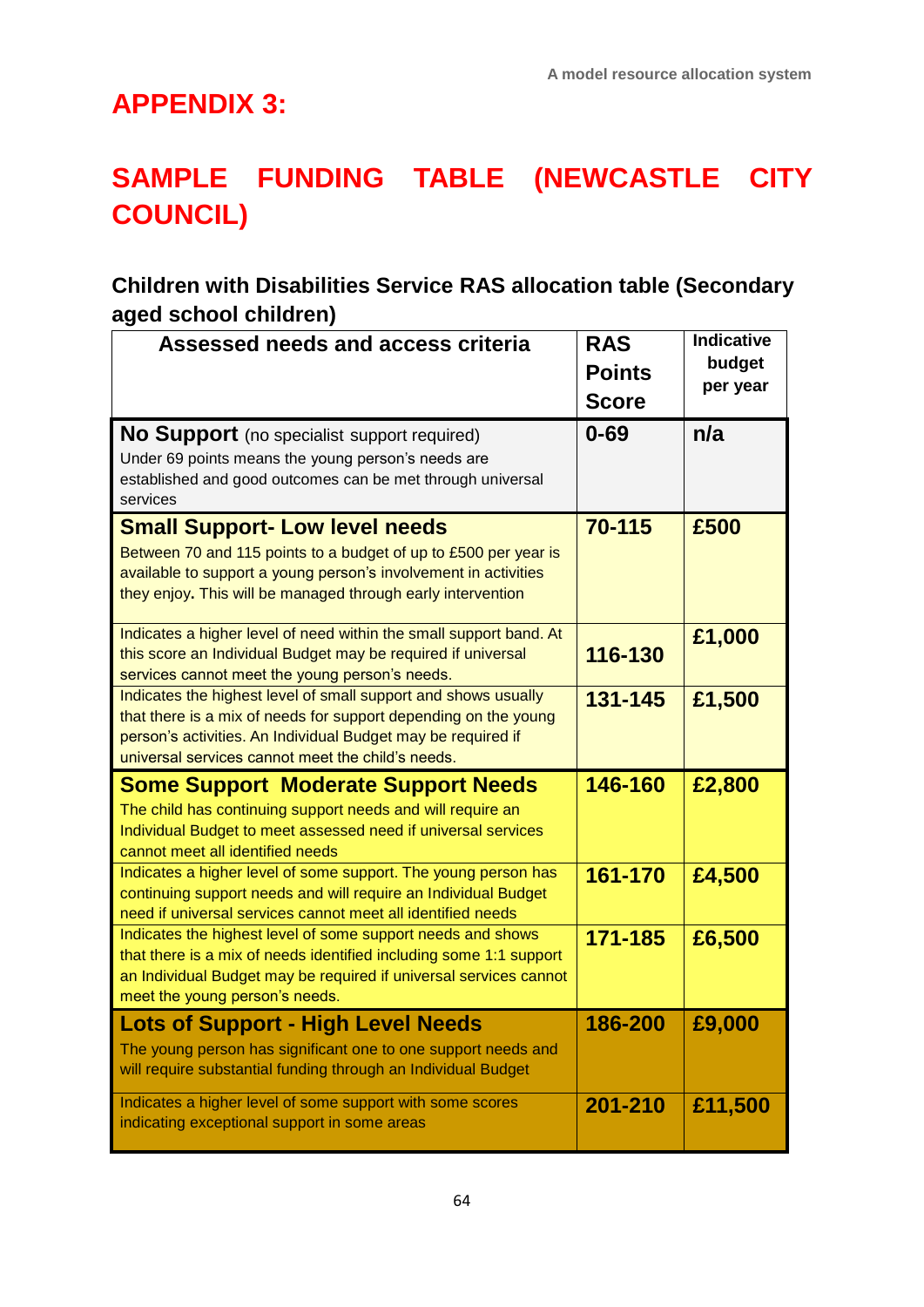### **APPENDIX 3:**

# **SAMPLE FUNDING TABLE (NEWCASTLE CITY COUNCIL)**

### **Children with Disabilities Service RAS allocation table (Secondary aged school children)**

| Assessed needs and access criteria                                                                                                                                                                                                                     | <b>RAS</b><br><b>Points</b><br><b>Score</b> | Indicative<br>budget<br>per year |
|--------------------------------------------------------------------------------------------------------------------------------------------------------------------------------------------------------------------------------------------------------|---------------------------------------------|----------------------------------|
| <b>No Support</b> (no specialist support required)<br>Under 69 points means the young person's needs are<br>established and good outcomes can be met through universal<br>services                                                                     | $0 - 69$                                    | n/a                              |
| <b>Small Support- Low level needs</b><br>Between 70 and 115 points to a budget of up to £500 per year is<br>available to support a young person's involvement in activities<br>they enjoy. This will be managed through early intervention             | 70-115                                      | £500                             |
| Indicates a higher level of need within the small support band. At<br>this score an Individual Budget may be required if universal<br>services cannot meet the young person's needs.                                                                   | 116-130                                     | £1,000                           |
| Indicates the highest level of small support and shows usually<br>that there is a mix of needs for support depending on the young<br>person's activities. An Individual Budget may be required if<br>universal services cannot meet the child's needs. | 131-145                                     | £1,500                           |
| <b>Some Support Moderate Support Needs</b><br>The child has continuing support needs and will require an<br>Individual Budget to meet assessed need if universal services<br>cannot meet all identified needs                                          | 146-160                                     | £2,800                           |
| Indicates a higher level of some support. The young person has<br>continuing support needs and will require an Individual Budget<br>need if universal services cannot meet all identified needs                                                        | 161-170                                     | £4,500                           |
| Indicates the highest level of some support needs and shows<br>that there is a mix of needs identified including some 1:1 support<br>an Individual Budget may be required if universal services cannot<br>meet the young person's needs.               | 171-185                                     | £6,500                           |
| <b>Lots of Support - High Level Needs</b><br>The young person has significant one to one support needs and<br>will require substantial funding through an Individual Budget                                                                            | 186-200                                     | £9,000                           |
| Indicates a higher level of some support with some scores<br>indicating exceptional support in some areas                                                                                                                                              | 201-210                                     | £11,500                          |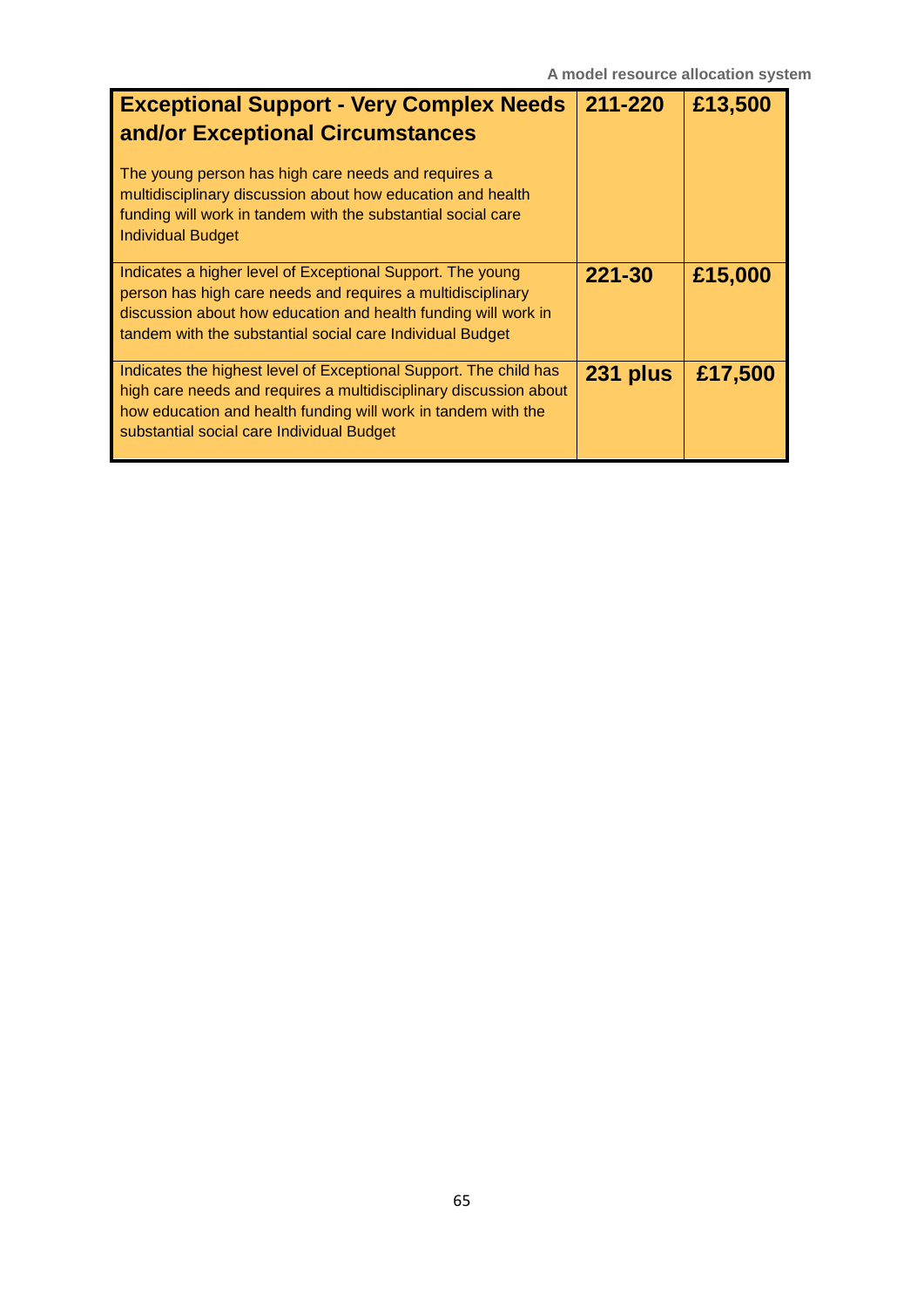| <b>Exceptional Support - Very Complex Needs</b><br>and/or Exceptional Circumstances<br>The young person has high care needs and requires a<br>multidisciplinary discussion about how education and health<br>funding will work in tandem with the substantial social care<br><b>Individual Budget</b> | 211-220  | £13,500 |
|-------------------------------------------------------------------------------------------------------------------------------------------------------------------------------------------------------------------------------------------------------------------------------------------------------|----------|---------|
| Indicates a higher level of Exceptional Support. The young<br>person has high care needs and requires a multidisciplinary<br>discussion about how education and health funding will work in<br>tandem with the substantial social care Individual Budget                                              | 221-30   | £15,000 |
| Indicates the highest level of Exceptional Support. The child has<br>high care needs and requires a multidisciplinary discussion about<br>how education and health funding will work in tandem with the<br>substantial social care Individual Budget                                                  | 231 plus | £17,500 |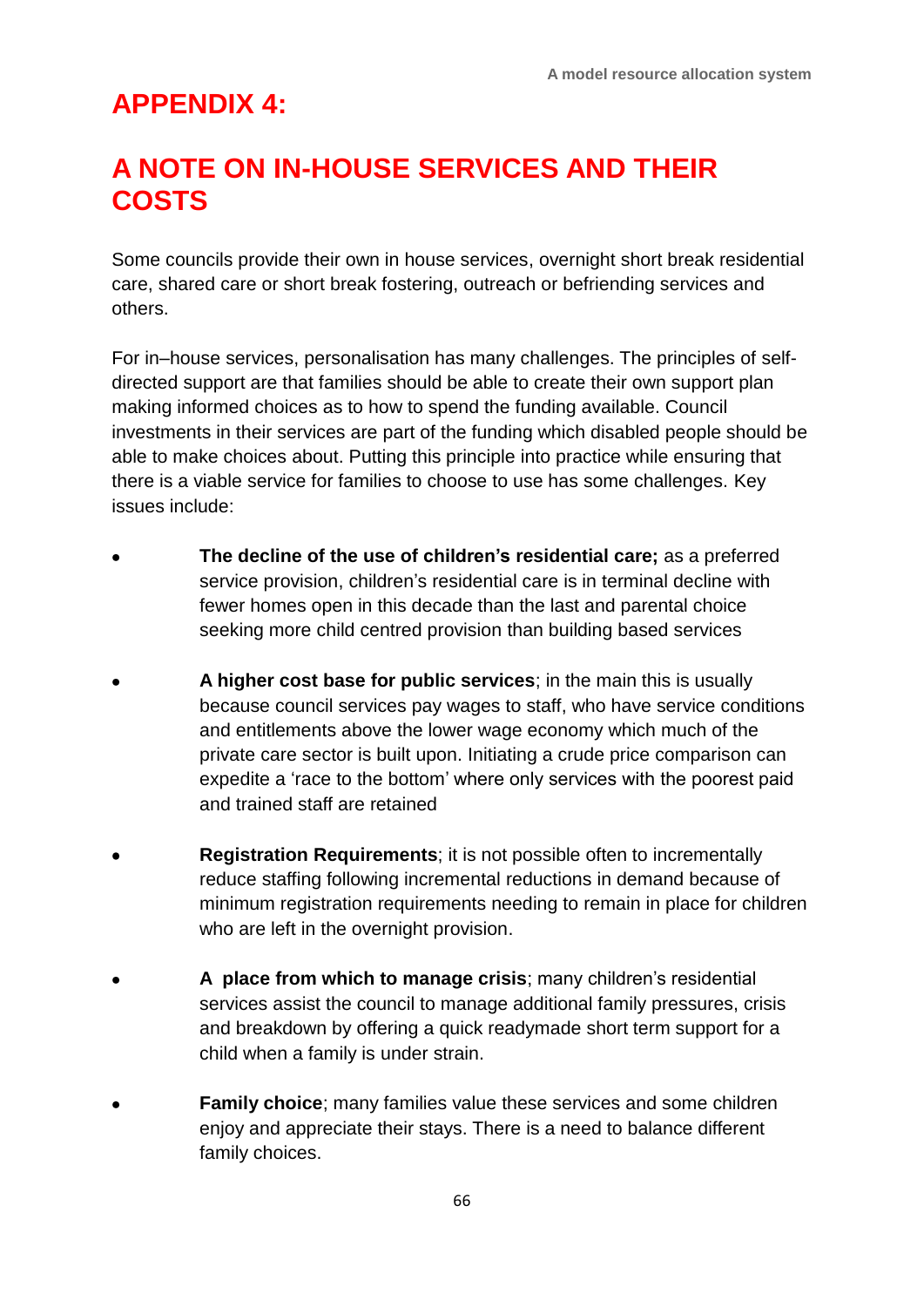### **APPENDIX 4:**

### **A NOTE ON IN-HOUSE SERVICES AND THEIR COSTS**

Some councils provide their own in house services, overnight short break residential care, shared care or short break fostering, outreach or befriending services and others.

For in–house services, personalisation has many challenges. The principles of selfdirected support are that families should be able to create their own support plan making informed choices as to how to spend the funding available. Council investments in their services are part of the funding which disabled people should be able to make choices about. Putting this principle into practice while ensuring that there is a viable service for families to choose to use has some challenges. Key issues include:

- **The decline of the use of children's residential care;** as a preferred service provision, children's residential care is in terminal decline with fewer homes open in this decade than the last and parental choice seeking more child centred provision than building based services
- **A higher cost base for public services**; in the main this is usually because council services pay wages to staff, who have service conditions and entitlements above the lower wage economy which much of the private care sector is built upon. Initiating a crude price comparison can expedite a 'race to the bottom' where only services with the poorest paid and trained staff are retained
- **Registration Requirements**; it is not possible often to incrementally reduce staffing following incremental reductions in demand because of minimum registration requirements needing to remain in place for children who are left in the overnight provision.
- **A place from which to manage crisis**; many children's residential services assist the council to manage additional family pressures, crisis and breakdown by offering a quick readymade short term support for a child when a family is under strain.
- **Family choice**; many families value these services and some children enjoy and appreciate their stays. There is a need to balance different family choices.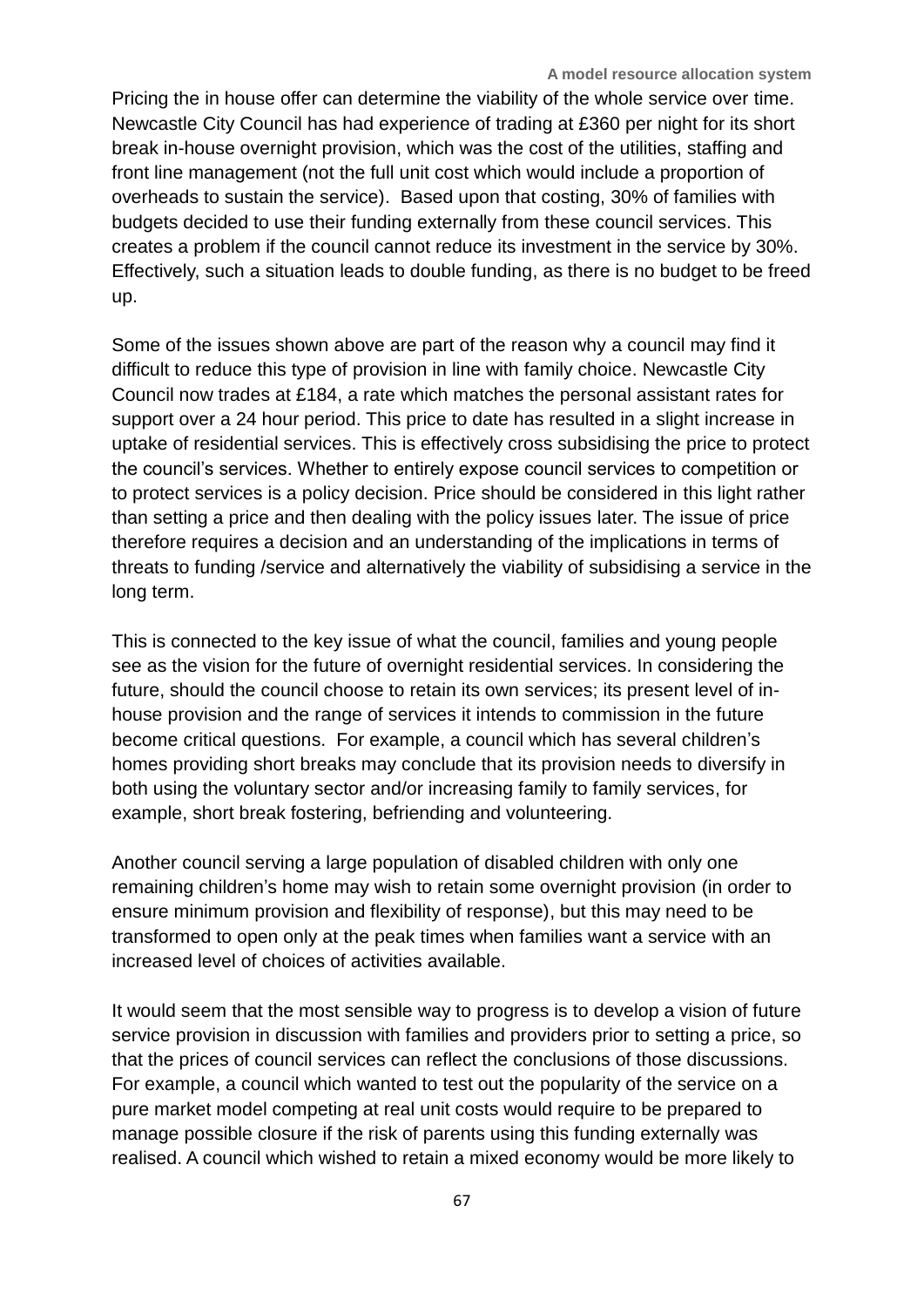Pricing the in house offer can determine the viability of the whole service over time. Newcastle City Council has had experience of trading at £360 per night for its short break in-house overnight provision, which was the cost of the utilities, staffing and front line management (not the full unit cost which would include a proportion of overheads to sustain the service). Based upon that costing, 30% of families with budgets decided to use their funding externally from these council services. This creates a problem if the council cannot reduce its investment in the service by 30%. Effectively, such a situation leads to double funding, as there is no budget to be freed up.

Some of the issues shown above are part of the reason why a council may find it difficult to reduce this type of provision in line with family choice. Newcastle City Council now trades at £184, a rate which matches the personal assistant rates for support over a 24 hour period. This price to date has resulted in a slight increase in uptake of residential services. This is effectively cross subsidising the price to protect the council's services. Whether to entirely expose council services to competition or to protect services is a policy decision. Price should be considered in this light rather than setting a price and then dealing with the policy issues later. The issue of price therefore requires a decision and an understanding of the implications in terms of threats to funding /service and alternatively the viability of subsidising a service in the long term.

This is connected to the key issue of what the council, families and young people see as the vision for the future of overnight residential services. In considering the future, should the council choose to retain its own services; its present level of inhouse provision and the range of services it intends to commission in the future become critical questions. For example, a council which has several children's homes providing short breaks may conclude that its provision needs to diversify in both using the voluntary sector and/or increasing family to family services, for example, short break fostering, befriending and volunteering.

Another council serving a large population of disabled children with only one remaining children's home may wish to retain some overnight provision (in order to ensure minimum provision and flexibility of response), but this may need to be transformed to open only at the peak times when families want a service with an increased level of choices of activities available.

It would seem that the most sensible way to progress is to develop a vision of future service provision in discussion with families and providers prior to setting a price, so that the prices of council services can reflect the conclusions of those discussions. For example, a council which wanted to test out the popularity of the service on a pure market model competing at real unit costs would require to be prepared to manage possible closure if the risk of parents using this funding externally was realised. A council which wished to retain a mixed economy would be more likely to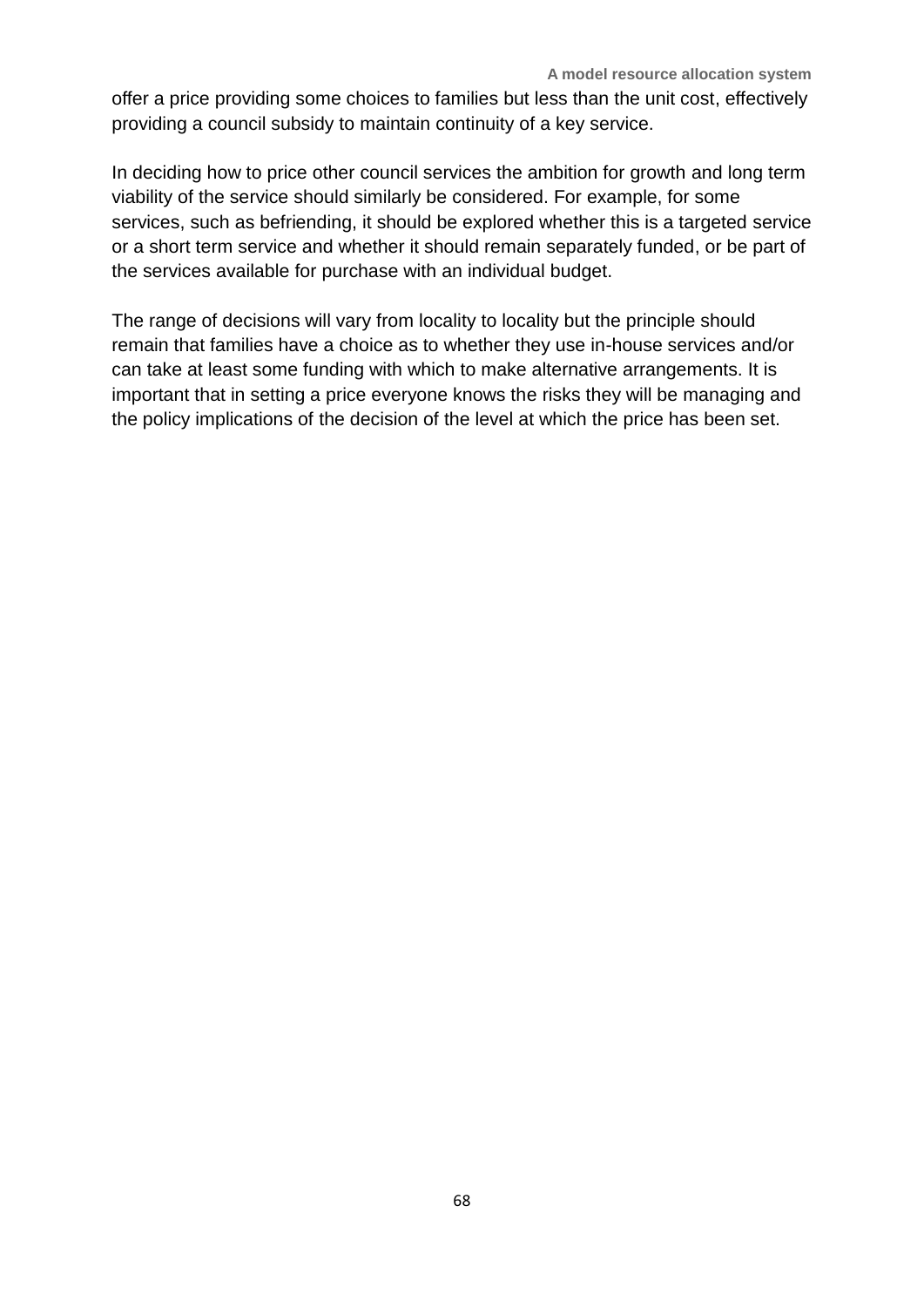offer a price providing some choices to families but less than the unit cost, effectively providing a council subsidy to maintain continuity of a key service.

In deciding how to price other council services the ambition for growth and long term viability of the service should similarly be considered. For example, for some services, such as befriending, it should be explored whether this is a targeted service or a short term service and whether it should remain separately funded, or be part of the services available for purchase with an individual budget.

The range of decisions will vary from locality to locality but the principle should remain that families have a choice as to whether they use in-house services and/or can take at least some funding with which to make alternative arrangements. It is important that in setting a price everyone knows the risks they will be managing and the policy implications of the decision of the level at which the price has been set.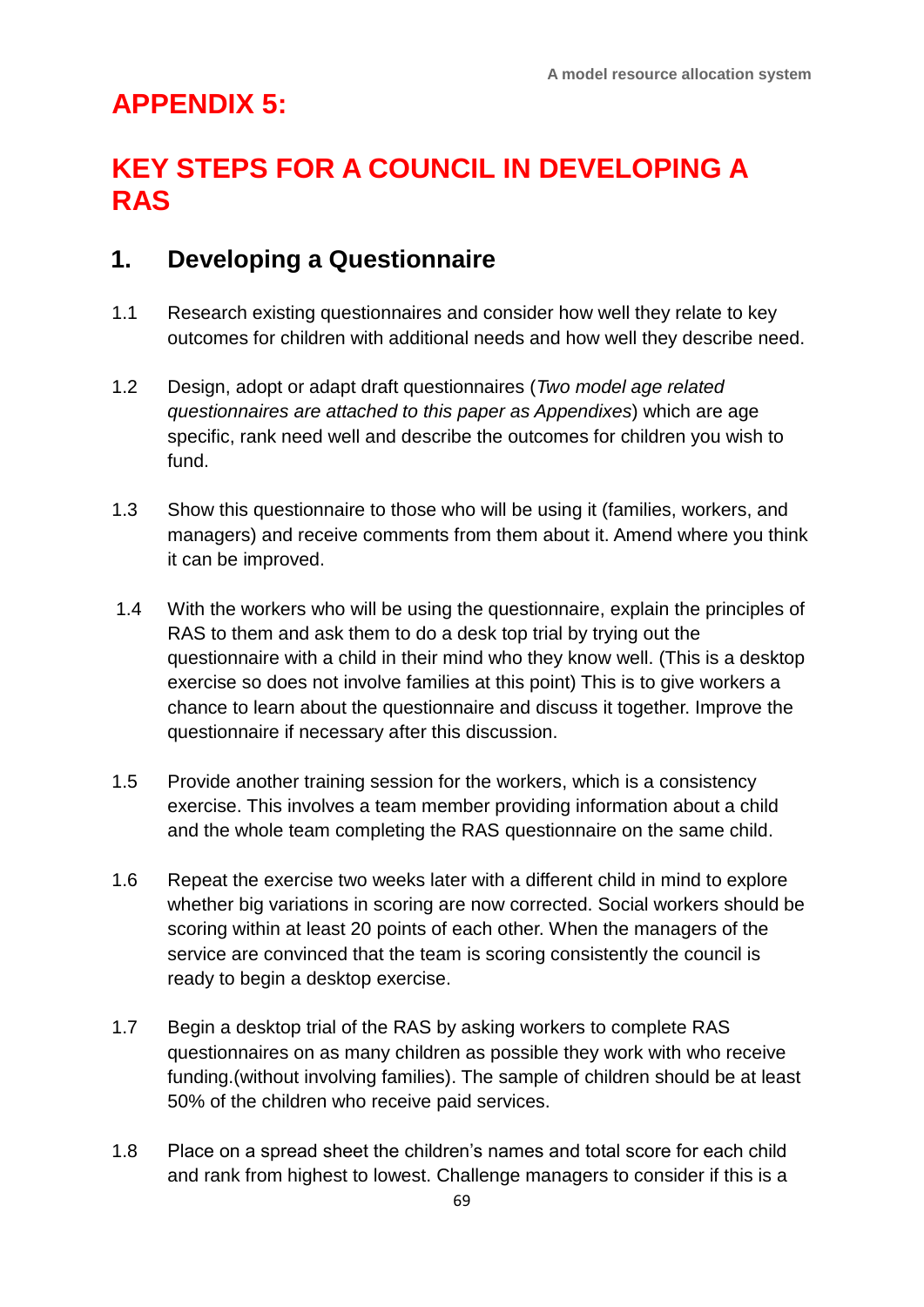### **APPENDIX 5:**

### **KEY STEPS FOR A COUNCIL IN DEVELOPING A RAS**

#### **1. Developing a Questionnaire**

- 1.1 Research existing questionnaires and consider how well they relate to key outcomes for children with additional needs and how well they describe need.
- 1.2 Design, adopt or adapt draft questionnaires (*Two model age related questionnaires are attached to this paper as Appendixes*) which are age specific, rank need well and describe the outcomes for children you wish to fund.
- 1.3 Show this questionnaire to those who will be using it (families, workers, and managers) and receive comments from them about it. Amend where you think it can be improved.
- 1.4 With the workers who will be using the questionnaire, explain the principles of RAS to them and ask them to do a desk top trial by trying out the questionnaire with a child in their mind who they know well. (This is a desktop exercise so does not involve families at this point) This is to give workers a chance to learn about the questionnaire and discuss it together. Improve the questionnaire if necessary after this discussion.
- 1.5 Provide another training session for the workers, which is a consistency exercise. This involves a team member providing information about a child and the whole team completing the RAS questionnaire on the same child.
- 1.6 Repeat the exercise two weeks later with a different child in mind to explore whether big variations in scoring are now corrected. Social workers should be scoring within at least 20 points of each other. When the managers of the service are convinced that the team is scoring consistently the council is ready to begin a desktop exercise.
- 1.7 Begin a desktop trial of the RAS by asking workers to complete RAS questionnaires on as many children as possible they work with who receive funding.(without involving families). The sample of children should be at least 50% of the children who receive paid services.
- 1.8 Place on a spread sheet the children's names and total score for each child and rank from highest to lowest. Challenge managers to consider if this is a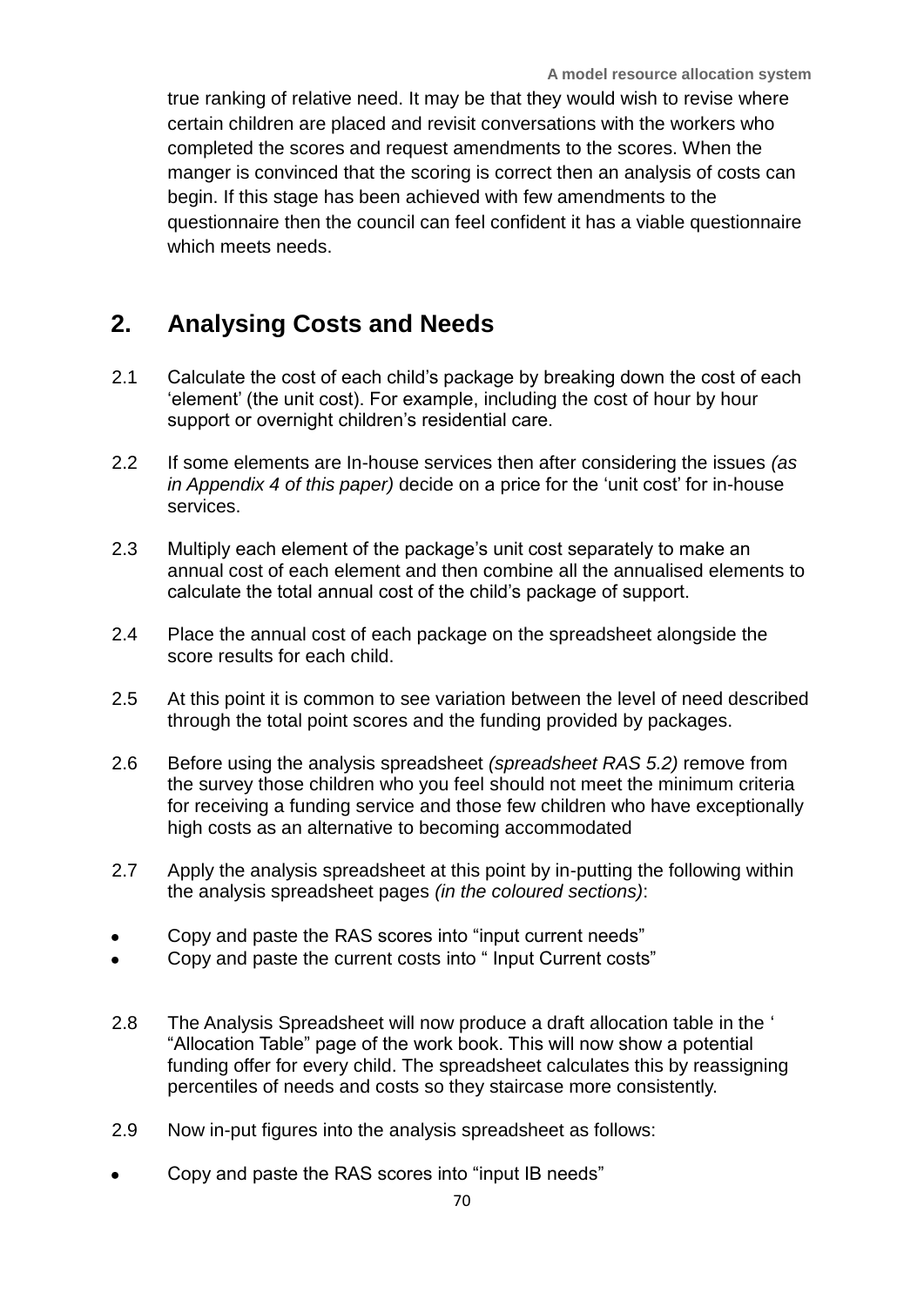true ranking of relative need. It may be that they would wish to revise where certain children are placed and revisit conversations with the workers who completed the scores and request amendments to the scores. When the manger is convinced that the scoring is correct then an analysis of costs can begin. If this stage has been achieved with few amendments to the questionnaire then the council can feel confident it has a viable questionnaire which meets needs.

#### **2. Analysing Costs and Needs**

- 2.1 Calculate the cost of each child's package by breaking down the cost of each 'element' (the unit cost). For example, including the cost of hour by hour support or overnight children's residential care.
- 2.2 If some elements are In-house services then after considering the issues *(as in Appendix 4 of this paper)* decide on a price for the 'unit cost' for in-house services.
- 2.3 Multiply each element of the package's unit cost separately to make an annual cost of each element and then combine all the annualised elements to calculate the total annual cost of the child's package of support.
- 2.4 Place the annual cost of each package on the spreadsheet alongside the score results for each child.
- 2.5 At this point it is common to see variation between the level of need described through the total point scores and the funding provided by packages.
- 2.6 Before using the analysis spreadsheet *(spreadsheet RAS 5.2)* remove from the survey those children who you feel should not meet the minimum criteria for receiving a funding service and those few children who have exceptionally high costs as an alternative to becoming accommodated
- 2.7 Apply the analysis spreadsheet at this point by in-putting the following within the analysis spreadsheet pages *(in the coloured sections)*:
- Copy and paste the RAS scores into "input current needs"
- Copy and paste the current costs into " Input Current costs"
- 2.8 The Analysis Spreadsheet will now produce a draft allocation table in the ' "Allocation Table" page of the work book. This will now show a potential funding offer for every child. The spreadsheet calculates this by reassigning percentiles of needs and costs so they staircase more consistently.
- 2.9 Now in-put figures into the analysis spreadsheet as follows:
- Copy and paste the RAS scores into "input IB needs"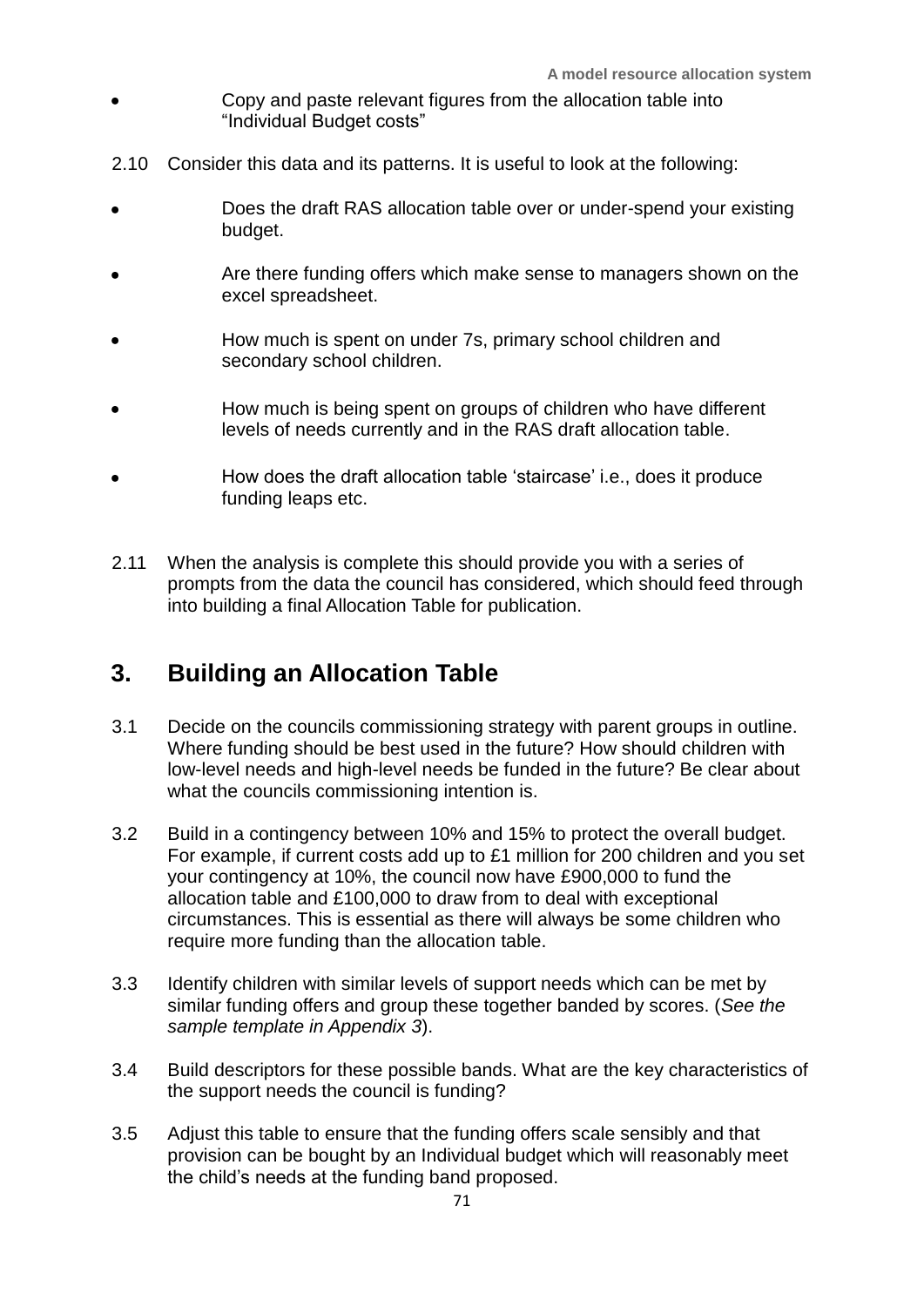- Copy and paste relevant figures from the allocation table into "Individual Budget costs"
- 2.10 Consider this data and its patterns. It is useful to look at the following:
- Does the draft RAS allocation table over or under-spend your existing  $\bullet$ budget.
- Are there funding offers which make sense to managers shown on the excel spreadsheet.
- How much is spent on under 7s, primary school children and secondary school children.
- How much is being spent on groups of children who have different levels of needs currently and in the RAS draft allocation table.
- How does the draft allocation table 'staircase' i.e., does it produce funding leaps etc.
- 2.11 When the analysis is complete this should provide you with a series of prompts from the data the council has considered, which should feed through into building a final Allocation Table for publication.

### **3. Building an Allocation Table**

- 3.1 Decide on the councils commissioning strategy with parent groups in outline. Where funding should be best used in the future? How should children with low-level needs and high-level needs be funded in the future? Be clear about what the councils commissioning intention is.
- 3.2 Build in a contingency between 10% and 15% to protect the overall budget. For example, if current costs add up to £1 million for 200 children and you set your contingency at 10%, the council now have £900,000 to fund the allocation table and £100,000 to draw from to deal with exceptional circumstances. This is essential as there will always be some children who require more funding than the allocation table.
- 3.3 Identify children with similar levels of support needs which can be met by similar funding offers and group these together banded by scores. (*See the sample template in Appendix 3*).
- 3.4 Build descriptors for these possible bands. What are the key characteristics of the support needs the council is funding?
- 3.5 Adjust this table to ensure that the funding offers scale sensibly and that provision can be bought by an Individual budget which will reasonably meet the child's needs at the funding band proposed.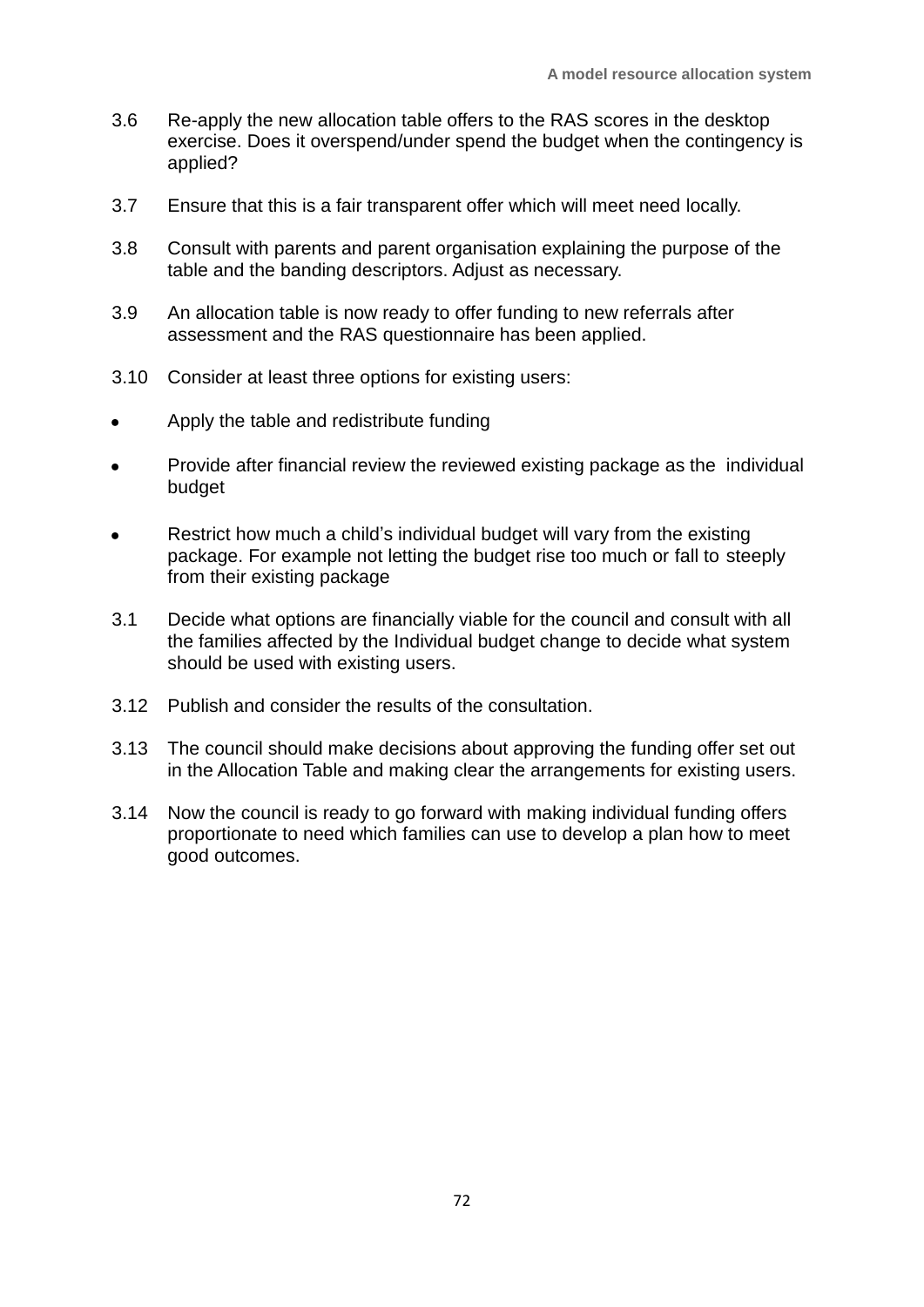- 3.6 Re-apply the new allocation table offers to the RAS scores in the desktop exercise. Does it overspend/under spend the budget when the contingency is applied?
- 3.7 Ensure that this is a fair transparent offer which will meet need locally.
- 3.8 Consult with parents and parent organisation explaining the purpose of the table and the banding descriptors. Adjust as necessary.
- 3.9 An allocation table is now ready to offer funding to new referrals after assessment and the RAS questionnaire has been applied.
- 3.10 Consider at least three options for existing users:
- Apply the table and redistribute funding
- Provide after financial review the reviewed existing package as the individual budget
- Restrict how much a child's individual budget will vary from the existing package. For example not letting the budget rise too much or fall to steeply from their existing package
- 3.1 Decide what options are financially viable for the council and consult with all the families affected by the Individual budget change to decide what system should be used with existing users.
- 3.12 Publish and consider the results of the consultation.
- 3.13 The council should make decisions about approving the funding offer set out in the Allocation Table and making clear the arrangements for existing users.
- 3.14 Now the council is ready to go forward with making individual funding offers proportionate to need which families can use to develop a plan how to meet good outcomes.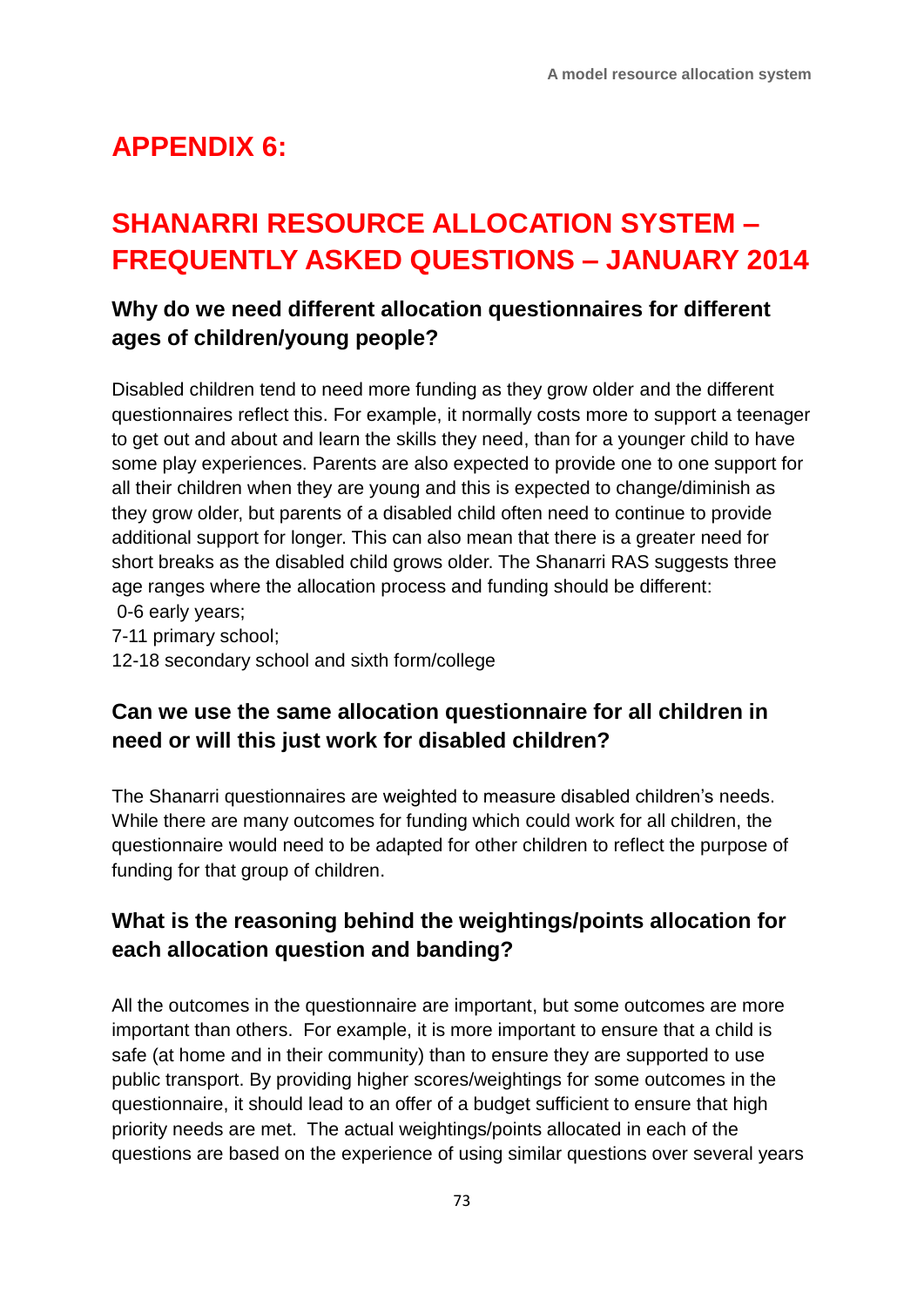# **APPENDIX 6:**

# **SHANARRI RESOURCE ALLOCATION SYSTEM – FREQUENTLY ASKED QUESTIONS – JANUARY 2014**

## **Why do we need different allocation questionnaires for different ages of children/young people?**

Disabled children tend to need more funding as they grow older and the different questionnaires reflect this. For example, it normally costs more to support a teenager to get out and about and learn the skills they need, than for a younger child to have some play experiences. Parents are also expected to provide one to one support for all their children when they are young and this is expected to change/diminish as they grow older, but parents of a disabled child often need to continue to provide additional support for longer. This can also mean that there is a greater need for short breaks as the disabled child grows older. The Shanarri RAS suggests three age ranges where the allocation process and funding should be different: 0-6 early years;

7-11 primary school;

12-18 secondary school and sixth form/college

### **Can we use the same allocation questionnaire for all children in need or will this just work for disabled children?**

The Shanarri questionnaires are weighted to measure disabled children's needs. While there are many outcomes for funding which could work for all children, the questionnaire would need to be adapted for other children to reflect the purpose of funding for that group of children.

### **What is the reasoning behind the weightings/points allocation for each allocation question and banding?**

All the outcomes in the questionnaire are important, but some outcomes are more important than others. For example, it is more important to ensure that a child is safe (at home and in their community) than to ensure they are supported to use public transport. By providing higher scores/weightings for some outcomes in the questionnaire, it should lead to an offer of a budget sufficient to ensure that high priority needs are met. The actual weightings/points allocated in each of the questions are based on the experience of using similar questions over several years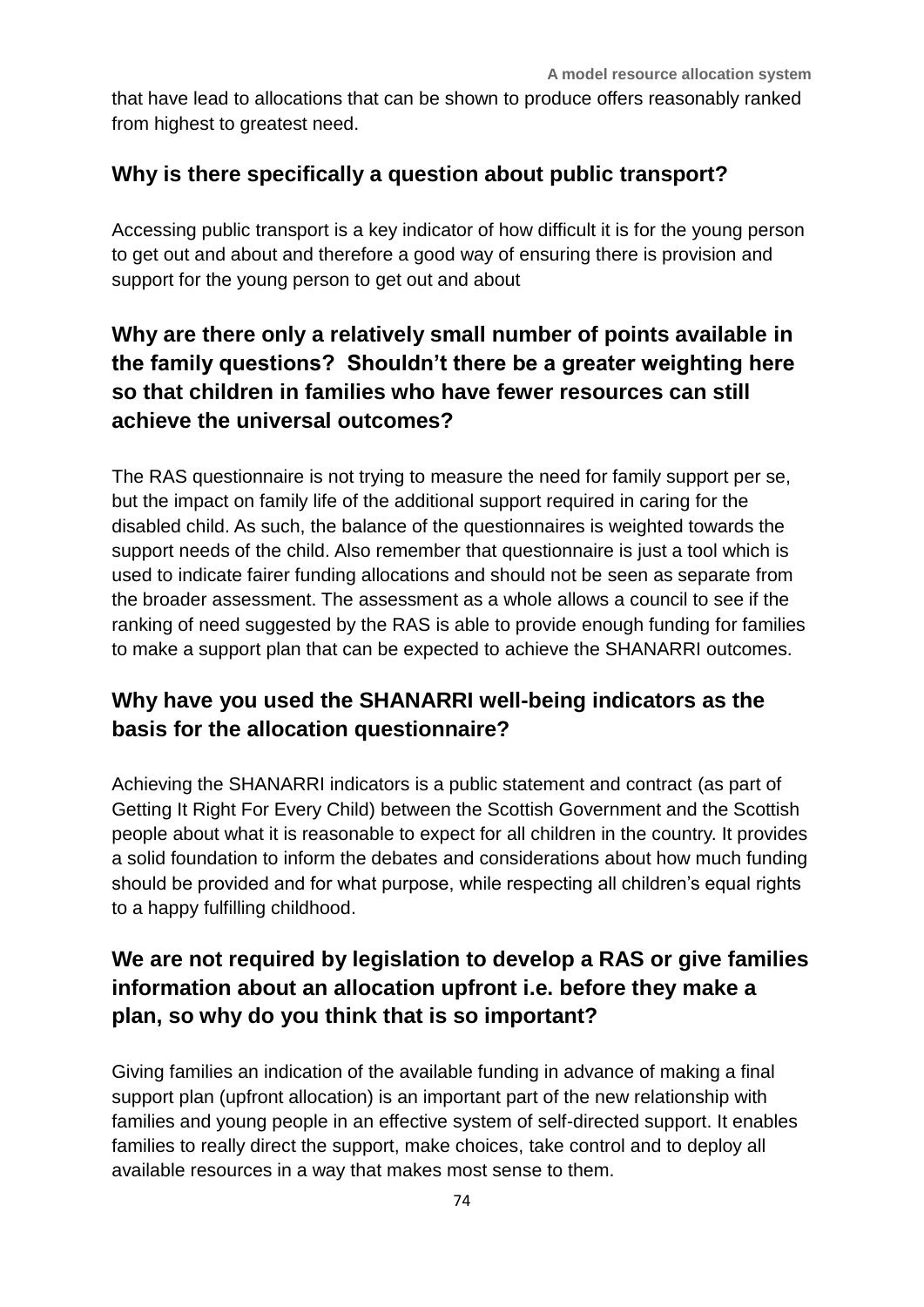that have lead to allocations that can be shown to produce offers reasonably ranked from highest to greatest need.

#### **Why is there specifically a question about public transport?**

Accessing public transport is a key indicator of how difficult it is for the young person to get out and about and therefore a good way of ensuring there is provision and support for the young person to get out and about

# **Why are there only a relatively small number of points available in the family questions? Shouldn't there be a greater weighting here so that children in families who have fewer resources can still achieve the universal outcomes?**

The RAS questionnaire is not trying to measure the need for family support per se, but the impact on family life of the additional support required in caring for the disabled child. As such, the balance of the questionnaires is weighted towards the support needs of the child. Also remember that questionnaire is just a tool which is used to indicate fairer funding allocations and should not be seen as separate from the broader assessment. The assessment as a whole allows a council to see if the ranking of need suggested by the RAS is able to provide enough funding for families to make a support plan that can be expected to achieve the SHANARRI outcomes.

## **Why have you used the SHANARRI well-being indicators as the basis for the allocation questionnaire?**

Achieving the SHANARRI indicators is a public statement and contract (as part of Getting It Right For Every Child) between the Scottish Government and the Scottish people about what it is reasonable to expect for all children in the country. It provides a solid foundation to inform the debates and considerations about how much funding should be provided and for what purpose, while respecting all children's equal rights to a happy fulfilling childhood.

# **We are not required by legislation to develop a RAS or give families information about an allocation upfront i.e. before they make a plan, so why do you think that is so important?**

Giving families an indication of the available funding in advance of making a final support plan (upfront allocation) is an important part of the new relationship with families and young people in an effective system of self-directed support. It enables families to really direct the support, make choices, take control and to deploy all available resources in a way that makes most sense to them.